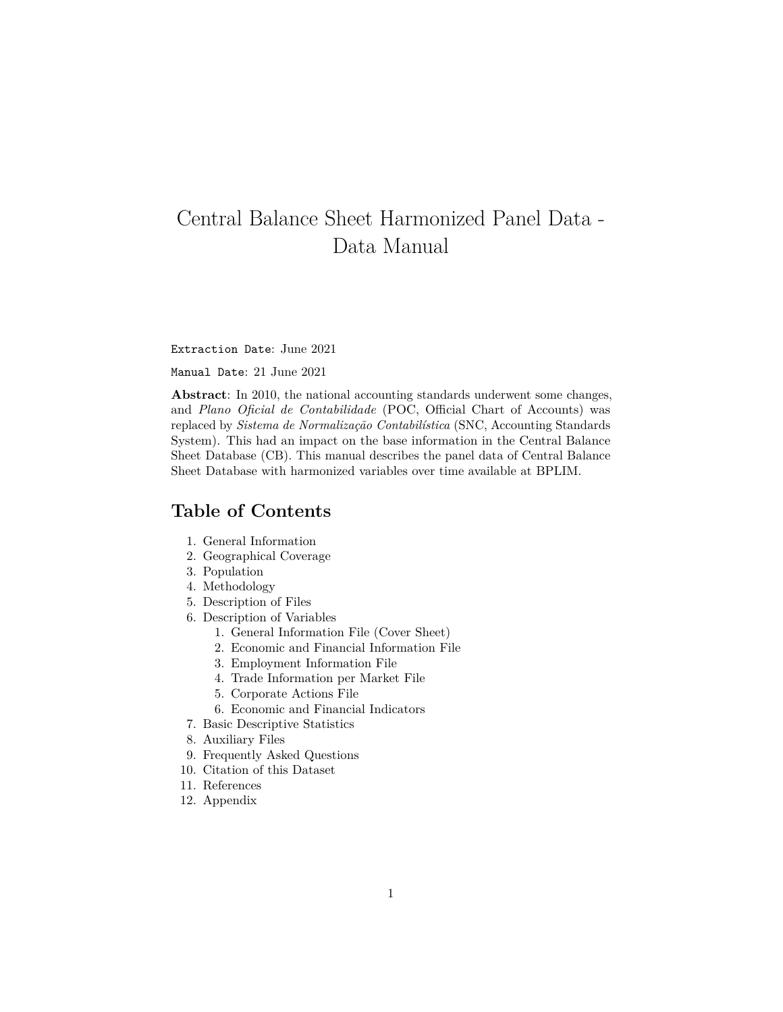# <span id="page-0-1"></span>Central Balance Sheet Harmonized Panel Data - Data Manual

Extraction Date: June 2021

Manual Date: 21 June 2021

**Abstract**: In 2010, the national accounting standards underwent some changes, and *Plano Oficial de Contabilidade* (POC, Official Chart of Accounts) was replaced by *Sistema de Normalização Contabilística* (SNC, Accounting Standards System). This had an impact on the base information in the Central Balance Sheet Database (CB). This manual describes the panel data of Central Balance Sheet Database with harmonized variables over time available at BPLIM.

## **Table of Contents**

- 1. [General Information](#page-0-0)
- 2. [Geographical Coverage](#page-2-0)
- 3. [Population](#page-2-1)
- 4. [Methodology](#page-2-2)
- 5. [Description of Files](#page-6-0)
- 6. [Description of Variables](#page-6-1)
	- 1. [General Information File \(Cover Sheet\)](#page-6-2)
	- 2. [Economic and Financial Information File](#page-7-0)
	- 3. [Employment Information File](#page-20-0)
	- 4. [Trade Information per Market File](#page-22-0)
	- 5. [Corporate Actions File](#page-23-0)
	- 6. [Economic and Financial Indicators](#page-25-0)
- 7. [Basic Descriptive Statistics](#page-25-1)
- 8. [Auxiliary Files](#page-28-0)
- 9. [Frequently Asked Questions](#page-29-0)
- 10. [Citation of this Dataset](#page-29-1)
- 11. [References](#page-29-2)
- <span id="page-0-0"></span>12. [Appendix](#page-29-3)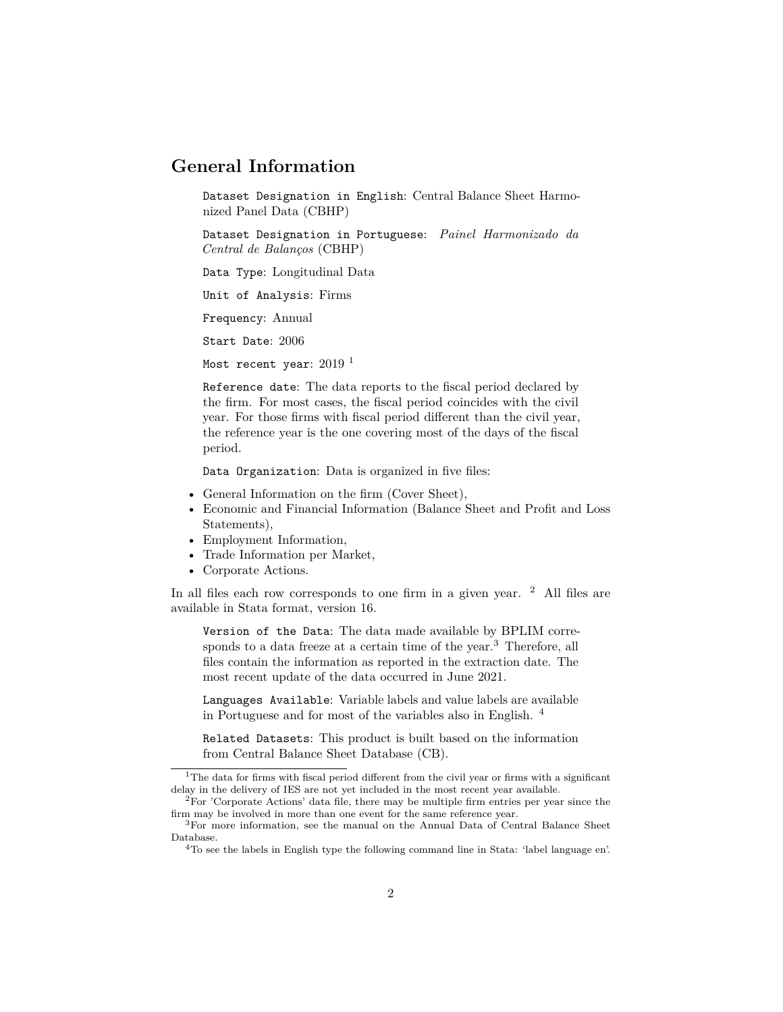## **General Information**

Dataset Designation in English: Central Balance Sheet Harmonized Panel Data (CBHP)

Dataset Designation in Portuguese: *Painel Harmonizado da Central de Balanços* (CBHP)

Data Type: Longitudinal Data

Unit of Analysis: Firms

Frequency: Annual

Start Date: 2006

Most recent year:  $2019$  $2019$  $2019$ <sup>1</sup>

Reference date: The data reports to the fiscal period declared by the firm. For most cases, the fiscal period coincides with the civil year. For those firms with fiscal period different than the civil year, the reference year is the one covering most of the days of the fiscal period.

Data Organization: Data is organized in five files:

- General Information on the firm (Cover Sheet),
- Economic and Financial Information (Balance Sheet and Profit and Loss Statements),
- Employment Information,
- Trade Information per Market,
- Corporate Actions.

In all files each row corresponds to one firm in a given year. <sup>[2](#page-1-1)</sup> All files are available in Stata format, version 16.

Version of the Data: The data made available by BPLIM corre-sponds to a data freeze at a certain time of the year.<sup>[3](#page-1-2)</sup> Therefore, all files contain the information as reported in the extraction date. The most recent update of the data occurred in June 2021.

Languages Available: Variable labels and value labels are available in Portuguese and for most of the variables also in English. [4](#page-1-3)

Related Datasets: This product is built based on the information from Central Balance Sheet Database (CB).

<span id="page-1-0"></span><sup>&</sup>lt;sup>1</sup>The data for firms with fiscal period different from the civil year or firms with a significant delay in the delivery of IES are not yet included in the most recent year available.

<span id="page-1-1"></span> $2^{2}$  For 'Corporate Actions' data file, there may be multiple firm entries per year since the firm may be involved in more than one event for the same reference year.

<span id="page-1-2"></span><sup>3</sup>For more information, see the manual on the Annual Data of Central Balance Sheet Database.

<span id="page-1-3"></span><sup>4</sup>To see the labels in English type the following command line in Stata: 'label language en'.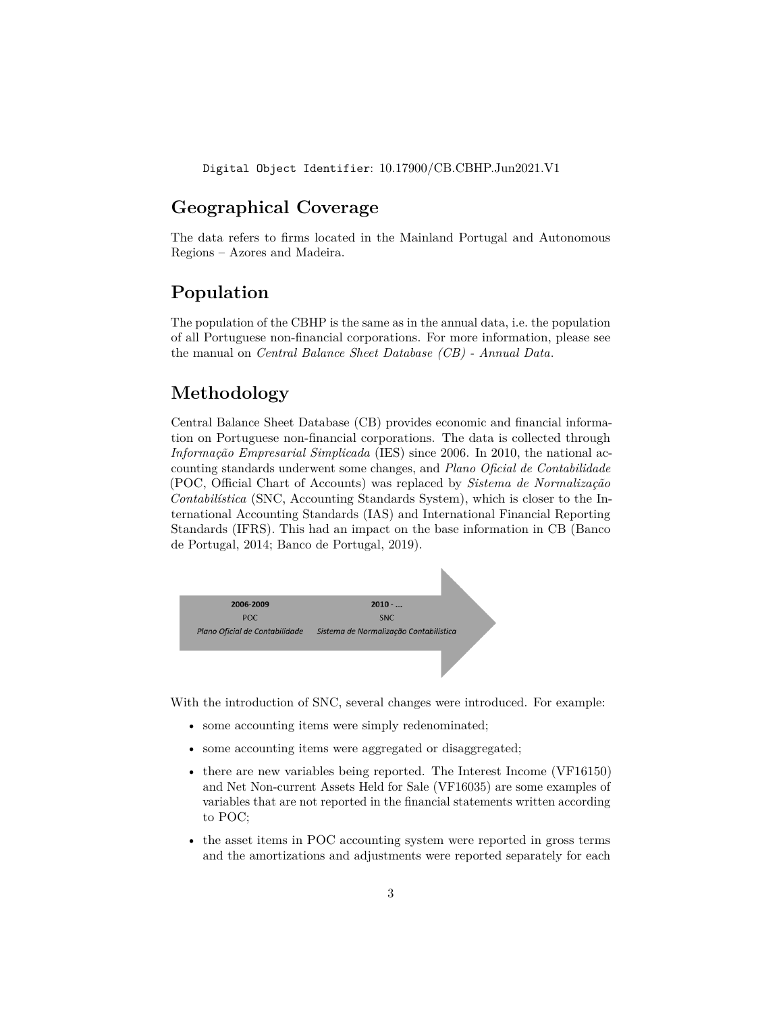Digital Object Identifier: 10.17900/CB.CBHP.Jun2021.V1

## <span id="page-2-0"></span>**Geographical Coverage**

The data refers to firms located in the Mainland Portugal and Autonomous Regions – Azores and Madeira.

## <span id="page-2-1"></span>**Population**

The population of the CBHP is the same as in the annual data, i.e. the population of all Portuguese non-financial corporations. For more information, please see the manual on *[Central Balance Sheet Database \(CB\) - Annual Data](../../CB/Jun2021/Pack_CB_Empresas_Jun20/CB_manual_Jun2021.html)*.

## <span id="page-2-2"></span>**Methodology**

Central Balance Sheet Database (CB) provides economic and financial information on Portuguese non-financial corporations. The data is collected through *Informação Empresarial Simplicada* (IES) since 2006. In 2010, the national accounting standards underwent some changes, and *Plano Oficial de Contabilidade* (POC, Official Chart of Accounts) was replaced by *Sistema de Normalização Contabilística* (SNC, Accounting Standards System), which is closer to the International Accounting Standards (IAS) and International Financial Reporting Standards (IFRS). This had an impact on the base information in CB (Banco de Portugal, 2014; Banco de Portugal, 2019).



With the introduction of SNC, several changes were introduced. For example:

- some accounting items were simply redenominated;
- some accounting items were aggregated or disaggregated;
- there are new variables being reported. The Interest Income (VF16150) and Net Non-current Assets Held for Sale (VF16035) are some examples of variables that are not reported in the financial statements written according to POC;
- the asset items in POC accounting system were reported in gross terms and the amortizations and adjustments were reported separately for each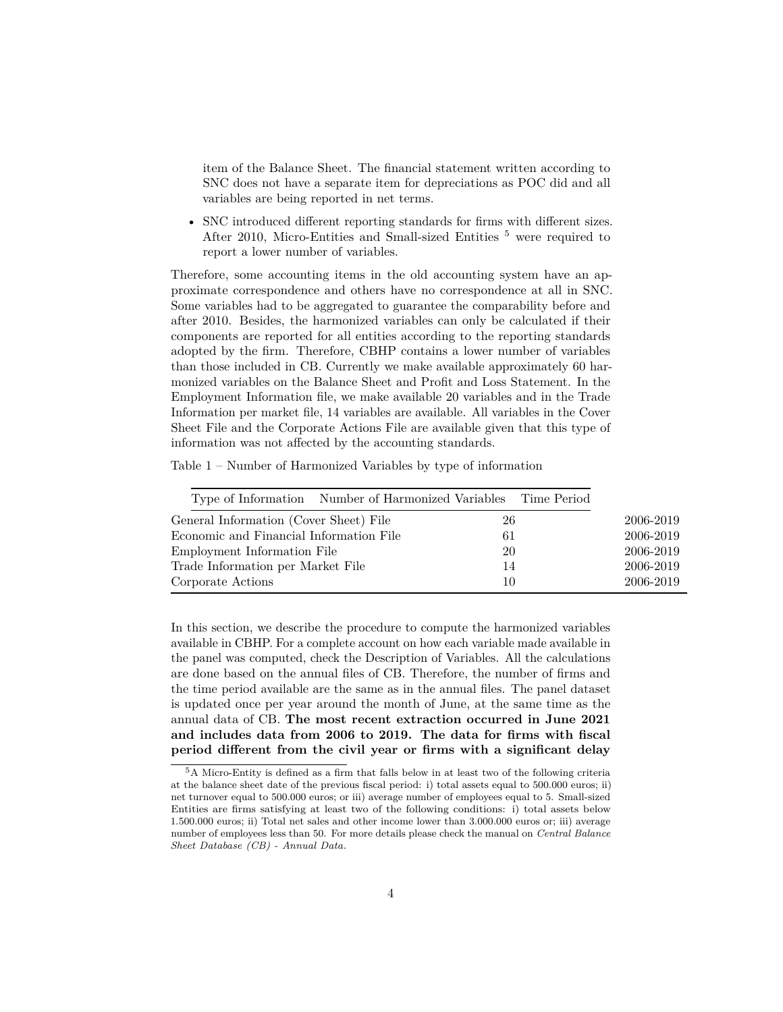item of the Balance Sheet. The financial statement written according to SNC does not have a separate item for depreciations as POC did and all variables are being reported in net terms.

• SNC introduced different reporting standards for firms with different sizes. After 2010, Micro-Entities and Small-sized Entities <sup>[5](#page-3-0)</sup> were required to report a lower number of variables.

Therefore, some accounting items in the old accounting system have an approximate correspondence and others have no correspondence at all in SNC. Some variables had to be aggregated to guarantee the comparability before and after 2010. Besides, the harmonized variables can only be calculated if their components are reported for all entities according to the reporting standards adopted by the firm. Therefore, CBHP contains a lower number of variables than those included in CB. Currently we make available approximately 60 harmonized variables on the Balance Sheet and Profit and Loss Statement. In the Employment Information file, we make available 20 variables and in the Trade Information per market file, 14 variables are available. All variables in the Cover Sheet File and the Corporate Actions File are available given that this type of information was not affected by the accounting standards.

Table 1 – Number of Harmonized Variables by type of information

| Type of Information Number of Harmonized Variables Time Period |    |           |
|----------------------------------------------------------------|----|-----------|
| General Information (Cover Sheet) File                         | 26 | 2006-2019 |
| Economic and Financial Information File                        | 61 | 2006-2019 |
| Employment Information File                                    | 20 | 2006-2019 |
| Trade Information per Market File                              | 14 | 2006-2019 |
| Corporate Actions                                              | 10 | 2006-2019 |

In this section, we describe the procedure to compute the harmonized variables available in CBHP. For a complete account on how each variable made available in the panel was computed, check the [Description of Variables.](#page-6-1) All the calculations are done based on the annual files of CB. Therefore, the number of firms and the time period available are the same as in the annual files. The panel dataset is updated once per year around the month of June, at the same time as the annual data of CB. **The most recent extraction occurred in June 2021 and includes data from 2006 to 2019. The data for firms with fiscal period different from the civil year or firms with a significant delay**

<span id="page-3-0"></span><sup>5</sup>A Micro-Entity is defined as a firm that falls below in at least two of the following criteria at the balance sheet date of the previous fiscal period: i) total assets equal to 500.000 euros; ii) net turnover equal to 500.000 euros; or iii) average number of employees equal to 5. Small-sized Entities are firms satisfying at least two of the following conditions: i) total assets below 1.500.000 euros; ii) Total net sales and other income lower than 3.000.000 euros or; iii) average number of employees less than 50. For more details please check the manual on *[Central Balance](../../CB/Jun2020/Pack_CB_Empresas_Jun18/manual_CB_Jun2020.html) [Sheet Database \(CB\) - Annual Data](../../CB/Jun2020/Pack_CB_Empresas_Jun18/manual_CB_Jun2020.html)*.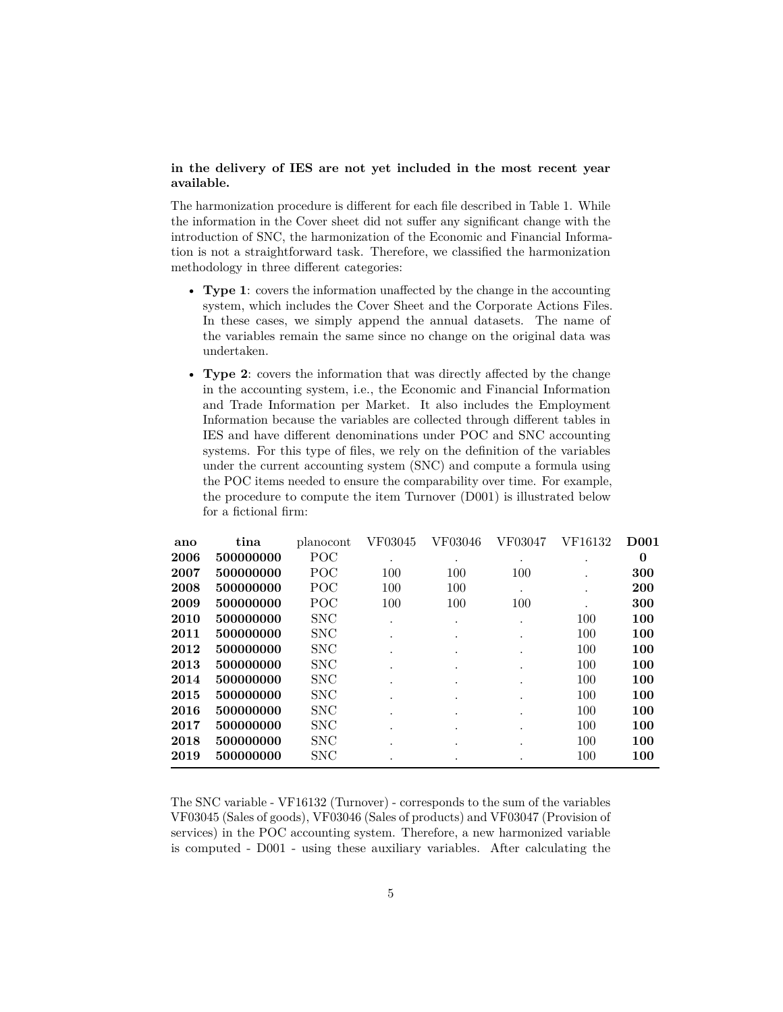#### **in the delivery of IES are not yet included in the most recent year available.**

The harmonization procedure is different for each file described in Table 1. While the information in the Cover sheet did not suffer any significant change with the introduction of SNC, the harmonization of the Economic and Financial Information is not a straightforward task. Therefore, we classified the harmonization methodology in three different categories:

- **Type 1**: covers the information unaffected by the change in the accounting system, which includes the Cover Sheet and the Corporate Actions Files. In these cases, we simply append the annual datasets. The name of the variables remain the same since no change on the original data was undertaken.
- **Type 2**: covers the information that was directly affected by the change in the accounting system, i.e., the Economic and Financial Information and Trade Information per Market. It also includes the Employment Information because the variables are collected through different tables in IES and have different denominations under POC and SNC accounting systems. For this type of files, we rely on the definition of the variables under the current accounting system (SNC) and compute a formula using the POC items needed to ensure the comparability over time. For example, the procedure to compute the item Turnover (D001) is illustrated below for a fictional firm:

| ano  | tina      | planocont  | VF03045 | VF03046 | VF03047 | VF16132 | <b>D001</b> |
|------|-----------|------------|---------|---------|---------|---------|-------------|
| 2006 | 500000000 | POC        |         |         |         | ٠       | 0           |
| 2007 | 500000000 | POC        | 100     | 100     | 100     | $\cdot$ | 300         |
| 2008 | 500000000 | POC        | 100     | 100     |         |         | <b>200</b>  |
| 2009 | 500000000 | POC        | 100     | 100     | 100     |         | 300         |
| 2010 | 500000000 | <b>SNC</b> |         |         |         | 100     | 100         |
| 2011 | 500000000 | <b>SNC</b> |         |         | ٠       | 100     | 100         |
| 2012 | 500000000 | <b>SNC</b> |         |         |         | 100     | 100         |
| 2013 | 500000000 | <b>SNC</b> |         |         |         | 100     | 100         |
| 2014 | 500000000 | <b>SNC</b> |         |         |         | 100     | 100         |
| 2015 | 500000000 | <b>SNC</b> |         | $\cdot$ | ٠       | 100     | 100         |
| 2016 | 500000000 | <b>SNC</b> |         |         |         | 100     | 100         |
| 2017 | 500000000 | <b>SNC</b> |         | $\cdot$ | ٠       | 100     | 100         |
| 2018 | 500000000 | <b>SNC</b> |         |         | ٠       | 100     | 100         |
| 2019 | 500000000 | <b>SNC</b> |         |         | ٠       | 100     | 100         |
|      |           |            |         |         |         |         |             |

The SNC variable - VF16132 (Turnover) - corresponds to the sum of the variables VF03045 (Sales of goods), VF03046 (Sales of products) and VF03047 (Provision of services) in the POC accounting system. Therefore, a new harmonized variable is computed - D001 - using these auxiliary variables. After calculating the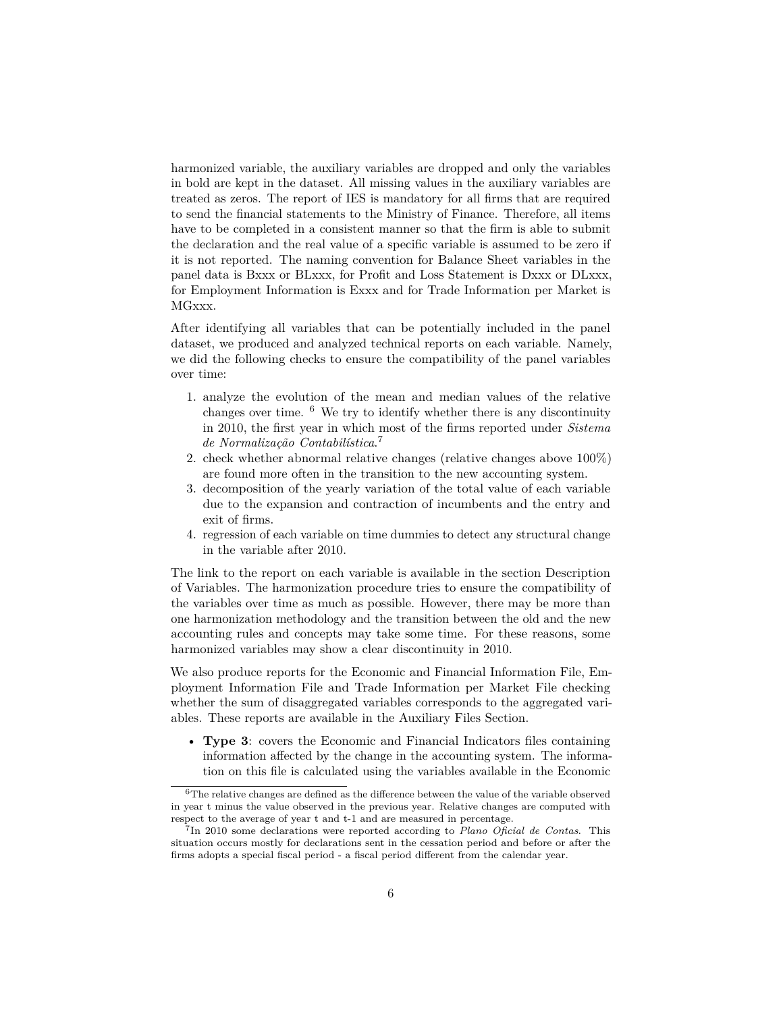harmonized variable, the auxiliary variables are dropped and only the variables in bold are kept in the dataset. All missing values in the auxiliary variables are treated as zeros. The report of IES is mandatory for all firms that are required to send the financial statements to the Ministry of Finance. Therefore, all items have to be completed in a consistent manner so that the firm is able to submit the declaration and the real value of a specific variable is assumed to be zero if it is not reported. The naming convention for Balance Sheet variables in the panel data is Bxxx or BLxxx, for Profit and Loss Statement is Dxxx or DLxxx, for Employment Information is Exxx and for Trade Information per Market is MGxxx.

After identifying all variables that can be potentially included in the panel dataset, we produced and analyzed technical reports on each variable. Namely, we did the following checks to ensure the compatibility of the panel variables over time:

- 1. analyze the evolution of the mean and median values of the relative changes over time.  $6$  We try to identify whether there is any discontinuity in 2010, the first year in which most of the firms reported under *Sistema de Normalização Contabilística*. [7](#page-5-1)
- 2. check whether abnormal relative changes (relative changes above 100%) are found more often in the transition to the new accounting system.
- 3. decomposition of the yearly variation of the total value of each variable due to the expansion and contraction of incumbents and the entry and exit of firms.
- 4. regression of each variable on time dummies to detect any structural change in the variable after 2010.

The link to the report on each variable is available in the section [Description](#page-6-1) [of Variables.](#page-6-1) The harmonization procedure tries to ensure the compatibility of the variables over time as much as possible. However, there may be more than one harmonization methodology and the transition between the old and the new accounting rules and concepts may take some time. For these reasons, some harmonized variables may show a clear discontinuity in 2010.

We also produce reports for the Economic and Financial Information File, Employment Information File and Trade Information per Market File checking whether the sum of disaggregated variables corresponds to the aggregated variables. These reports are available in the [Auxiliary Files Section.](#page-28-0)

• **Type 3**: covers the Economic and Financial Indicators files containing information affected by the change in the accounting system. The information on this file is calculated using the variables available in the Economic

<span id="page-5-0"></span> $6$ The relative changes are defined as the difference between the value of the variable observed in year t minus the value observed in the previous year. Relative changes are computed with respect to the average of year t and t-1 and are measured in percentage.

<span id="page-5-1"></span><sup>7</sup> In 2010 some declarations were reported according to *Plano Oficial de Contas*. This situation occurs mostly for declarations sent in the cessation period and before or after the firms adopts a special fiscal period - a fiscal period different from the calendar year.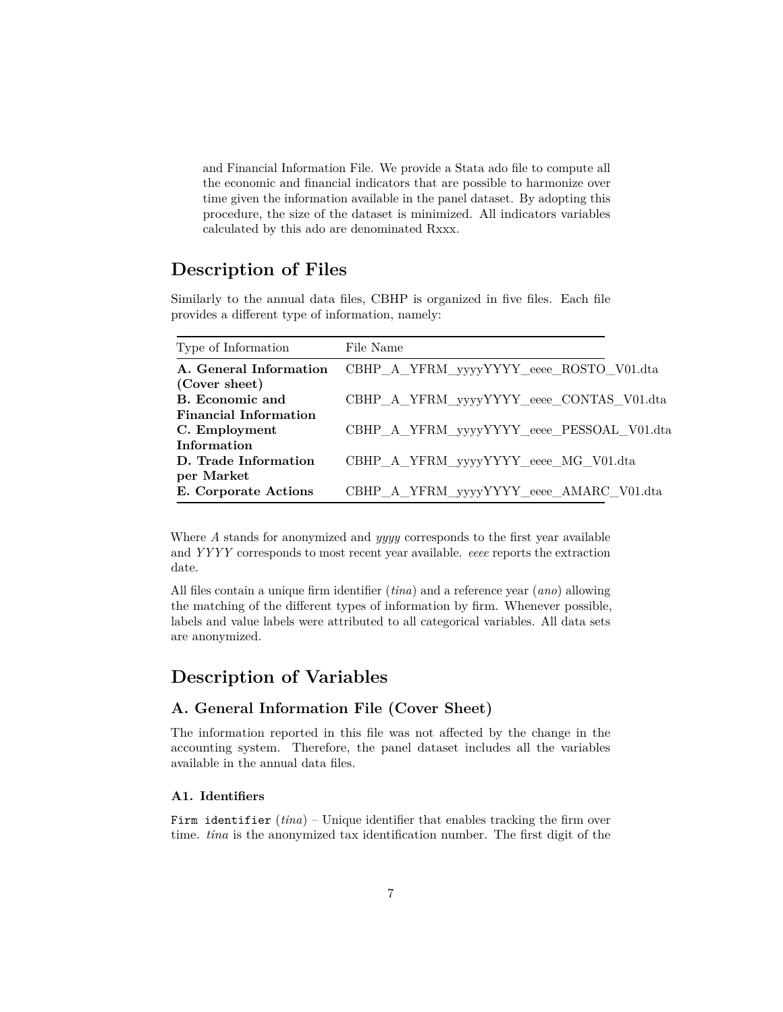and Financial Information File. We provide a Stata ado file to compute all the economic and financial indicators that are possible to harmonize over time given the information available in the panel dataset. By adopting this procedure, the size of the dataset is minimized. All indicators variables calculated by this ado are denominated Rxxx.

## <span id="page-6-0"></span>**Description of Files**

Similarly to the annual data files, CBHP is organized in five files. Each file provides a different type of information, namely:

| Type of Information          | File Name                                 |
|------------------------------|-------------------------------------------|
| A. General Information       | CBHP_A_YFRM_yyyyYYYY_eeee_ROSTO_V01.dta   |
| (Cover sheet)                |                                           |
| B. Economic and              | CBHP A YFRM yyyyYYYY eeee CONTAS V01.dta  |
| <b>Financial Information</b> |                                           |
| C. Employment                | CBHP_A_YFRM_yyyyYYYY_eeee_PESSOAL_V01.dta |
| Information                  |                                           |
| D. Trade Information         | CBHP A YFRM yyyyYYYY eeee MG V01.dta      |
| per Market                   |                                           |
| E. Corporate Actions         | CBHP_A_YFRM_yyyyYYYY_eeee_AMARC_V01.dta   |

Where *A* stands for anonymized and *yyyy* corresponds to the first year available and *YYYY* corresponds to most recent year available. *eeee* reports the extraction date.

All files contain a unique firm identifier (*tina*) and a reference year (*ano*) allowing the matching of the different types of information by firm. Whenever possible, labels and value labels were attributed to all categorical variables. All data sets are anonymized.

## <span id="page-6-1"></span>**Description of Variables**

#### <span id="page-6-2"></span>**A. General Information File (Cover Sheet)**

The information reported in this file was not affected by the change in the accounting system. Therefore, the panel dataset includes all the variables available in the annual data files.

#### **A1. Identifiers**

Firm identifier  $(tina)$  – Unique identifier that enables tracking the firm over time. *tina* is the anonymized tax identification number. The first digit of the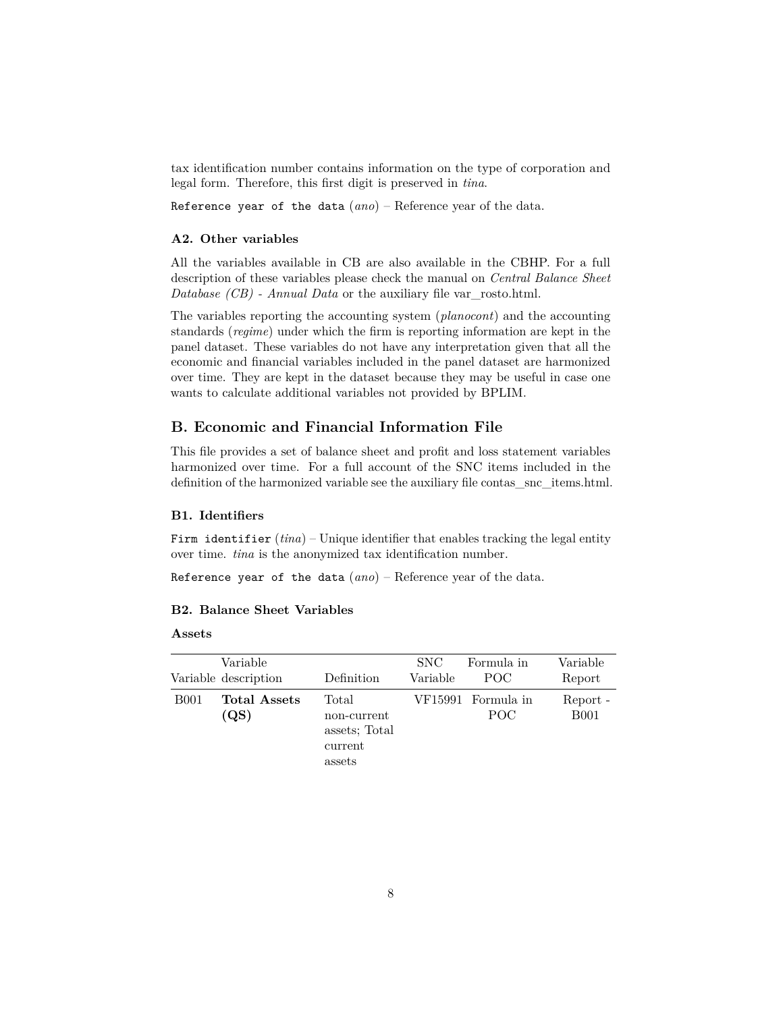tax identification number contains information on the type of corporation and legal form. Therefore, this first digit is preserved in *tina*.

Reference year of the data (*ano*) – Reference year of the data.

#### **A2. Other variables**

All the variables available in CB are also available in the CBHP. For a full description of these variables please check the manual on *[Central Balance Sheet](../../CB/Jun2021/Pack_CB_Empresas_Jun20/CB_manual_Jun2021.html) [Database \(CB\) - Annual Data](../../CB/Jun2021/Pack_CB_Empresas_Jun20/CB_manual_Jun2021.html)* or the auxiliary file [var\\_rosto.html.](./aux_files/variables_description/var_rosto.html)

The variables reporting the accounting system (*planocont*) and the accounting standards (*regime*) under which the firm is reporting information are kept in the panel dataset. These variables do not have any interpretation given that all the economic and financial variables included in the panel dataset are harmonized over time. They are kept in the dataset because they may be useful in case one wants to calculate additional variables not provided by BPLIM.

#### <span id="page-7-0"></span>**B. Economic and Financial Information File**

This file provides a set of balance sheet and profit and loss statement variables harmonized over time. For a full account of the SNC items included in the definition of the harmonized variable see the auxiliary file contas snc items.html.

#### **B1. Identifiers**

Firm identifier  $(tina)$  – Unique identifier that enables tracking the legal entity over time. *tina* is the anonymized tax identification number.

Reference year of the data (*ano*) – Reference year of the data.

#### <span id="page-7-1"></span>**B2. Balance Sheet Variables**

#### **Assets**

|             | Variable<br>Variable description | Definition                                                 | SNC.<br>Variable | Formula in<br>POC.        | Variable<br>Report      |
|-------------|----------------------------------|------------------------------------------------------------|------------------|---------------------------|-------------------------|
| <b>B001</b> | <b>Total Assets</b><br>(QS)      | Total<br>non-current<br>assets; Total<br>current<br>assets |                  | VF15991 Formula in<br>POC | Report -<br><b>B001</b> |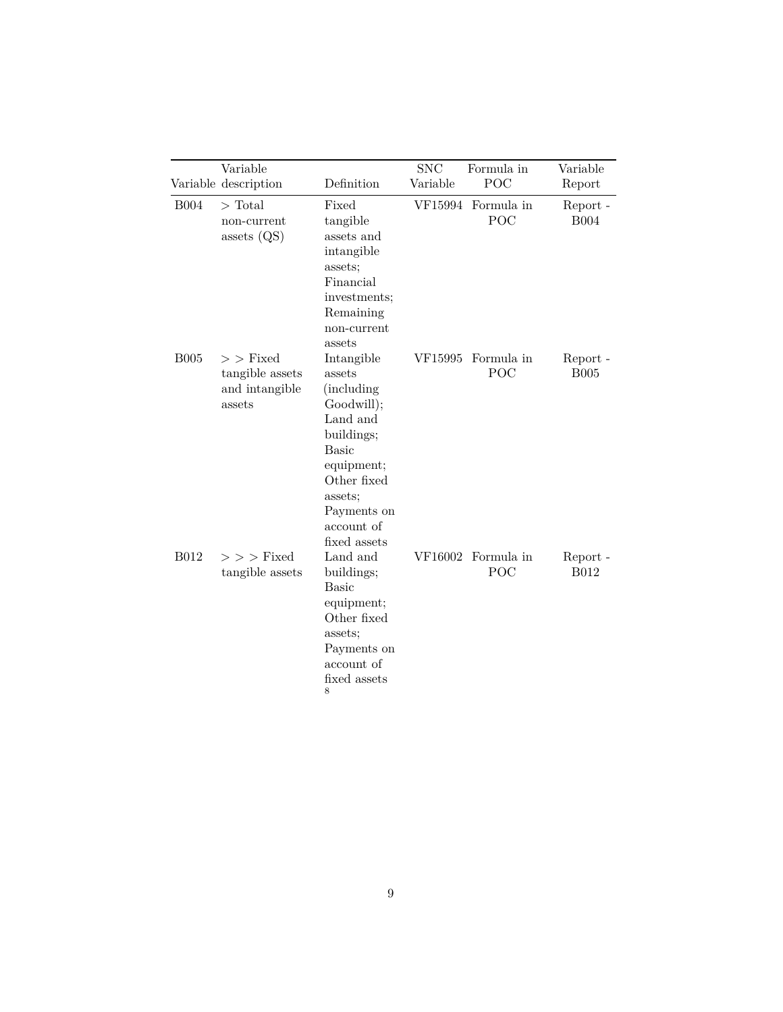|             | Variable<br>Variable description                         | Definition                                                                                                                                                                              | <b>SNC</b><br>Variable | Formula in<br>POC         | Variable<br>Report      |
|-------------|----------------------------------------------------------|-----------------------------------------------------------------------------------------------------------------------------------------------------------------------------------------|------------------------|---------------------------|-------------------------|
| <b>B004</b> | $\text{Total}$<br>non-current<br>assets $(QS)$           | Fixed<br>tangible<br>assets and<br>intangible<br>assets;<br>Financial<br>investments;<br>Remaining<br>non-current<br>assets                                                             |                        | VF15994 Formula in<br>POC | Report -<br><b>B004</b> |
| <b>B005</b> | $>$ Fixed<br>tangible assets<br>and intangible<br>assets | Intangible<br>assets<br><i>(including)</i><br>Goodwill);<br>Land and<br>buildings;<br><b>Basic</b><br>equipment;<br>Other fixed<br>assets;<br>Payments on<br>account of<br>fixed assets | VF15995                | Formula in<br>POC         | Report -<br><b>B005</b> |
| <b>B012</b> | $>$ > $>$ Fixed<br>tangible assets                       | Land and<br>buildings;<br><b>Basic</b><br>equipment;<br>Other fixed<br>assets;<br>Payments on<br>account of<br>fixed assets<br>8                                                        |                        | VF16002 Formula in<br>POC | Report -<br><b>B012</b> |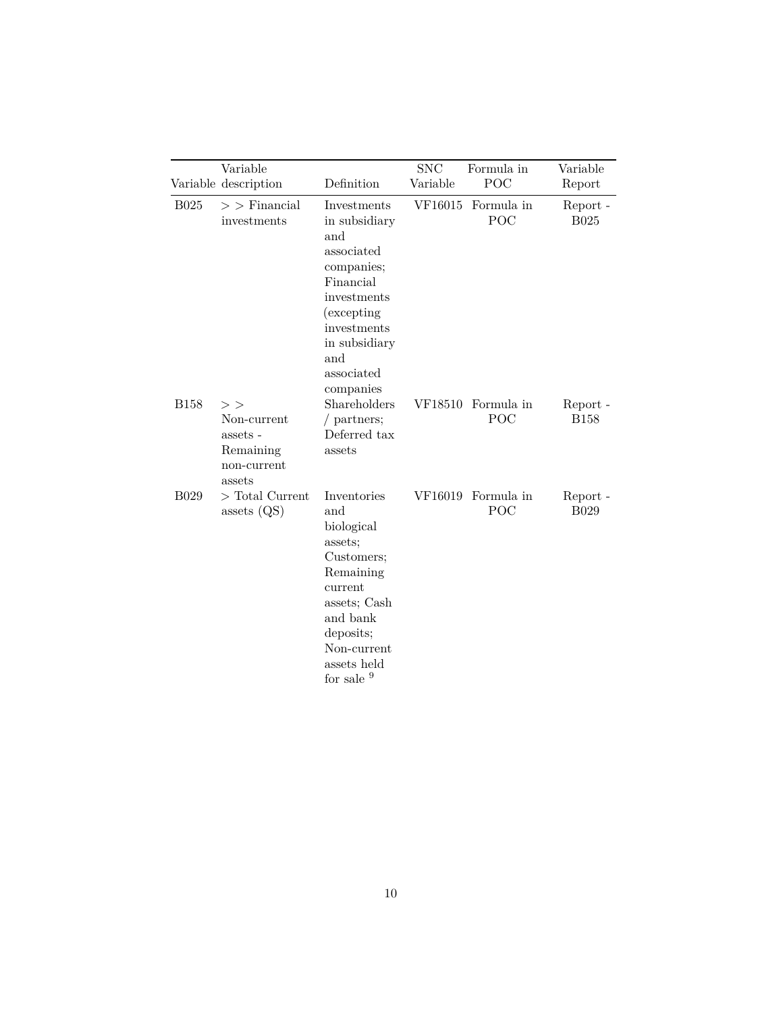|             | Variable<br>Variable description                                   | Definition                                                                                                                                                                   | <b>SNC</b><br>Variable | Formula in<br>POC         | Variable<br>Report               |
|-------------|--------------------------------------------------------------------|------------------------------------------------------------------------------------------------------------------------------------------------------------------------------|------------------------|---------------------------|----------------------------------|
| <b>B025</b> | $>$ Financial<br>investments                                       | Investments<br>in subsidiary<br>and<br>associated<br>companies;<br>Financial<br>investments<br>(excepting)<br>investments<br>in subsidiary<br>and<br>associated<br>companies |                        | VF16015 Formula in<br>POC | Report -<br><b>B025</b>          |
| <b>B158</b> | ><br>Non-current<br>assets -<br>Remaining<br>non-current<br>assets | Shareholders<br>$/$ partners;<br>Deferred tax<br>assets                                                                                                                      |                        | VF18510 Formula in<br>POC | Report -<br><b>B158</b>          |
| <b>B029</b> | $\gt$ Total Current<br>assets $(QS)$                               | Inventories<br>and<br>biological<br>assets;<br>Customers;<br>Remaining<br>current<br>assets; Cash<br>and bank<br>deposits;<br>Non-current<br>assets held<br>for sale 9       | VF16019                | Formula in<br>POC         | Report $\hbox{-}$<br><b>B029</b> |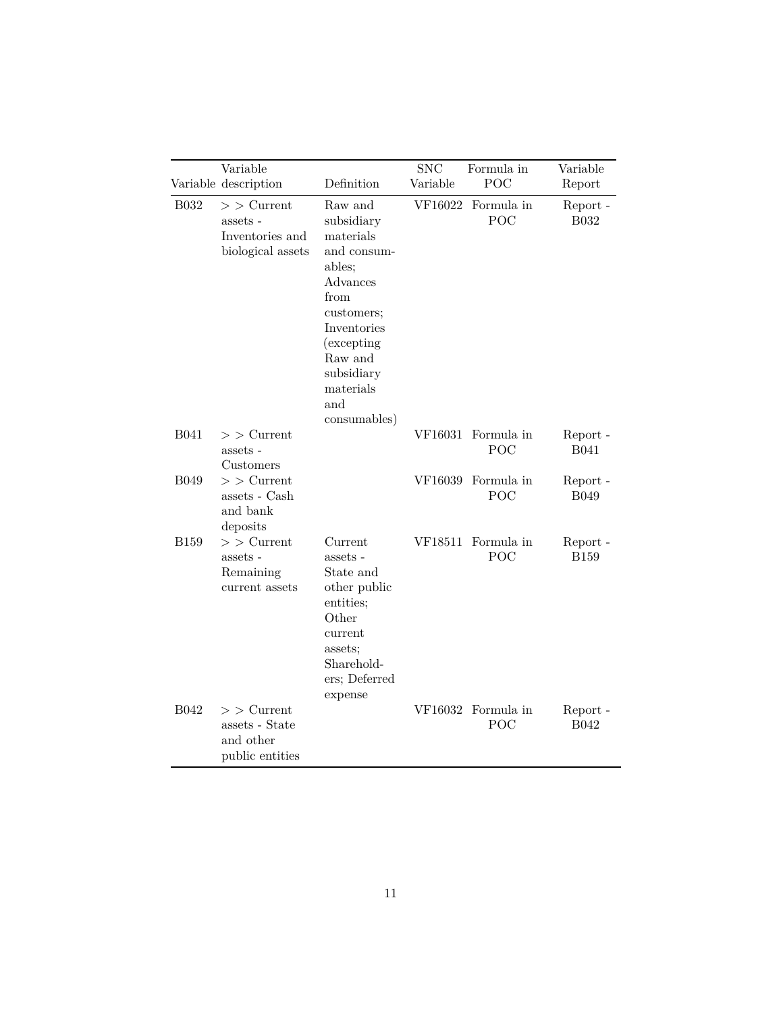|             | Variable<br>Variable description                                | Definition                                                                                                                                                                                      | <b>SNC</b><br>Variable | Formula in<br>POC         | Variable<br>Report      |
|-------------|-----------------------------------------------------------------|-------------------------------------------------------------------------------------------------------------------------------------------------------------------------------------------------|------------------------|---------------------------|-------------------------|
| <b>B032</b> | $>$ Current<br>assets -<br>Inventories and<br>biological assets | Raw and<br>subsidiary<br>materials<br>and consum-<br>ables;<br>Advances<br>from<br>customers;<br>Inventories<br><i>(excepting)</i><br>Raw and<br>subsidiary<br>materials<br>and<br>consumables) | VF16022                | Formula in<br>POC         | Report -<br><b>B032</b> |
| <b>B041</b> | $>$ Current<br>assets -<br>Customers                            |                                                                                                                                                                                                 | VF16031                | Formula in<br>POC         | Report -<br><b>B041</b> |
| <b>B049</b> | $>$ Current<br>assets - Cash<br>and bank<br>deposits            |                                                                                                                                                                                                 | VF16039                | Formula in<br>POC         | Report -<br><b>B049</b> |
| <b>B159</b> | $>$ $>$ Current<br>assets -<br>Remaining<br>current assets      | Current<br>assets -<br>State and<br>other public<br>entities;<br>Other<br>current<br>assets;<br>Sharehold-<br>ers; Deferred<br>expense                                                          |                        | VF18511 Formula in<br>POC | Report -<br><b>B159</b> |
| <b>B042</b> | $>$ Current<br>assets - State<br>and other<br>public entities   |                                                                                                                                                                                                 | VF16032                | Formula in<br>POC         | Report -<br><b>B042</b> |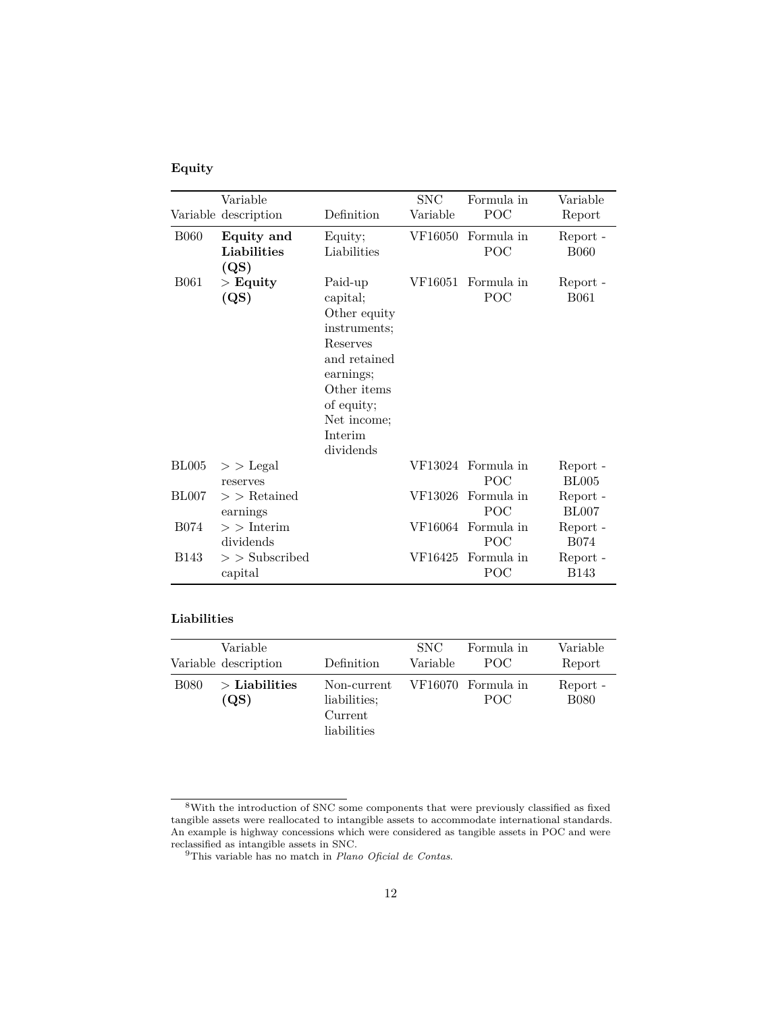### <span id="page-11-1"></span>**Equity**

|                  | Variable<br>Variable description  | Definition                                                                                                                                                       | <b>SNC</b><br>Variable | Formula in<br>POC         | Variable<br>Report       |
|------------------|-----------------------------------|------------------------------------------------------------------------------------------------------------------------------------------------------------------|------------------------|---------------------------|--------------------------|
| <b>B060</b>      | Equity and<br>Liabilities<br>(QS) | Equity;<br>Liabilities                                                                                                                                           | VF16050                | Formula in<br>POC         | Report -<br><b>B060</b>  |
| <b>B061</b>      | $\mathbf{E}$ Equity<br>(QS)       | Paid-up<br>capital;<br>Other equity<br>instruments:<br>Reserves<br>and retained<br>earnings;<br>Other items<br>of equity;<br>Net income;<br>Interim<br>dividends | VF16051                | Formula in<br>POC         | Report -<br><b>B061</b>  |
| BL005            | $>$ Legal<br>reserves             |                                                                                                                                                                  |                        | VF13024 Formula in<br>POC | Report -<br><b>BL005</b> |
| <b>BL007</b>     | $>$ Retained<br>earnings          |                                                                                                                                                                  | VF13026                | Formula in<br>POC         | Report -<br><b>BL007</b> |
| <b>B074</b>      | $>$ Interim<br>dividends          |                                                                                                                                                                  | VF16064                | Formula in<br>POC         | Report -<br><b>B074</b>  |
| B <sub>143</sub> | $>$ Subscribed<br>capital         |                                                                                                                                                                  | VF16425                | Formula in<br>POC         | Report -<br><b>B143</b>  |

#### <span id="page-11-2"></span>**Liabilities**

|             | Variable<br>Variable description  | Definition                                            | SNC.<br>Variable | Formula in<br>POC.         | Variable<br>Report      |
|-------------|-----------------------------------|-------------------------------------------------------|------------------|----------------------------|-------------------------|
| <b>B080</b> | $\mathcal{P}$ Liabilities<br>(QS) | Non-current<br>liabilities;<br>Current<br>liabilities |                  | VF16070 Formula in<br>POC. | Report -<br><b>B080</b> |

<span id="page-11-0"></span> ${}^{8}{\rm With}$  the introduction of SNC some components that were previously classified as fixed tangible assets were reallocated to intangible assets to accommodate international standards. An example is highway concessions which were considered as tangible assets in POC and were reclassified as intangible assets in SNC.

<sup>9</sup>This variable has no match in *Plano Oficial de Contas*.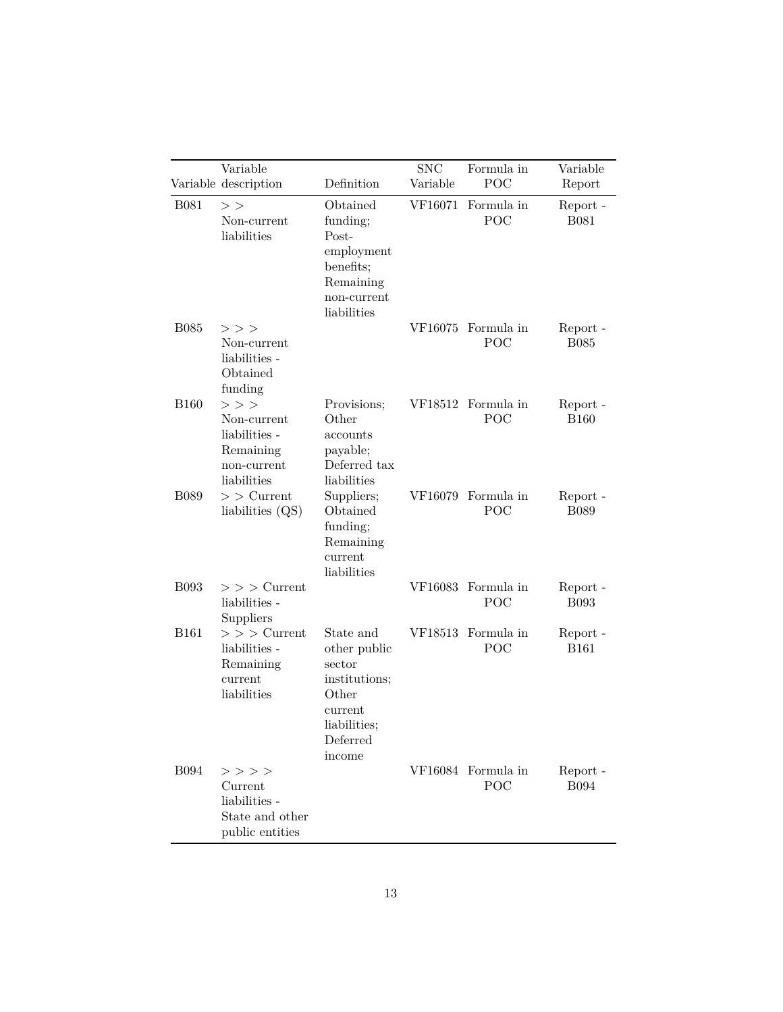|             | Variable<br>Variable description                                                       | Definition                                                                                                     | <b>SNC</b><br>Variable | Formula in<br>POC         | Variable<br>Report      |
|-------------|----------------------------------------------------------------------------------------|----------------------------------------------------------------------------------------------------------------|------------------------|---------------------------|-------------------------|
| <b>B081</b> | $>$ $>$<br>Non-current<br>liabilities                                                  | Obtained<br>funding;<br>Post-<br>employment<br>benefits;<br>Remaining<br>non-current<br>liabilities            | VF16071                | Formula in<br>POC         | Report -<br><b>B081</b> |
| <b>B085</b> | $>$ $>$ $>$<br>Non-current<br>liabilities -<br>Obtained<br>funding                     |                                                                                                                |                        | VF16075 Formula in<br>POC | Report -<br><b>B085</b> |
| <b>B160</b> | $>$ $>$ $>$<br>Non-current<br>liabilities -<br>Remaining<br>non-current<br>liabilities | Provisions;<br>Other<br>accounts<br>payable;<br>Deferred tax<br>liabilities                                    |                        | VF18512 Formula in<br>POC | Report -<br><b>B160</b> |
| <b>B089</b> | $>$ Current<br>liabilities $(QS)$                                                      | Suppliers;<br>Obtained<br>funding;<br>Remaining<br>current<br>liabilities                                      |                        | VF16079 Formula in<br>POC | Report -<br><b>B089</b> |
| <b>B093</b> | $>$ > $>$ Current<br>liabilities -<br>Suppliers                                        |                                                                                                                |                        | VF16083 Formula in<br>POC | Report -<br><b>B093</b> |
| <b>B161</b> | $>$ > $>$ Current<br>liabilities -<br>Remaining<br>current<br>liabilities              | State and<br>other public<br>sector<br>institutions;<br>Other<br>current<br>liabilities;<br>Deferred<br>income | VF18513                | Formula in<br>POC         | Report -<br><b>B161</b> |
| <b>B094</b> | $>$ $>$ $>$ $>$<br>Current<br>liabilities -<br>State and other<br>public entities      |                                                                                                                |                        | VF16084 Formula in<br>POC | Report -<br><b>B094</b> |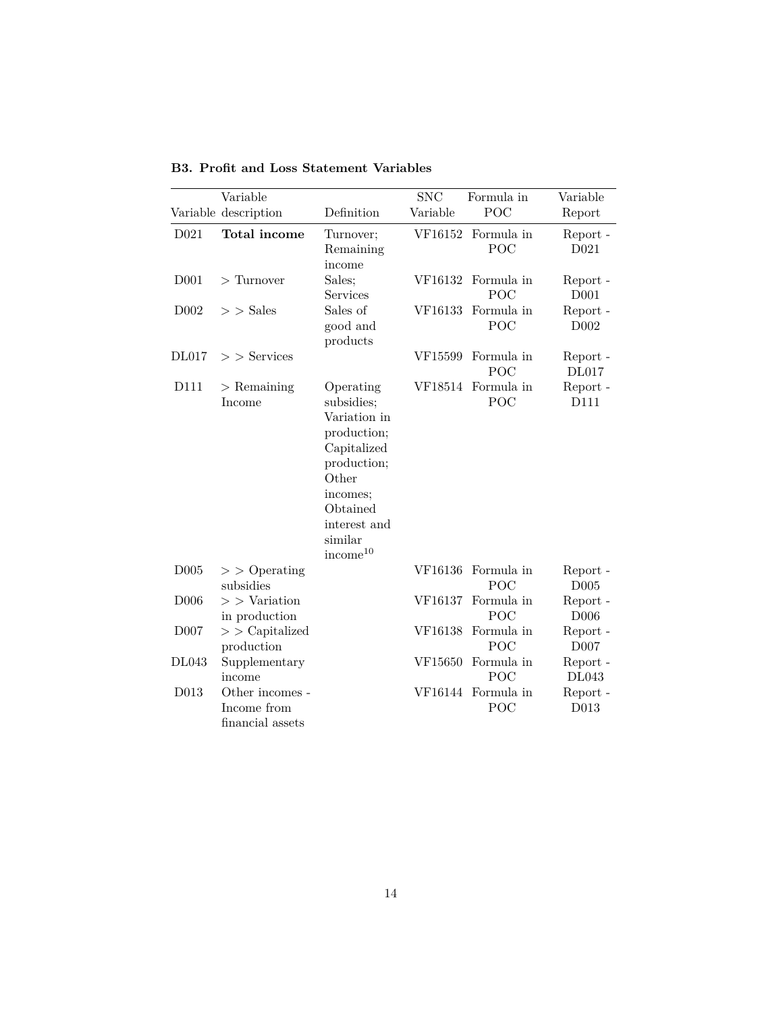|                  | Variable                                           |                                                                                                                                                                          | <b>SNC</b> | Formula in        | Variable                     |
|------------------|----------------------------------------------------|--------------------------------------------------------------------------------------------------------------------------------------------------------------------------|------------|-------------------|------------------------------|
|                  | Variable description                               | Definition                                                                                                                                                               | Variable   | POC               | Report                       |
| D <sub>021</sub> | Total income                                       | Turnover;<br>Remaining<br>income                                                                                                                                         | VF16152    | Formula in<br>POC | Report -<br>D <sub>021</sub> |
| D <sub>001</sub> | $\mathcal{F}$ Turnover                             | Sales;<br>Services                                                                                                                                                       | VF16132    | Formula in<br>POC | Report -<br>D <sub>001</sub> |
| D <sub>002</sub> | $>$ Sales                                          | Sales of<br>good and<br>products                                                                                                                                         | VF16133    | Formula in<br>POC | Report -<br>D <sub>002</sub> |
| DL017            | $>$ Services                                       |                                                                                                                                                                          | VF15599    | Formula in<br>POC | Report -<br><b>DL017</b>     |
| D111             | $>$ Remaining<br>Income                            | Operating<br>subsidies;<br>Variation in<br>production;<br>Capitalized<br>production;<br>Other<br>incomes;<br>Obtained<br>interest and<br>similar<br>income <sup>10</sup> | VF18514    | Formula in<br>POC | Report -<br>D111             |
| D <sub>005</sub> | $>$ Operating<br>subsidies                         |                                                                                                                                                                          | VF16136    | Formula in<br>POC | Report -<br>D005             |
| D <sub>006</sub> | $>$ $>$ Variation<br>in production                 |                                                                                                                                                                          | VF16137    | Formula in<br>POC | Report -<br>D <sub>006</sub> |
| D <sub>007</sub> | $>$ $\sim$ Capitalized<br>production               |                                                                                                                                                                          | VF16138    | Formula in<br>POC | Report -<br>D <sub>007</sub> |
| DL043            | Supplementary<br>income                            |                                                                                                                                                                          | VF15650    | Formula in<br>POC | Report -<br>DL043            |
| D013             | Other incomes -<br>Income from<br>financial assets |                                                                                                                                                                          | VF16144    | Formula in<br>POC | Report -<br>D013             |

<span id="page-13-0"></span>**B3. Profit and Loss Statement Variables**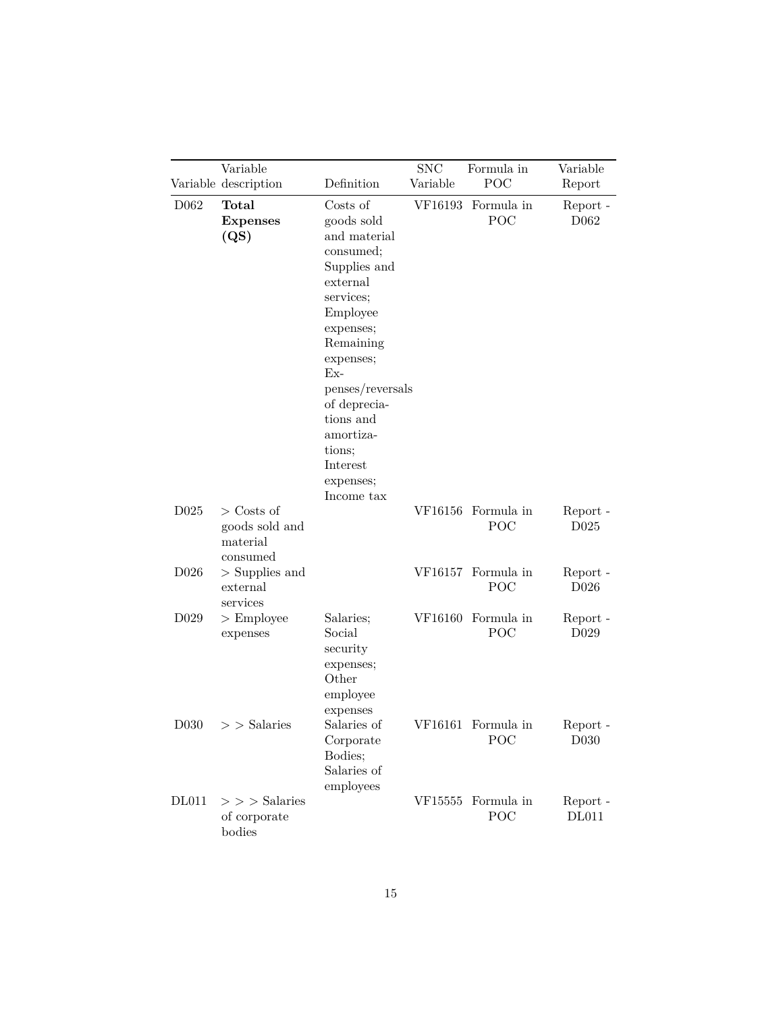|                   | Variable                                                  |                                                                                                                                                                                                                                                                         | <b>SNC</b> | Formula in                | Variable                     |
|-------------------|-----------------------------------------------------------|-------------------------------------------------------------------------------------------------------------------------------------------------------------------------------------------------------------------------------------------------------------------------|------------|---------------------------|------------------------------|
|                   | Variable description                                      | Definition                                                                                                                                                                                                                                                              | Variable   | POC                       | Report                       |
| D <sub>062</sub>  | Total<br><b>Expenses</b><br>(QS)                          | Costs of<br>goods sold<br>and material<br>consumed;<br>Supplies and<br>external<br>services;<br>Employee<br>expenses;<br>Remaining<br>expenses;<br>$Ex-$<br>penses/reversals<br>of deprecia-<br>tions and<br>amortiza-<br>tions;<br>Interest<br>expenses;<br>Income tax | VF16193    | Formula in<br>POC         | Report -<br>D062             |
| D025              | $\geq$ Costs of<br>goods sold and<br>material<br>consumed |                                                                                                                                                                                                                                                                         | VF16156    | Formula in<br>POC         | Report -<br>D <sub>025</sub> |
| D <sub>026</sub>  | $>$ Supplies and<br>external<br>services                  |                                                                                                                                                                                                                                                                         |            | VF16157 Formula in<br>POC | Report -<br>D <sub>026</sub> |
| D <sub>0</sub> 29 | $>$ Employee<br>expenses                                  | Salaries;<br>Social<br>security<br>expenses;<br>Other<br>employee<br>expenses                                                                                                                                                                                           | VF16160    | Formula in<br>POC         | Report -<br>D <sub>029</sub> |
| D <sub>030</sub>  | $>$ Salaries                                              | Salaries of<br>Corporate<br>Bodies;<br>Salaries of<br>employees                                                                                                                                                                                                         | VF16161    | Formula in<br>POC         | Report -<br>D <sub>030</sub> |
| <b>DL011</b>      | $>$ > $>$ Salaries<br>of corporate<br>bodies              |                                                                                                                                                                                                                                                                         | VF15555    | Formula in<br>POC         | Report -<br><b>DL011</b>     |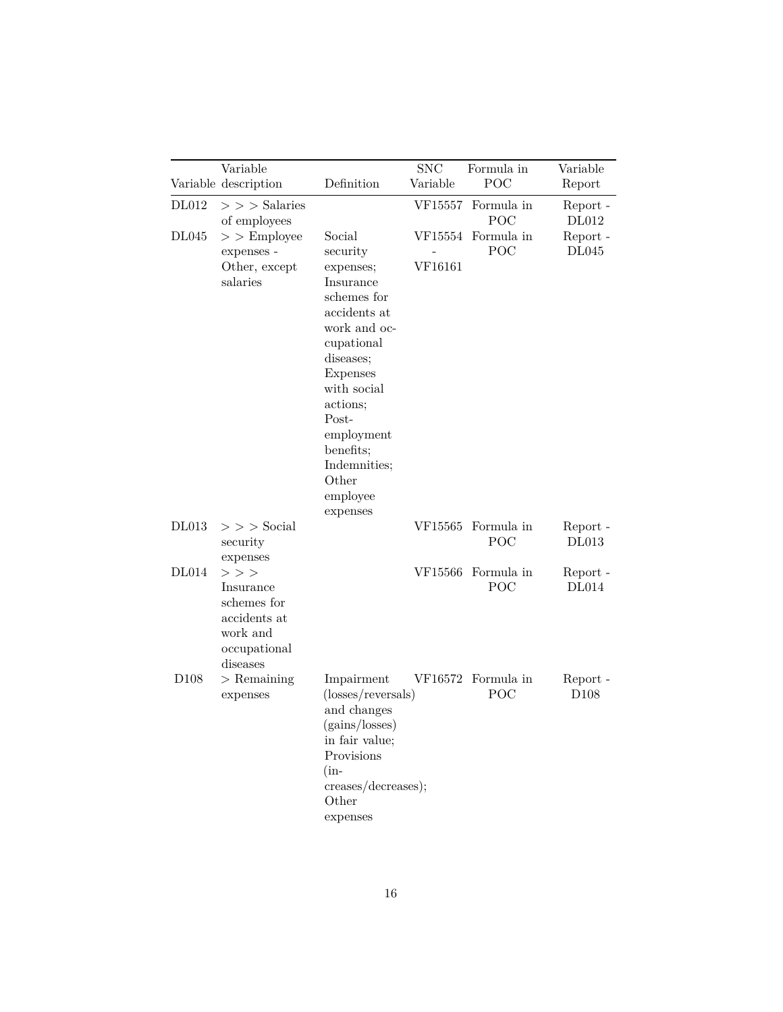|                  | Variable                                                                                        |                                                                                                                                                                                                                                                    | <b>SNC</b>         | Formula in                | Variable                     |
|------------------|-------------------------------------------------------------------------------------------------|----------------------------------------------------------------------------------------------------------------------------------------------------------------------------------------------------------------------------------------------------|--------------------|---------------------------|------------------------------|
|                  | Variable description                                                                            | Definition                                                                                                                                                                                                                                         | Variable           | POC                       | Report                       |
| DL012            | $>$ > $>$ Salaries<br>of employees                                                              |                                                                                                                                                                                                                                                    | VF15557            | Formula in<br>POC         | Report -<br><b>DL012</b>     |
| DL045            | $>$ $\geq$ Employee<br>expenses -<br>Other, except<br>salaries                                  | Social<br>security<br>expenses;<br>Insurance<br>schemes for<br>accidents at<br>work and oc-<br>cupational<br>diseases;<br>Expenses<br>with social<br>actions;<br>Post-<br>employment<br>benefits;<br>Indemnities;<br>Other<br>employee<br>expenses | VF15554<br>VF16161 | Formula in<br>POC         | Report -<br>DL045            |
| <b>DL013</b>     | $>$ $>$ $>$ Social $\,$<br>security<br>expenses                                                 |                                                                                                                                                                                                                                                    | VF15565            | Formula in<br>POC         | Report -<br><b>DL013</b>     |
| DL014            | $>$ $>$ $>$<br>Insurance<br>schemes for<br>accidents at<br>work and<br>occupational<br>diseases |                                                                                                                                                                                                                                                    | VF15566            | Formula in<br>POC         | Report -<br><b>DL014</b>     |
| D <sub>108</sub> | $>$ Remaining<br>expenses                                                                       | Impairment<br>$(\text{losses/reversals})$<br>and changes<br>(gains/losses)<br>in fair value;<br>Provisions<br>$(in-$<br>creases/decreases);<br>Other<br>expenses                                                                                   |                    | VF16572 Formula in<br>POC | Report -<br>D <sub>108</sub> |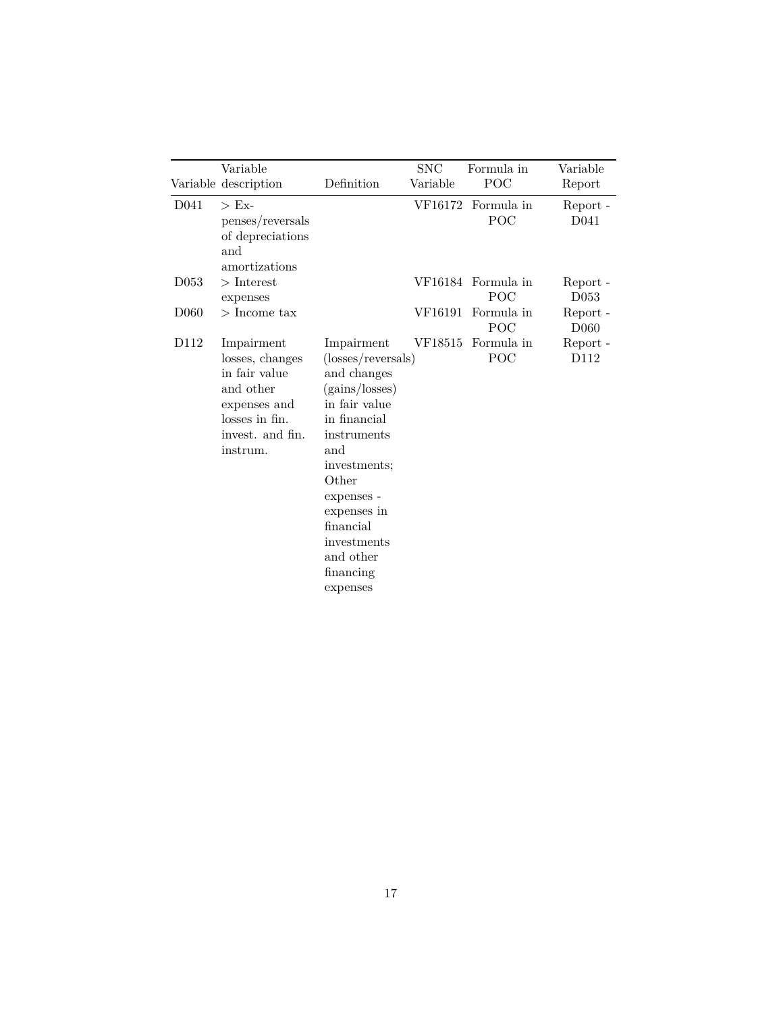|                  | Variable                                                                                                                      |                                                                                                                                                                                                                                                  | <b>SNC</b> | Formula in                | Variable                     |
|------------------|-------------------------------------------------------------------------------------------------------------------------------|--------------------------------------------------------------------------------------------------------------------------------------------------------------------------------------------------------------------------------------------------|------------|---------------------------|------------------------------|
|                  | Variable description                                                                                                          | Definition                                                                                                                                                                                                                                       | Variable   | POC                       | Report                       |
| D <sub>041</sub> | $>E_{X^-}$<br>penses/reversals<br>of depreciations<br>and<br>amortizations                                                    |                                                                                                                                                                                                                                                  |            | VF16172 Formula in<br>POC | Report -<br>D <sub>041</sub> |
| D <sub>053</sub> | $>$ Interest<br>expenses                                                                                                      |                                                                                                                                                                                                                                                  |            | VF16184 Formula in<br>POC | Report -<br>D <sub>053</sub> |
| D <sub>060</sub> | $>$ Income tax                                                                                                                |                                                                                                                                                                                                                                                  | VF16191    | Formula in<br>POC         | Report -<br>D <sub>060</sub> |
| D112             | Impairment<br>losses, changes<br>in fair value<br>and other<br>expenses and<br>losses in fin.<br>invest. and fin.<br>instrum. | Impairment<br>(losses/reversals)<br>and changes<br>(gains/losses)<br>in fair value<br>in financial<br>instruments<br>and<br>investments;<br>Other<br>expenses -<br>expenses in<br>financial<br>investments<br>and other<br>financing<br>expenses | VF18515    | Formula in<br>POC         | Report -<br>D112             |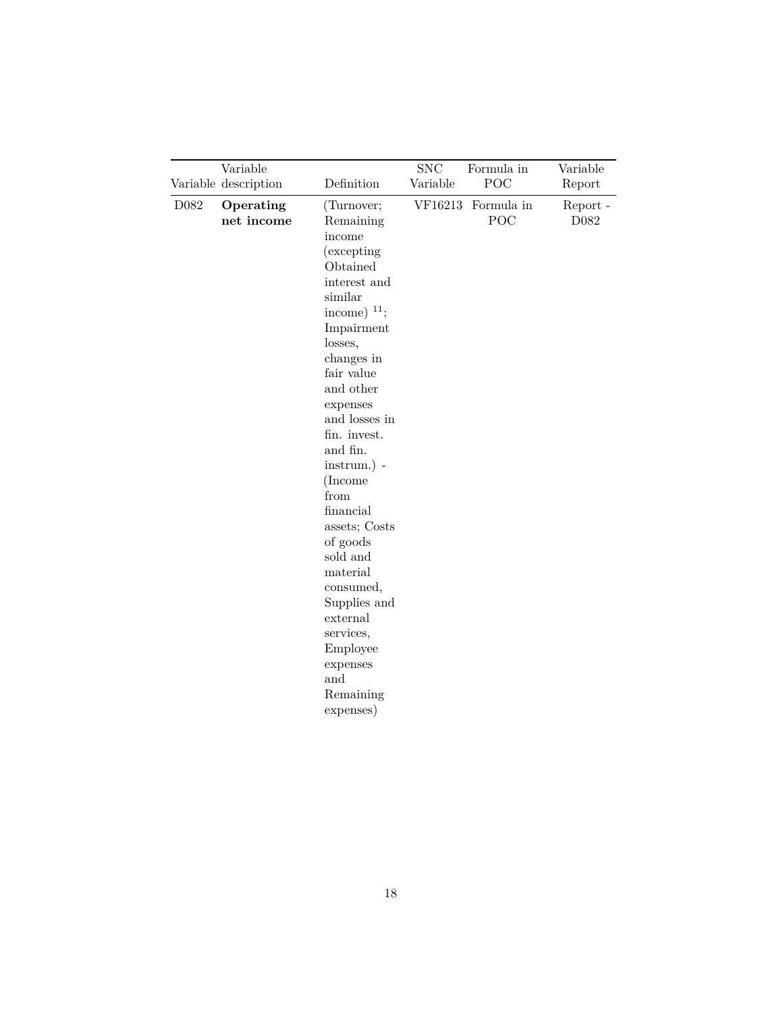|      | Variable<br>Variable description | Definition                                                                                                                                                                                                                                                                                                                                                                                                                                                   | ${\rm SNC}$<br>Variable | Formula in<br>POC         | Variable<br>Report |
|------|----------------------------------|--------------------------------------------------------------------------------------------------------------------------------------------------------------------------------------------------------------------------------------------------------------------------------------------------------------------------------------------------------------------------------------------------------------------------------------------------------------|-------------------------|---------------------------|--------------------|
| D082 | Operating<br>net income          | (Turnover;<br>Remaining<br>income<br>(excepting)<br>Obtained<br>interest and<br>similar<br>income) $11$ ;<br>Impairment<br>losses,<br>changes in<br>fair value<br>and other<br>expenses<br>and losses in<br>fin. invest.<br>and fin.<br>$instrument.)$ -<br>(Income<br>from<br>financial<br>assets; Costs<br>of goods<br>sold and<br>material<br>consumed,<br>Supplies and<br>external<br>services,<br>Employee<br>expenses<br>and<br>Remaining<br>expenses) |                         | VF16213 Formula in<br>POC | Report -<br>D082   |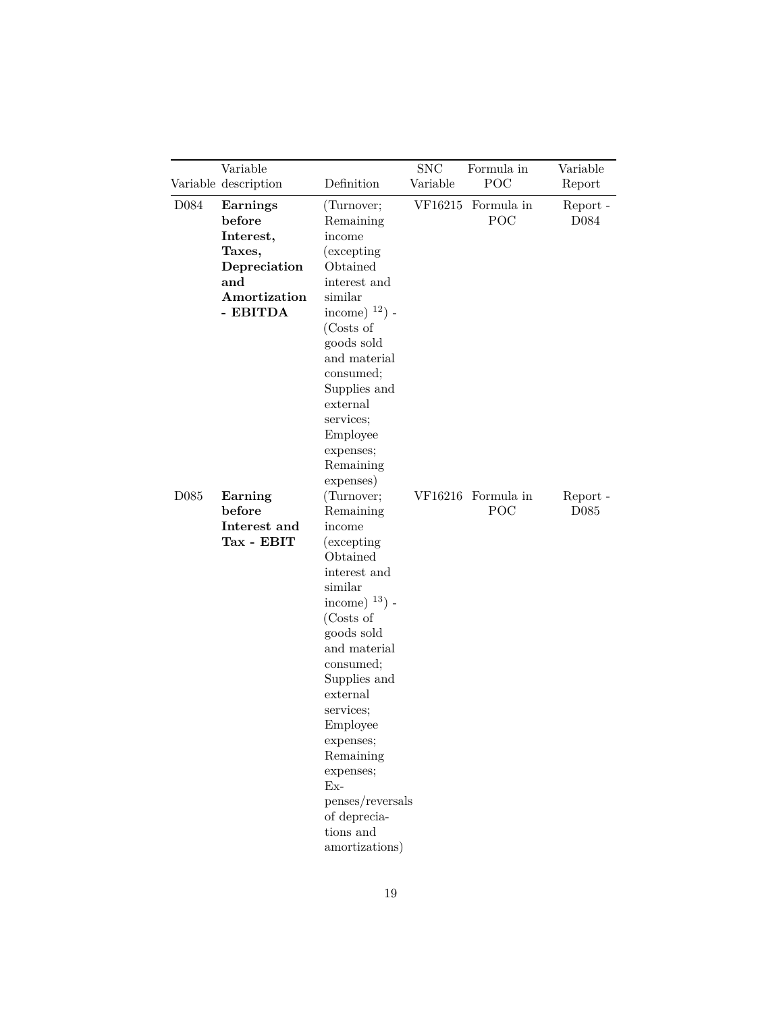|                  | Variable<br>Variable description                                                                    | Definition                                                                                                                                                                                                                                                                                                                                            | $\operatorname{SNC}$<br>Variable | Formula in<br>POC         | Variable<br>Report                    |
|------------------|-----------------------------------------------------------------------------------------------------|-------------------------------------------------------------------------------------------------------------------------------------------------------------------------------------------------------------------------------------------------------------------------------------------------------------------------------------------------------|----------------------------------|---------------------------|---------------------------------------|
| D084             | <b>Earnings</b><br>before<br>Interest,<br>Taxes,<br>Depreciation<br>and<br>Amortization<br>- EBITDA | (Turnover;<br>Remaining<br>income<br>(excepting)<br>Obtained<br>interest and<br>similar<br>income) $^{12}$ ) -<br>(Costs of<br>goods sold<br>and material<br>consumed;<br>Supplies and<br>external<br>services;<br>Employee<br>expenses;<br>Remaining<br>expenses)                                                                                    |                                  | VF16215 Formula in<br>POC | Report -<br>D084                      |
| D <sub>085</sub> | Earning<br>before<br>Interest and<br>Tax - EBIT                                                     | (Turnover;<br>Remaining<br>income<br><i>(excepting)</i><br>Obtained<br>interest and<br>similar<br>income) $^{13}$ ) -<br>(Costs of<br>goods sold<br>and material<br>consumed;<br>Supplies and<br>external<br>services;<br>Employee<br>expenses;<br>Remaining<br>expenses;<br>$Ex-$<br>penses/reversals<br>of deprecia-<br>tions and<br>amortizations) |                                  | VF16216 Formula in<br>POC | Report $\hbox{-}$<br>D <sub>085</sub> |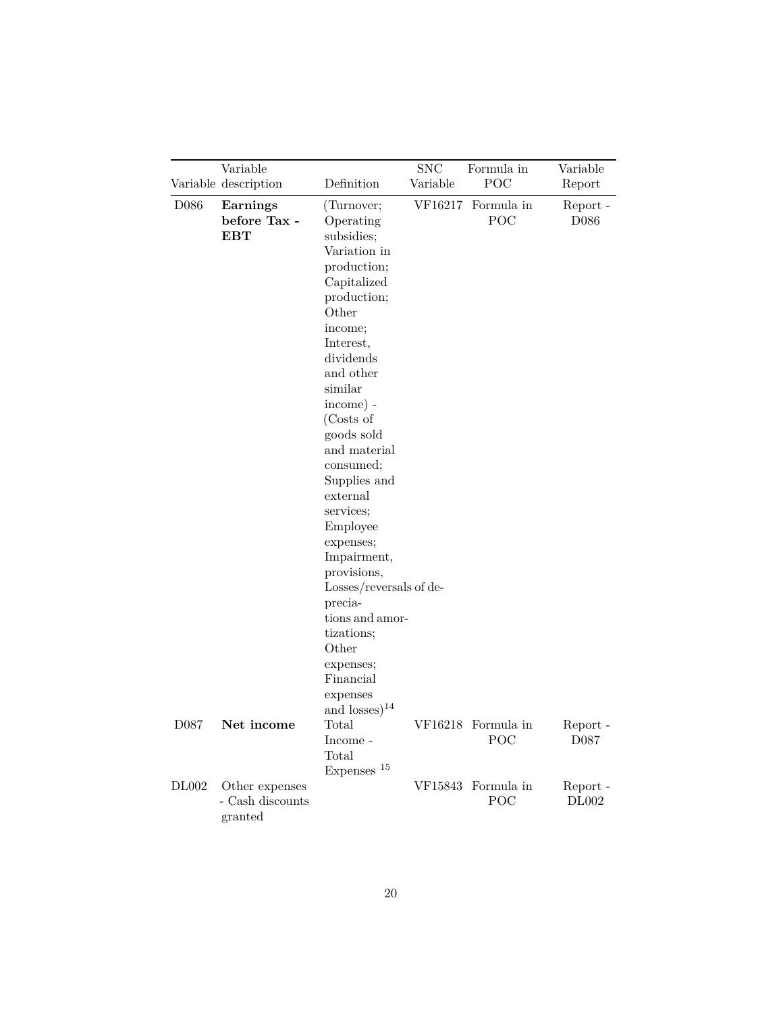|                  | Variable                                      |                                                                                                                                                                                                                                                                                                                                                                                                                                                         | <b>SNC</b> | Formula in                | Variable                     |
|------------------|-----------------------------------------------|---------------------------------------------------------------------------------------------------------------------------------------------------------------------------------------------------------------------------------------------------------------------------------------------------------------------------------------------------------------------------------------------------------------------------------------------------------|------------|---------------------------|------------------------------|
|                  | Variable description                          | Definition                                                                                                                                                                                                                                                                                                                                                                                                                                              | Variable   | POC                       | Report                       |
| D <sub>086</sub> | Earnings<br>before Tax -<br><b>EBT</b>        | (Turnover;<br>Operating<br>subsidies;<br>Variation in<br>production;<br>Capitalized<br>production;<br>Other<br>income;<br>Interest,<br>dividends<br>and other<br>similar<br>income) -<br>(Costs of<br>goods sold<br>and material<br>consumed;<br>Supplies and<br>external<br>services;<br>Employee<br>expenses;<br>Impairment,<br>provisions,<br>Losses/reversals of de-<br>precia-<br>tions and amor-<br>tizations;<br>Other<br>expenses;<br>Financial | VF16217    | Formula in<br>POC         | Report -<br>D086             |
| D087             | Net income                                    | expenses<br>and losses) $^{14}$<br>Total<br>Income -<br>Total                                                                                                                                                                                                                                                                                                                                                                                           |            | VF16218 Formula in<br>POC | Report -<br>D <sub>087</sub> |
| <b>DL002</b>     | Other expenses<br>- Cash discounts<br>granted | Expenses <sup>15</sup>                                                                                                                                                                                                                                                                                                                                                                                                                                  |            | VF15843 Formula in<br>POC | Report -<br>DL002            |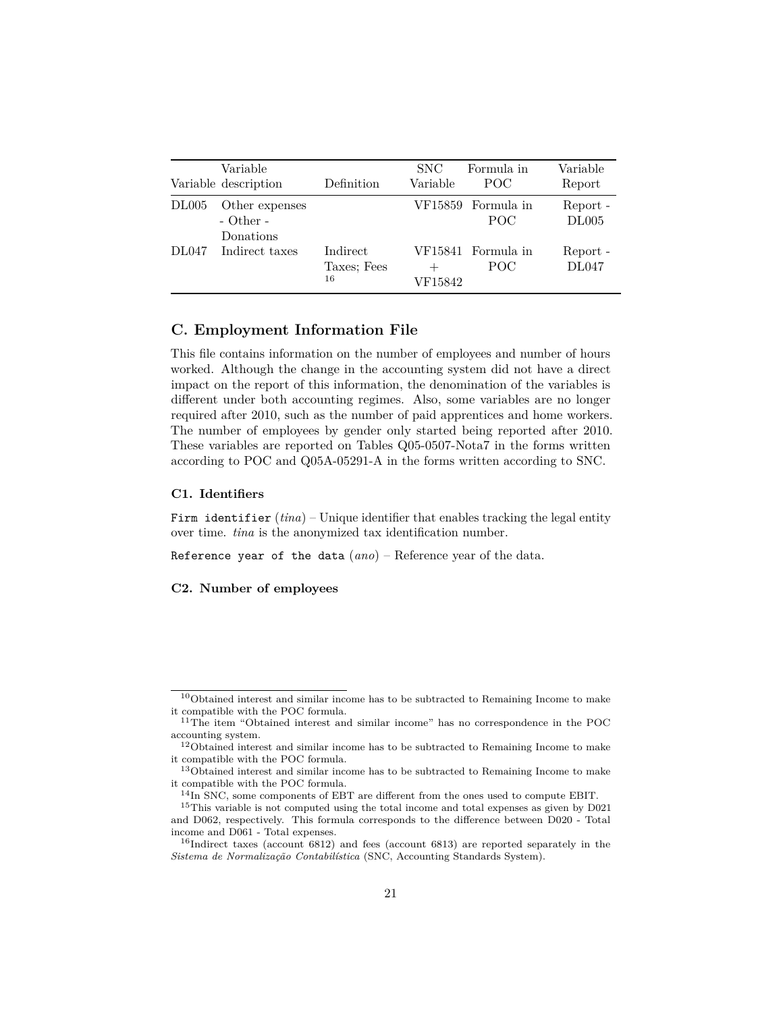|       | Variable<br>Variable description             | Definition                    | SNC<br>Variable | Formula in<br>POC          | Variable<br>Report |
|-------|----------------------------------------------|-------------------------------|-----------------|----------------------------|--------------------|
| DL005 | Other expenses<br>$-$ Other $-$<br>Donations |                               |                 | VF15859 Formula in<br>POC. | Report -<br>DL005  |
| DL047 | Indirect taxes                               | Indirect<br>Taxes: Fees<br>16 | VF15842         | VF15841 Formula in<br>POC. | Report -<br>DL047  |

#### <span id="page-20-0"></span>**C. Employment Information File**

This file contains information on the number of employees and number of hours worked. Although the change in the accounting system did not have a direct impact on the report of this information, the denomination of the variables is different under both accounting regimes. Also, some variables are no longer required after 2010, such as the number of paid apprentices and home workers. The number of employees by gender only started being reported after 2010. These variables are reported on Tables Q05-0507-Nota7 in the forms written according to POC and Q05A-05291-A in the forms written according to SNC.

#### **C1. Identifiers**

Firm identifier  $(tina)$  – Unique identifier that enables tracking the legal entity over time. *tina* is the anonymized tax identification number.

Reference year of the data (*ano*) – Reference year of the data.

#### **C2. Number of employees**

<span id="page-20-1"></span> $10$ Obtained interest and similar income has to be subtracted to Remaining Income to make it compatible with the POC formula.

<sup>&</sup>lt;sup>11</sup>The item "Obtained interest and similar income" has no correspondence in the POC accounting system.

<sup>&</sup>lt;sup>12</sup>Obtained interest and similar income has to be subtracted to Remaining Income to make it compatible with the POC formula.

<sup>&</sup>lt;sup>13</sup>Obtained interest and similar income has to be subtracted to Remaining Income to make it compatible with the POC formula.

<sup>14</sup>In SNC, some components of EBT are different from the ones used to compute EBIT.

<sup>15</sup>This variable is not computed using the total income and total expenses as given by D021 and D062, respectively. This formula corresponds to the difference between D020 - Total income and D061 - Total expenses.

<sup>16</sup>Indirect taxes (account 6812) and fees (account 6813) are reported separately in the *Sistema de Normalização Contabilística* (SNC, Accounting Standards System).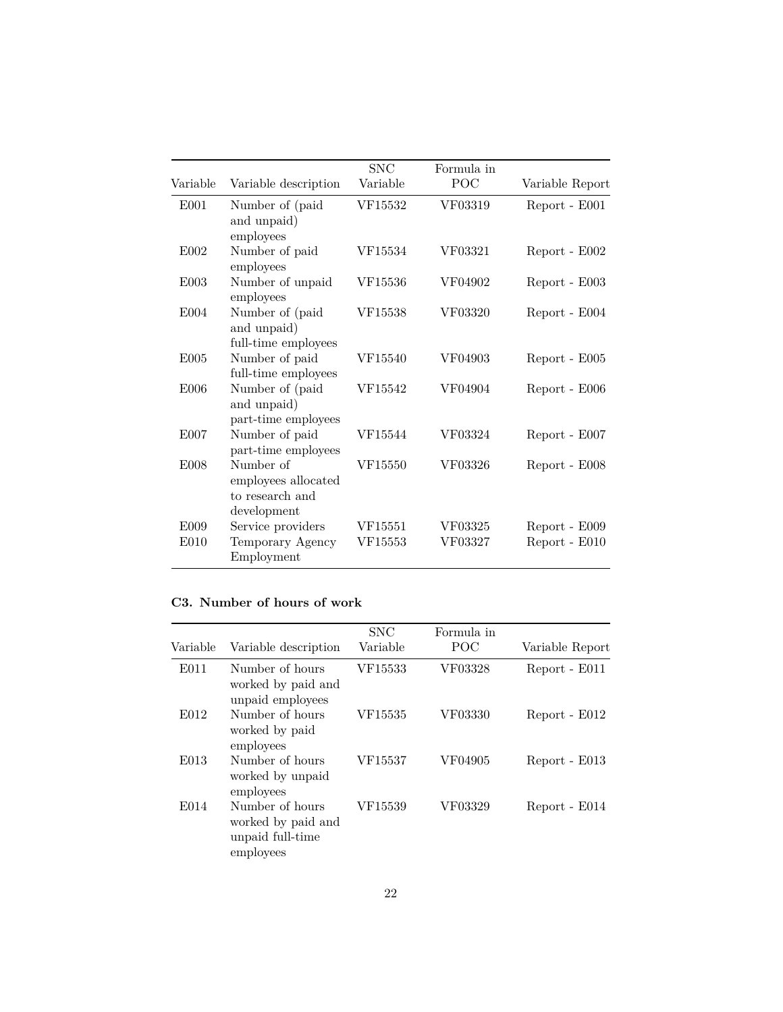|                  |                                                                    | <b>SNC</b> | Formula in |                 |
|------------------|--------------------------------------------------------------------|------------|------------|-----------------|
| Variable         | Variable description                                               | Variable   | POC        | Variable Report |
| E001             | Number of (paid)<br>and unpaid)<br>employees                       | VF15532    | VF03319    | Report - E001   |
| E002             | Number of paid<br>employees                                        | VF15534    | VF03321    | Report - E002   |
| E003             | Number of unpaid<br>employees                                      | VF15536    | VF04902    | Report - E003   |
| E004             | Number of (paid<br>and unpaid)<br>full-time employees              | VF15538    | VF03320    | Report - E004   |
| E005             | Number of paid<br>full-time employees                              | VF15540    | VF04903    | Report - E005   |
| E006             | Number of (paid<br>and unpaid)<br>part-time employees              | VF15542    | VF04904    | Report - E006   |
| E007             | Number of paid<br>part-time employees                              | VF15544    | VF03324    | Report - E007   |
| E <sub>008</sub> | Number of<br>employees allocated<br>to research and<br>development | VF15550    | VF03326    | Report - E008   |
| E009             | Service providers                                                  | VF15551    | VF03325    | Report - E009   |
| E010             | Temporary Agency<br>Employment                                     | VF15553    | VF03327    | Report - E010   |

### **C3. Number of hours of work**

| Variable | Variable description                                                   | <b>SNC</b><br>Variable | Formula in<br>POC | Variable Report |
|----------|------------------------------------------------------------------------|------------------------|-------------------|-----------------|
| E011     | Number of hours<br>worked by paid and<br>unpaid employees              | VF15533                | VF03328           | Report - E011   |
| E012     | Number of hours<br>worked by paid<br>employees                         | VF15535                | VF03330           | Report - E012   |
| E013     | Number of hours<br>worked by unpaid<br>employees                       | VF15537                | VF04905           | Report - E013   |
| E014     | Number of hours<br>worked by paid and<br>unpaid full-time<br>employees | VF15539                | VF03329           | Report - E014   |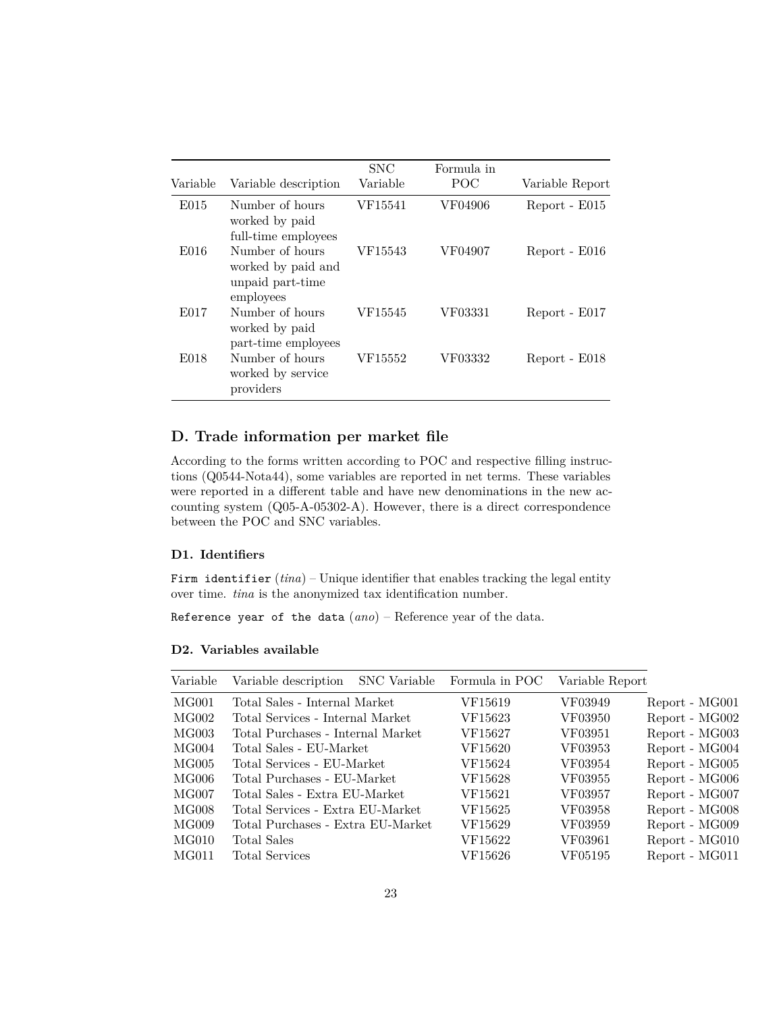| Variable | Variable description                                                   | <b>SNC</b><br>Variable | Formula in<br>POC | Variable Report |
|----------|------------------------------------------------------------------------|------------------------|-------------------|-----------------|
| E015     | Number of hours<br>worked by paid<br>full-time employees               | VF15541                | VF04906           | Report - E015   |
| E016     | Number of hours<br>worked by paid and<br>unpaid part-time<br>employees | VF15543                | VF04907           | Report - E016   |
| E017     | Number of hours<br>worked by paid<br>part-time employees               | VF15545                | VF03331           | Report - E017   |
| E018     | Number of hours<br>worked by service<br>providers                      | VF15552                | VF03332           | Report - E018   |

### <span id="page-22-0"></span>**D. Trade information per market file**

According to the forms written according to POC and respective filling instructions (Q0544-Nota44), some variables are reported in net terms. These variables were reported in a different table and have new denominations in the new accounting system (Q05-A-05302-A). However, there is a direct correspondence between the POC and SNC variables.

#### **D1. Identifiers**

Firm identifier  $(tina)$  – Unique identifier that enables tracking the legal entity over time. *tina* is the anonymized tax identification number.

Reference year of the data (*ano*) – Reference year of the data.

| MG001<br>Total Sales - Internal Market<br>VF15619<br>VF03949<br>Report - MG001     |  |
|------------------------------------------------------------------------------------|--|
| MG002<br>Total Services - Internal Market<br>VF15623<br>VF03950<br>Report - MG002  |  |
| MG003<br>Report - MG003<br>Total Purchases - Internal Market<br>VF03951<br>VF15627 |  |
| MG004<br>VF03953<br>Report - MG004<br>Total Sales - EU-Market<br>VF15620           |  |
| MG005<br>Total Services - EU-Market<br>VF03954<br>Report - MG005<br>VF15624        |  |
| MG006<br>Total Purchases - EU-Market<br>Report - MG006<br>VF15628<br>VF03955       |  |
| MG007<br>Report - MG007<br>Total Sales - Extra EU-Market<br>VF15621<br>VF03957     |  |
| MG008<br>VF15625<br>Report - MG008<br>Total Services - Extra EU-Market<br>VF03958  |  |
| MG009<br>Report - MG009<br>Total Purchases - Extra EU-Market<br>VF15629<br>VF03959 |  |
| MG010<br>Total Sales<br>Report - MG010<br>VF15622<br>VF03961                       |  |
| MG011<br>Total Services<br>VF15626<br>Report - MG011<br>VF05195                    |  |

#### **D2. Variables available**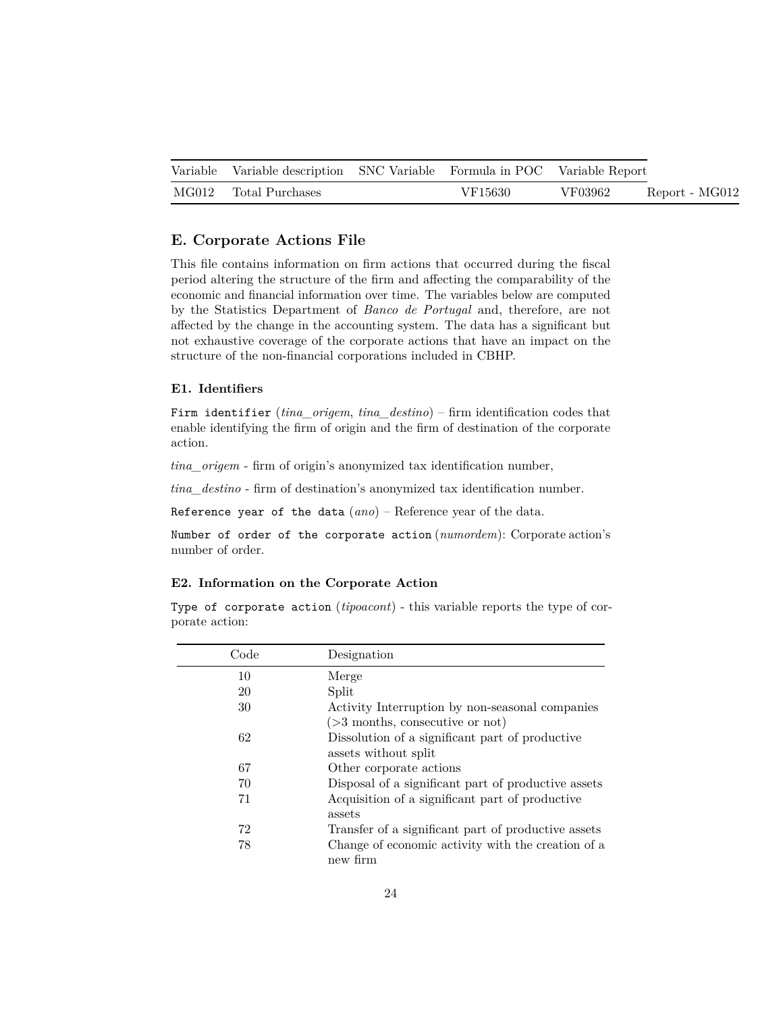| Variable Variable description SNC Variable Formula in POC Variable Report |         |         |                |  |
|---------------------------------------------------------------------------|---------|---------|----------------|--|
| MG012 Total Purchases                                                     | VF15630 | VF03962 | Report - MG012 |  |

### <span id="page-23-0"></span>**E. Corporate Actions File**

This file contains information on firm actions that occurred during the fiscal period altering the structure of the firm and affecting the comparability of the economic and financial information over time. The variables below are computed by the Statistics Department of *Banco de Portugal* and, therefore, are not affected by the change in the accounting system. The data has a significant but not exhaustive coverage of the corporate actions that have an impact on the structure of the non-financial corporations included in CBHP.

#### **E1. Identifiers**

Firm identifier (*tina\_origem*, *tina\_destino*) – firm identification codes that enable identifying the firm of origin and the firm of destination of the corporate action.

*tina\_origem* - firm of origin's anonymized tax identification number,

*tina\_destino* - firm of destination's anonymized tax identification number.

Reference year of the data (*ano*) – Reference year of the data.

Number of order of the corporate action (*numordem*): Corporate action's number of order.

#### **E2. Information on the Corporate Action**

Type of corporate action (*tipoacont*) - this variable reports the type of corporate action:

| Code | Designation                                                             |
|------|-------------------------------------------------------------------------|
| 10   | Merge                                                                   |
| 20   | Split                                                                   |
| 30   | Activity Interruption by non-seasonal companies                         |
|      | $($ >3 months, consecutive or not)                                      |
| 62   | Dissolution of a significant part of productive<br>assets without split |
|      |                                                                         |
| 67   | Other corporate actions                                                 |
| 70   | Disposal of a significant part of productive assets                     |
| 71   | Acquisition of a significant part of productive<br>assets               |
| 72   | Transfer of a significant part of productive assets                     |
| 78   | Change of economic activity with the creation of a<br>new firm          |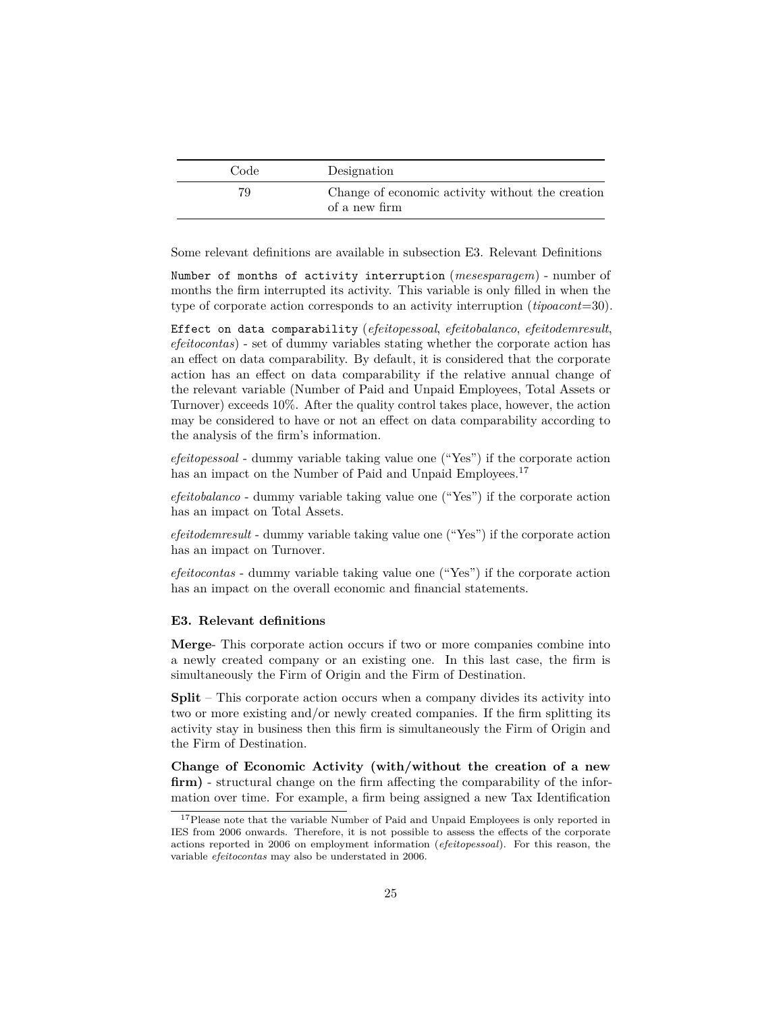| Code | Designation                                                       |
|------|-------------------------------------------------------------------|
| 79   | Change of economic activity without the creation<br>of a new firm |

Some relevant definitions are available in subsection [E3. Relevant Definitions](#page-24-0)

Number of months of activity interruption (*mesesparagem*) - number of months the firm interrupted its activity. This variable is only filled in when the type of corporate action corresponds to an activity interruption (*tipoacont*=30).

Effect on data comparability (*efeitopessoal*, *efeitobalanco*, *efeitodemresult*, *efeitocontas*) - set of dummy variables stating whether the corporate action has an effect on data comparability. By default, it is considered that the corporate action has an effect on data comparability if the relative annual change of the relevant variable (Number of Paid and Unpaid Employees, Total Assets or Turnover) exceeds 10%. After the quality control takes place, however, the action may be considered to have or not an effect on data comparability according to the analysis of the firm's information.

*efeitopessoal* - dummy variable taking value one ("Yes") if the corporate action has an impact on the Number of Paid and Unpaid Employees.<sup>[17](#page-24-1)</sup>

*efeitobalanco* - dummy variable taking value one ("Yes") if the corporate action has an impact on Total Assets.

*efeitodemresult* - dummy variable taking value one ("Yes") if the corporate action has an impact on Turnover.

*efeitocontas* - dummy variable taking value one ("Yes") if the corporate action has an impact on the overall economic and financial statements.

#### <span id="page-24-0"></span>**E3. Relevant definitions**

**Merge**- This corporate action occurs if two or more companies combine into a newly created company or an existing one. In this last case, the firm is simultaneously the Firm of Origin and the Firm of Destination.

**Split** – This corporate action occurs when a company divides its activity into two or more existing and/or newly created companies. If the firm splitting its activity stay in business then this firm is simultaneously the Firm of Origin and the Firm of Destination.

**Change of Economic Activity (with/without the creation of a new firm)** - structural change on the firm affecting the comparability of the information over time. For example, a firm being assigned a new Tax Identification

<span id="page-24-1"></span><sup>&</sup>lt;sup>17</sup>Please note that the variable Number of Paid and Unpaid Employees is only reported in IES from 2006 onwards. Therefore, it is not possible to assess the effects of the corporate actions reported in 2006 on employment information (*efeitopessoal*). For this reason, the variable *efeitocontas* may also be understated in 2006.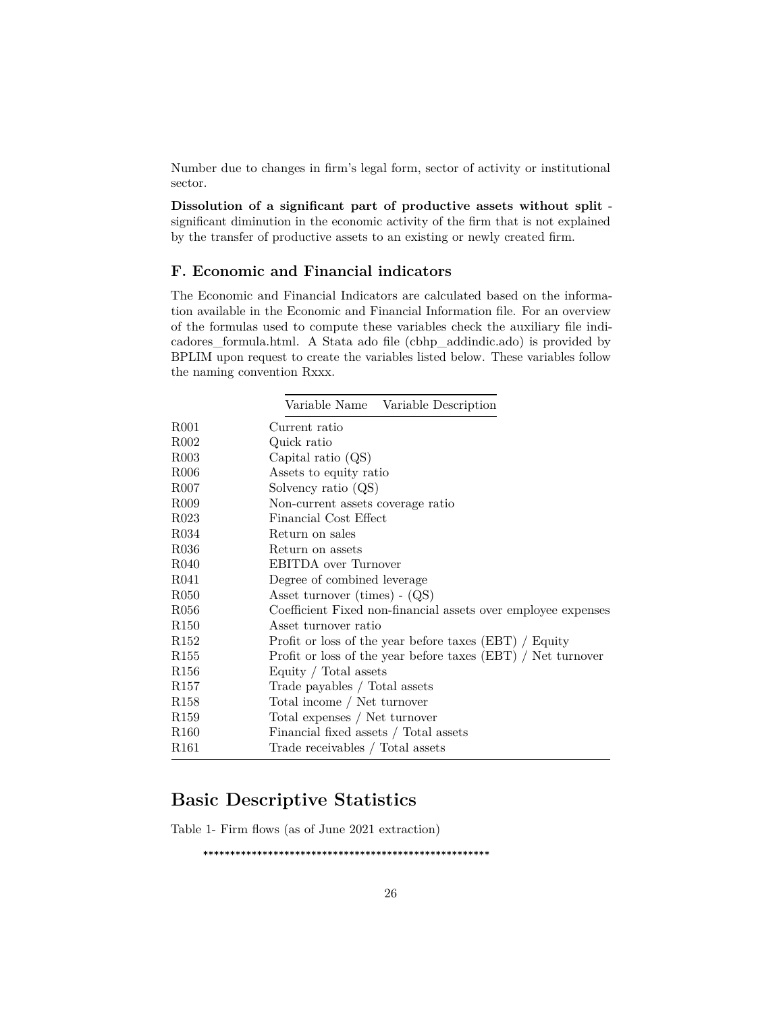Number due to changes in firm's legal form, sector of activity or institutional sector.

**Dissolution of a significant part of productive assets without split** significant diminution in the economic activity of the firm that is not explained by the transfer of productive assets to an existing or newly created firm.

#### <span id="page-25-0"></span>**F. Economic and Financial indicators**

The Economic and Financial Indicators are calculated based on the information available in the Economic and Financial Information file. For an overview of the formulas used to compute these variables check the auxiliary file [indi](./aux_files/variables_description/indicadores_formula.html)[cadores\\_formula.html.](./aux_files/variables_description/indicadores_formula.html) A Stata ado file [\(cbhp\\_addindic.ado\)](https://github.com/BPLIM/Tools/tree/master/ados/CBHP/cbhp_addindic) is provided by BPLIM upon request to create the variables listed below. These variables follow the naming convention Rxxx.

|                   | Variable Name Variable Description                            |
|-------------------|---------------------------------------------------------------|
| R <sub>001</sub>  | Current ratio                                                 |
| R <sub>0</sub> 02 | Quick ratio                                                   |
| R <sub>003</sub>  | Capital ratio $(QS)$                                          |
| R <sub>006</sub>  | Assets to equity ratio                                        |
| R <sub>007</sub>  | Solvency ratio $(QS)$                                         |
| R <sub>009</sub>  | Non-current assets coverage ratio                             |
| R <sub>023</sub>  | Financial Cost Effect                                         |
| R034              | Return on sales                                               |
| R036              | Return on assets                                              |
| R <sub>040</sub>  | EBITDA over Turnover                                          |
| R041              | Degree of combined leverage                                   |
| R <sub>050</sub>  | Asset turnover $(\text{times}) - (QS)$                        |
| R <sub>056</sub>  | Coefficient Fixed non-financial assets over employee expenses |
| R <sub>150</sub>  | Asset turnover ratio                                          |
| R <sub>152</sub>  | Profit or loss of the year before taxes (EBT) / Equity        |
| R <sub>155</sub>  | Profit or loss of the year before taxes (EBT) / Net turnover  |
| R <sub>156</sub>  | Equity / Total assets                                         |
| R <sub>157</sub>  | Trade payables / Total assets                                 |
| R <sub>158</sub>  | Total income / Net turnover                                   |
| R <sub>159</sub>  | Total expenses / Net turnover                                 |
| R <sub>160</sub>  | Financial fixed assets $/$ Total assets                       |
| R <sub>161</sub>  | Trade receivables / Total assets                              |

## <span id="page-25-1"></span>**Basic Descriptive Statistics**

Table 1- Firm flows (as of June 2021 extraction)

\*\*\*\*\*\*\*\*\*\*\*\*\*\*\*\*\*\*\*\*\*\*\*\*\*\*\*\*\*\*\*\*\*\*\*\*\*\*\*\*\*\*\*\*\*\*\*\*\*\*\*\*\*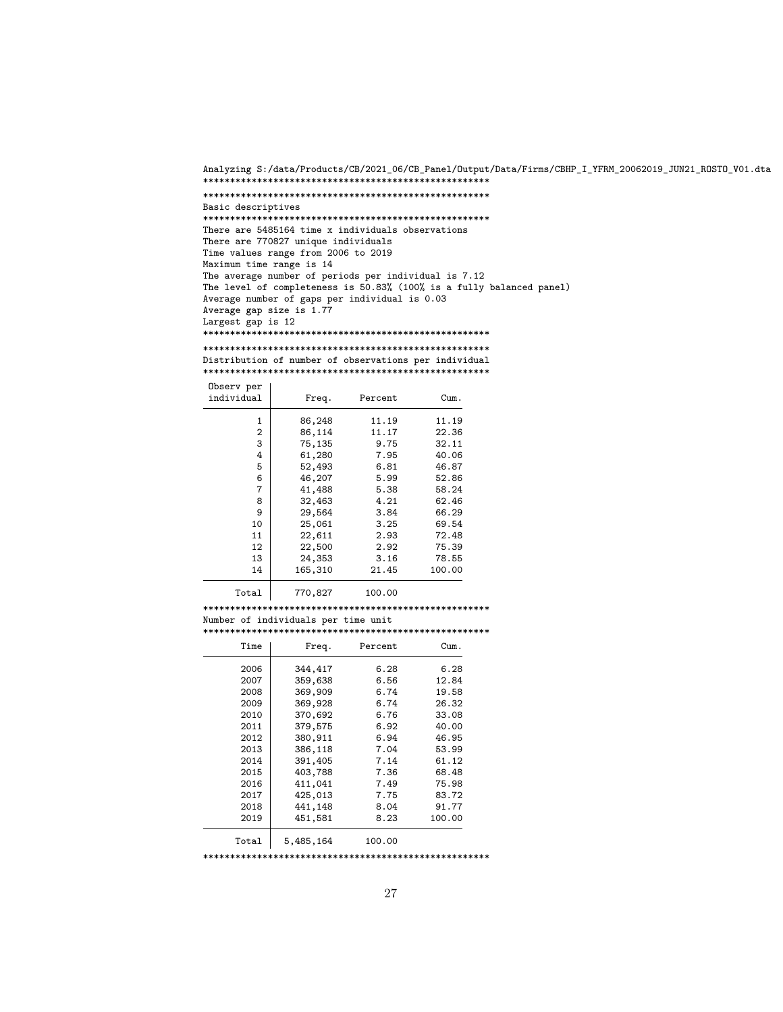Analyzing S:/data/Products/CB/2021\_06/CB\_Panel/Output/Data/Firms/CBHP\_I\_YFRM\_20062019\_JUN21\_ROSTO\_V01.dta \*\*\*\*\*\*\*\*\*\*\*\*\*\*\*\*\*\*\*\*\*\*\*\*\*\*\*\*\*\*\*\*\*\*\*\*\*\*\*\*\*\*\*\*\*\*\*\*\*\*\*\*\*

```
*****************************************************
Basic descriptives
*****************************************************
There are 5485164 time x individuals observations
There are 770827 unique individuals
Time values range from 2006 to 2019
Maximum time range is 14
The average number of periods per individual is 7.12
The level of completeness is 50.83% (100% is a fully balanced panel)
Average number of gaps per individual is 0.03
Average gap size is 1.77
Largest gap is 12
*****************************************************
```
\*\*\*\*\*\*\*\*\*\*\*\*\*\*\*\*\*\*\*\*\*\*\*\*\*\*\*\*\*\*\*\*\*\*\*\*\*\*\*\*\*\*\*\*\*\*\*\*\*\*\*\*\* Distribution of number of observations per individual \*\*\*\*\*\*\*\*\*\*\*\*\*\*\*\*\*\*\*\*\*\*\*\*\*\*\*\*\*\*\*\*\*\*\*\*\*\*\*\*\*\*\*\*\*\*\*\*\*\*\*\*\*

| Observ per<br>individual | Freq.   | Percent | Cum.   |
|--------------------------|---------|---------|--------|
| 1                        | 86,248  | 11.19   | 11.19  |
| 2                        | 86,114  | 11.17   | 22.36  |
| 3                        | 75,135  | 9.75    | 32.11  |
| 4                        | 61,280  | 7.95    | 40.06  |
| 5                        | 52,493  | 6.81    | 46.87  |
| 6                        | 46,207  | 5.99    | 52.86  |
| 7                        | 41,488  | 5.38    | 58.24  |
| 8                        | 32,463  | 4.21    | 62.46  |
| 9                        | 29,564  | 3.84    | 66.29  |
| 10                       | 25,061  | 3.25    | 69.54  |
| 11                       | 22,611  | 2.93    | 72.48  |
| 12                       | 22,500  | 2.92    | 75.39  |
| 13                       | 24,353  | 3.16    | 78.55  |
| 14                       | 165,310 | 21.45   | 100.00 |
|                          |         |         |        |

Total 770,827 100.00

\*\*\*\*\*\*\*\*\*\*\*\*\*\*\*\*\*\*\*\*\*\*\*\*\*\*\*\*\*\*\*\*\*\*\*\*\*\*\*\*\*\*\*\*\*\*\*\*\*\*\*\*\* Number of individuals per time unit \*\*\*\*\*\*\*\*\*\*\*\*\*\*\*\*\*\*\*\*\*\*\*\*\*\*\*\*\*\*\*\*\*\*\*\*\*\*\*\*\*\*\*\*\*\*\*\*\*\*\*\*\*

| Time  | Freq.     | Percent | Cum.   |
|-------|-----------|---------|--------|
| 2006  | 344,417   | 6.28    | 6.28   |
| 2007  | 359,638   | 6.56    | 12.84  |
| 2008  | 369,909   | 6.74    | 19.58  |
| 2009  | 369,928   | 6.74    | 26.32  |
| 2010  | 370,692   | 6.76    | 33.08  |
| 2011  | 379,575   | 6.92    | 40.00  |
| 2012  | 380,911   | 6.94    | 46.95  |
| 2013  | 386,118   | 7.04    | 53.99  |
| 2014  | 391,405   | 7.14    | 61.12  |
| 2015  | 403,788   | 7.36    | 68.48  |
| 2016  | 411,041   | 7.49    | 75.98  |
| 2017  | 425,013   | 7.75    | 83.72  |
| 2018  | 441,148   | 8.04    | 91.77  |
| 2019  | 451,581   | 8.23    | 100.00 |
| Total | 5,485,164 | 100.00  |        |

\*\*\*\*\*\*\*\*\*\*\*\*\*\*\*\*\*\*\*\*\*\*\*\*\*\*\*\*\*\*\*\*\*\*\*\*\*\*\*\*\*\*\*\*\*\*\*\*\*\*\*\*\*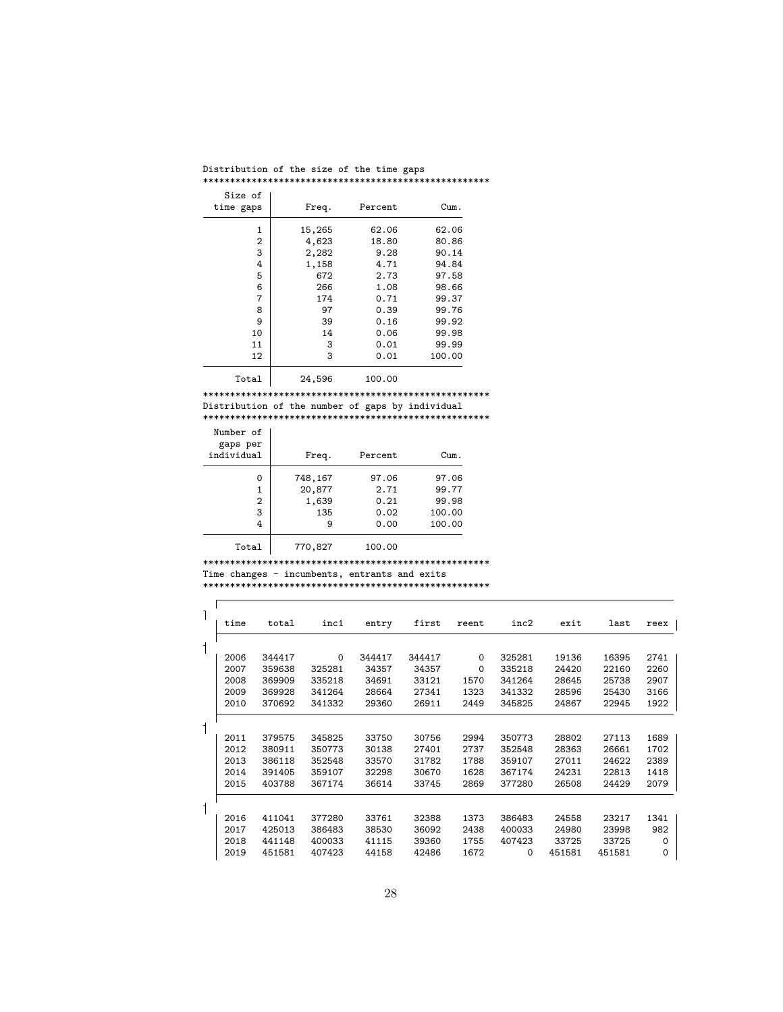| Distribution of the size of the time gaps |  |  |  |  |
|-------------------------------------------|--|--|--|--|
|                                           |  |  |  |  |

| Size of<br>time gaps | Freq.  | Percent        | Cum.   |
|----------------------|--------|----------------|--------|
| 1                    | 15,265 | 62.06          | 62.06  |
| 2                    | 4,623  | 18.80          | 80.86  |
| 3                    | 2,282  | 9.28           | 90.14  |
| 4                    | 1,158  | 4.71           | 94.84  |
| 5                    | 672    | 2.73           | 97.58  |
| 6                    | 266    | 1.08           | 98.66  |
| 7                    | 174    | 0.71           | 99.37  |
| 8                    | 97     | 0.39           | 99.76  |
| 9                    | 39     | 0.16           | 99.92  |
| 10                   | 14     | 0.06           | 99.98  |
| 11                   | 3      | 0.01           | 99.99  |
| 12                   | 3      | 0.01           | 100.00 |
| m. <b>1</b>          | 01 FOR | $\overline{a}$ |        |

Total 24,596 100.00

\*\*\*\*\*\*\*\*\*\*\*\*\*\*\*\*\*\*\*\*\*\*\*\*\*\*\*\*\*\*\*\*\*\*\*\*\*\*\*\*\*\*\*\*\*\*\*\*\*\*\*\*\* Distribution of the number of gaps by individual

\*\*\*\*\*\*\*\*\*\*\*\*\*\*\*\*\*\*\*\*\*\*\*\*\*\*\*\*\*\*\*\*\*\*\*\*\*\*\*\*\*\*\*\*\*\*\*\*\*\*\*\*\*

| Number of<br>gaps per<br>individual | Freq.   | Percent | Cum.   |
|-------------------------------------|---------|---------|--------|
| 0                                   | 748,167 | 97.06   | 97.06  |
| 1                                   | 20,877  | 2.71    | 99.77  |
| 2                                   | 1,639   | 0.21    | 99.98  |
| 3                                   | 135     | 0.02    | 100.00 |
| 4                                   | 9       | 0.00    | 100.00 |
| Total                               | 770,827 | 100.00  |        |

\*\*\*\*\*\*\*\*\*\*\*\*\*\*\*\*\*\*\*\*\*\*\*\*\*\*\*\*\*\*\*\*\*\*\*\*\*\*\*\*\*\*\*\*\*\*\*\*\*\*\*\*\* Time changes - incumbents, entrants and exits \*\*\*\*\*\*\*\*\*\*\*\*\*\*\*\*\*\*\*\*\*\*\*\*\*\*\*\*\*\*\*\*\*\*\*\*\*\*\*\*\*\*\*\*\*\*\*\*\*\*\*\*\*

|              | time | total  | inc1     | entry  | first  | reent | inc2     | exit   | last   | reex |
|--------------|------|--------|----------|--------|--------|-------|----------|--------|--------|------|
| 1            |      |        |          |        |        |       |          |        |        |      |
|              | 2006 | 344417 | $\Omega$ | 344417 | 344417 | 0     | 325281   | 19136  | 16395  | 2741 |
|              | 2007 | 359638 | 325281   | 34357  | 34357  | 0     | 335218   | 24420  | 22160  | 2260 |
|              | 2008 | 369909 | 335218   | 34691  | 33121  | 1570  | 341264   | 28645  | 25738  | 2907 |
|              | 2009 | 369928 | 341264   | 28664  | 27341  | 1323  | 341332   | 28596  | 25430  | 3166 |
|              | 2010 | 370692 | 341332   | 29360  | 26911  | 2449  | 345825   | 24867  | 22945  | 1922 |
| $\mathbf{1}$ |      |        |          |        |        |       |          |        |        |      |
|              | 2011 | 379575 | 345825   | 33750  | 30756  | 2994  | 350773   | 28802  | 27113  | 1689 |
|              | 2012 | 380911 | 350773   | 30138  | 27401  | 2737  | 352548   | 28363  | 26661  | 1702 |
|              | 2013 | 386118 | 352548   | 33570  | 31782  | 1788  | 359107   | 27011  | 24622  | 2389 |
|              | 2014 | 391405 | 359107   | 32298  | 30670  | 1628  | 367174   | 24231  | 22813  | 1418 |
|              | 2015 | 403788 | 367174   | 36614  | 33745  | 2869  | 377280   | 26508  | 24429  | 2079 |
| $\mathsf 1$  |      |        |          |        |        |       |          |        |        |      |
|              | 2016 | 411041 | 377280   | 33761  | 32388  | 1373  | 386483   | 24558  | 23217  | 1341 |
|              | 2017 | 425013 | 386483   | 38530  | 36092  | 2438  | 400033   | 24980  | 23998  | 982  |
|              | 2018 | 441148 | 400033   | 41115  | 39360  | 1755  | 407423   | 33725  | 33725  | 0    |
|              | 2019 | 451581 | 407423   | 44158  | 42486  | 1672  | $\Omega$ | 451581 | 451581 | 0    |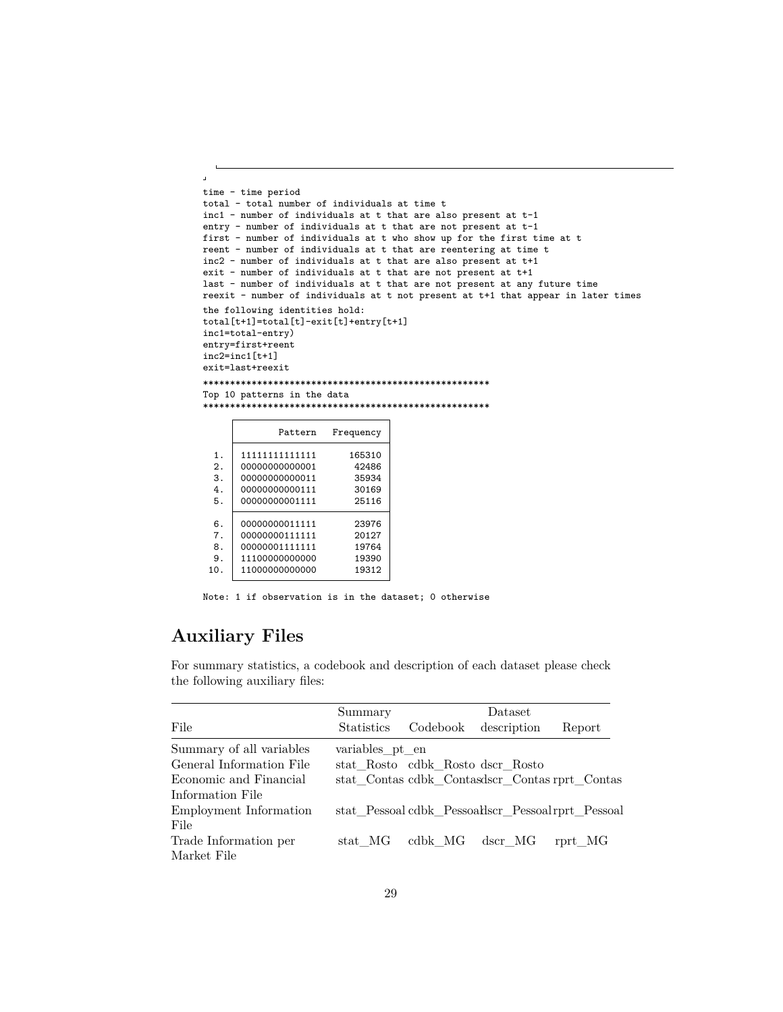```
\overline{1}time - time period
total - total number of individuals at time t
inc1 - number of individuals at t that are also present at t-1
entry - number of individuals at t that are not present at t-1
first - number of individuals at t who show up for the first time at t
reent - number of individuals at t that are reentering at time t
inc2 - number of individuals at t that are also present at t+1
exit - number of individuals at t that are not present at t+1
last - number of individuals at t that are not present at any future time
reexit - number of individuals at t not present at t+1 that appear in later times
the following identities hold:
total[t+1]=total[t]-exit[t]+entry[t+1]
inc1=total-entry)
entry=first+reent
inc2=inc1[t+1]
exit=last+reexit
*****************************************************
Top 10 patterns in the data
*****************************************************
                Pattern Frequency
  1. 111111111111111111 165310
  2. | 00000000000001 | 42486<br>3. 00000000000011 35934
  \begin{array}{c|c}\n3. & 00000000000011 & 35934 \\
4. & 00000000000111 & 30169\n\end{array}\begin{array}{c|c}\n4. & 00000000000111 & 30169 \\
5. & 00000000001111 & 25116\n\end{array}0000000001111
  \begin{array}{c|c} 6. & 00000000011111 & 23976 \\ 7. & 00000000111111 & 20127 \end{array}7. | 000000001111111 | 20127<br>8. 000000011111111 19764
        00000001111111 19764<br>11100000000000 19390
 9. 11100000000000 19390
        1100000000000
```
Note: 1 if observation is in the dataset; 0 otherwise

## <span id="page-28-0"></span>**Auxiliary Files**

For summary statistics, a codebook and description of each dataset please check the following auxiliary files:

|                          | Summary           |                                  | Dataset                                           |         |
|--------------------------|-------------------|----------------------------------|---------------------------------------------------|---------|
| File                     | <b>Statistics</b> | Codebook                         | description                                       | Report  |
| Summary of all variables | variables pt en   |                                  |                                                   |         |
| General Information File |                   | stat Rosto cdbk_Rosto dscr_Rosto |                                                   |         |
| Economic and Financial   |                   |                                  | stat Contas cdbk Contasdscr Contas rprt Contas    |         |
| Information File         |                   |                                  |                                                   |         |
| Employment Information   |                   |                                  | stat Pessoal cdbk Pessoalscr Pessoal rprt Pessoal |         |
| File                     |                   |                                  |                                                   |         |
| Trade Information per    | stat MG           | cdbk MG                          | dscr MG                                           | rprt MG |
| Market File              |                   |                                  |                                                   |         |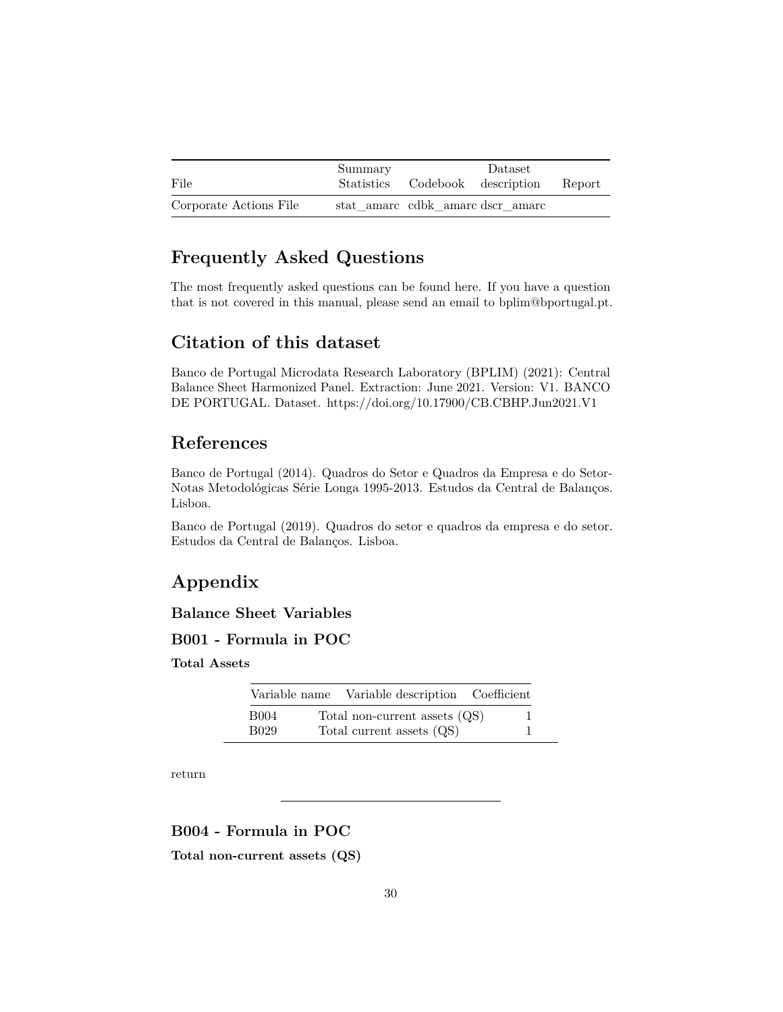|                        | Summary | Dataset                          |        |
|------------------------|---------|----------------------------------|--------|
| File                   |         | Statistics Codebook description  | Report |
| Corporate Actions File |         | stat amarc cdbk amarc dscr amarc |        |

## <span id="page-29-0"></span>**Frequently Asked Questions**

The most frequently asked questions can be found [here.](./aux_files/FAQ/faq.html) If you have a question that is not covered in this manual, please send an email to bplim@bportugal.pt.

## <span id="page-29-1"></span>**Citation of this dataset**

Banco de Portugal Microdata Research Laboratory (BPLIM) (2021): Central Balance Sheet Harmonized Panel. Extraction: June 2021. Version: V1. BANCO DE PORTUGAL. Dataset. https://doi.org/10.17900/CB.CBHP.Jun2021.V1

## <span id="page-29-2"></span>**References**

Banco de Portugal (2014). Quadros do Setor e Quadros da Empresa e do Setor-Notas Metodológicas Série Longa 1995-2013. Estudos da Central de Balanços. Lisboa.

Banco de Portugal (2019). Quadros do setor e quadros da empresa e do setor. Estudos da Central de Balanços. Lisboa.

## <span id="page-29-3"></span>**Appendix**

### <span id="page-29-4"></span>**Balance Sheet Variables**

### **B001 - Formula in POC**

**Total Assets**

|                  | Variable name Variable description Coefficient |  |
|------------------|------------------------------------------------|--|
| B004             | Total non-current assets (QS)                  |  |
| B <sub>029</sub> | Total current assets (QS)                      |  |

[return](#page-7-1)

<span id="page-29-5"></span>**B004 - Formula in POC**

**Total non-current assets (QS)**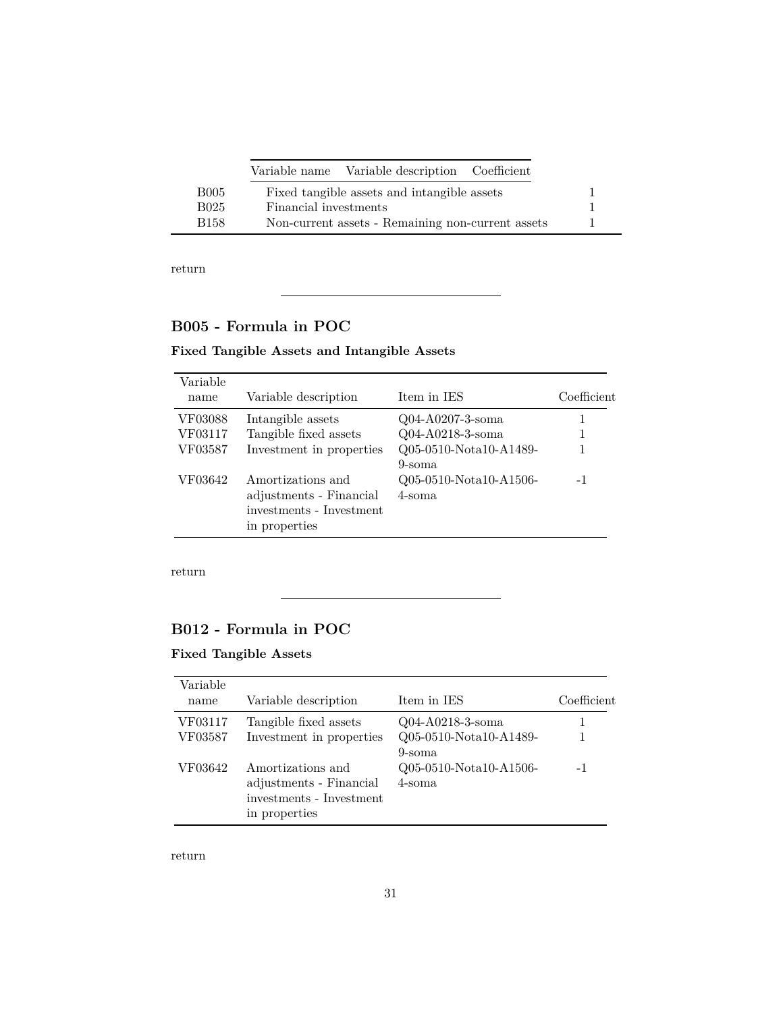|      | Variable name Variable description Coefficient    |  |
|------|---------------------------------------------------|--|
| B005 | Fixed tangible assets and intangible assets       |  |
| B025 | Financial investments                             |  |
| B158 | Non-current assets - Remaining non-current assets |  |

## <span id="page-30-0"></span>**B005 - Formula in POC**

### **Fixed Tangible Assets and Intangible Assets**

| Variable<br>name | Variable description                                                                      | Item in IES                      | Coefficient |
|------------------|-------------------------------------------------------------------------------------------|----------------------------------|-------------|
| VF03088          | Intangible assets                                                                         | Q04-A0207-3-soma                 |             |
| VF03117          | Tangible fixed assets                                                                     | Q04-A0218-3-soma                 |             |
| VF03587          | Investment in properties                                                                  | Q05-0510-Nota10-A1489-<br>9-soma |             |
| VF03642          | Amortizations and<br>adjustments - Financial<br>investments - Investment<br>in properties | Q05-0510-Nota10-A1506-<br>4-soma | -1          |

[return](#page-7-1)

## <span id="page-30-1"></span>**B012 - Formula in POC**

### **Fixed Tangible Assets**

| Variable<br>name | Variable description                                                                      | Item in IES                      | Coefficient |
|------------------|-------------------------------------------------------------------------------------------|----------------------------------|-------------|
|                  |                                                                                           |                                  |             |
| VF03117          | Tangible fixed assets                                                                     | Q04-A0218-3-soma                 |             |
| VF03587          | Investment in properties                                                                  | Q05-0510-Nota10-A1489-<br>9-soma |             |
| VF03642          | Amortizations and<br>adjustments - Financial<br>investments - Investment<br>in properties | Q05-0510-Nota10-A1506-<br>4-soma | $-1$        |

[return](#page-7-1)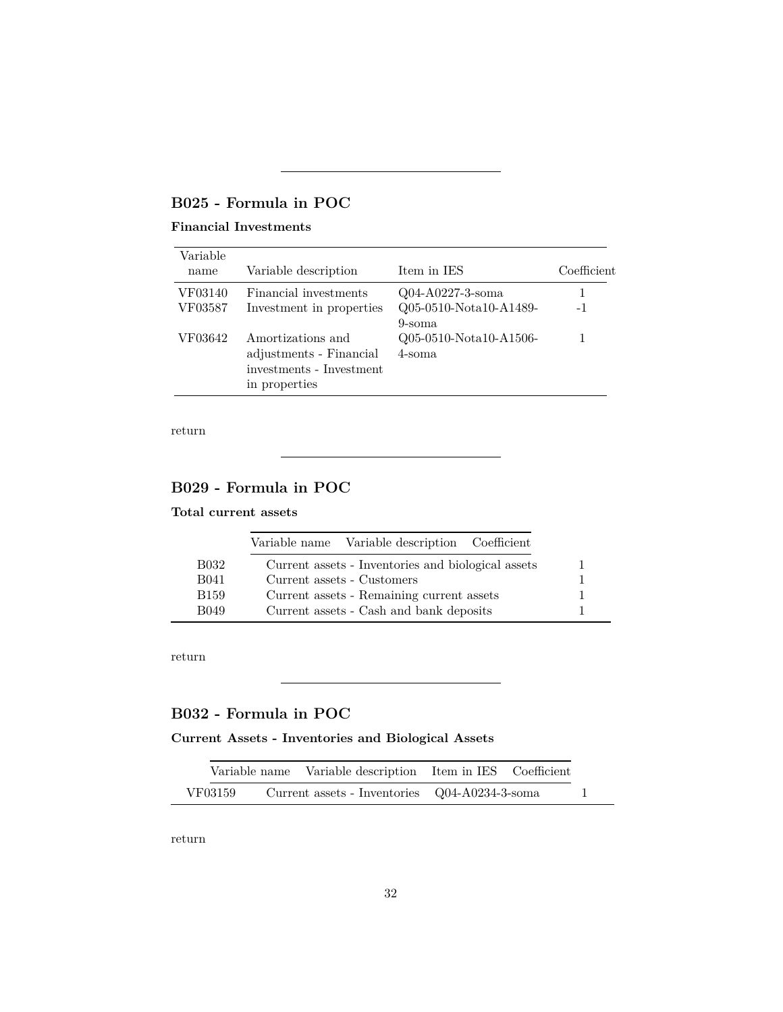## <span id="page-31-0"></span>**B025 - Formula in POC**

### **Financial Investments**

| Variable<br>name | Variable description                                                                      | Item in IES                      | Coefficient |
|------------------|-------------------------------------------------------------------------------------------|----------------------------------|-------------|
| VF03140          | Financial investments                                                                     | Q04-A0227-3-soma                 |             |
| VF03587          | Investment in properties                                                                  | Q05-0510-Nota10-A1489-<br>9-soma | $-1$        |
| VF03642          | Amortizations and<br>adjustments - Financial<br>investments - Investment<br>in properties | Q05-0510-Nota10-A1506-<br>4-soma |             |

[return](#page-7-1)

## <span id="page-31-1"></span>**B029 - Formula in POC**

#### **Total current assets**

|              | Variable name Variable description Coefficient     |  |
|--------------|----------------------------------------------------|--|
| <b>B032</b>  | Current assets - Inventories and biological assets |  |
| <b>B041</b>  | Current assets - Customers                         |  |
| <b>B</b> 159 | Current assets - Remaining current assets          |  |
| <b>B049</b>  | Current assets - Cash and bank deposits            |  |

[return](#page-7-1)

## <span id="page-31-2"></span>**B032 - Formula in POC**

### **Current Assets - Inventories and Biological Assets**

|         | Variable name Variable description Item in IES Coefficient |  |  |
|---------|------------------------------------------------------------|--|--|
| VF03159 | Current assets - Inventories Q04-A0234-3-soma              |  |  |

[return](#page-7-1)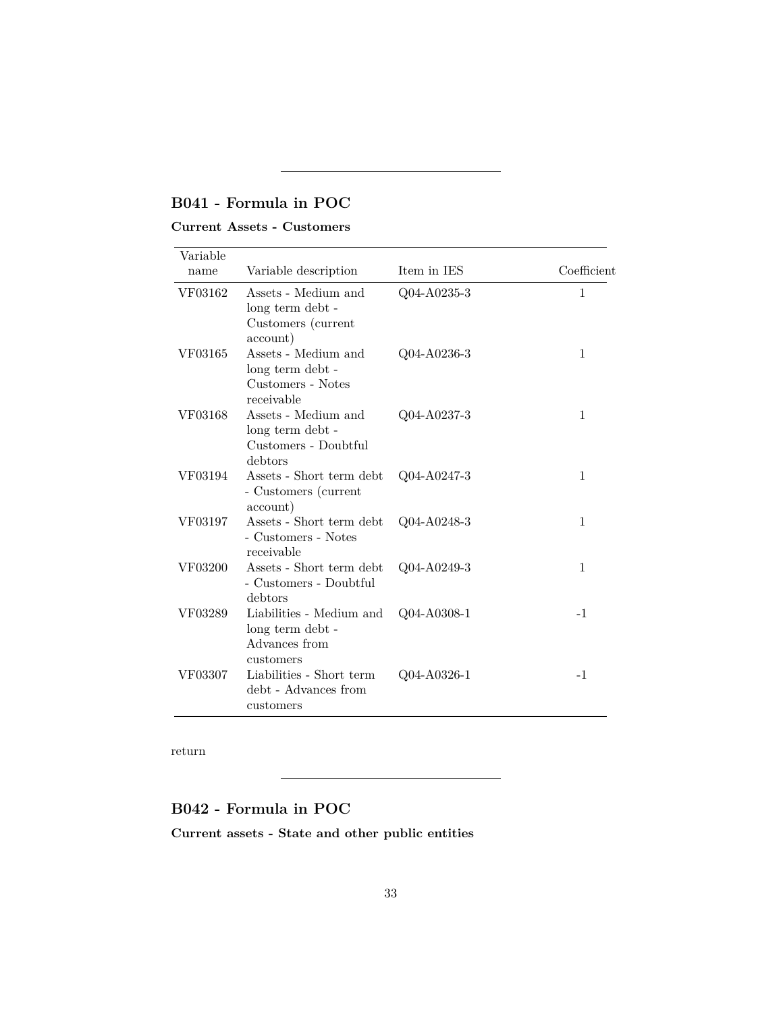## <span id="page-32-0"></span>**B041 - Formula in POC**

### **Current Assets - Customers**

| Variable<br>name | Variable description                                                       | Item in IES | Coefficient  |
|------------------|----------------------------------------------------------------------------|-------------|--------------|
| VF03162          | Assets - Medium and<br>long term debt -<br>Customers (current<br>account)  | Q04-A0235-3 | $\mathbf{1}$ |
| VF03165          | Assets - Medium and<br>long term debt -<br>Customers - Notes<br>receivable | Q04-A0236-3 | 1            |
| VF03168          | Assets - Medium and<br>long term debt -<br>Customers - Doubtful<br>debtors | Q04-A0237-3 | 1            |
| VF03194          | Assets - Short term debt<br>- Customers (current<br>account)               | Q04-A0247-3 | $\mathbf{1}$ |
| VF03197          | Assets - Short term debt<br>- Customers - Notes<br>receivable              | Q04-A0248-3 | 1            |
| VF03200          | Assets - Short term debt<br>- Customers - Doubtful<br>debtors              | Q04-A0249-3 | $\mathbf{1}$ |
| VF03289          | Liabilities - Medium and<br>long term debt -<br>Advances from<br>customers | Q04-A0308-1 | $-1$         |
| VF03307          | Liabilities - Short term<br>debt - Advances from<br>customers              | Q04-A0326-1 | $-1$         |

[return](#page-7-1)

### <span id="page-32-1"></span>**B042 - Formula in POC**

**Current assets - State and other public entities**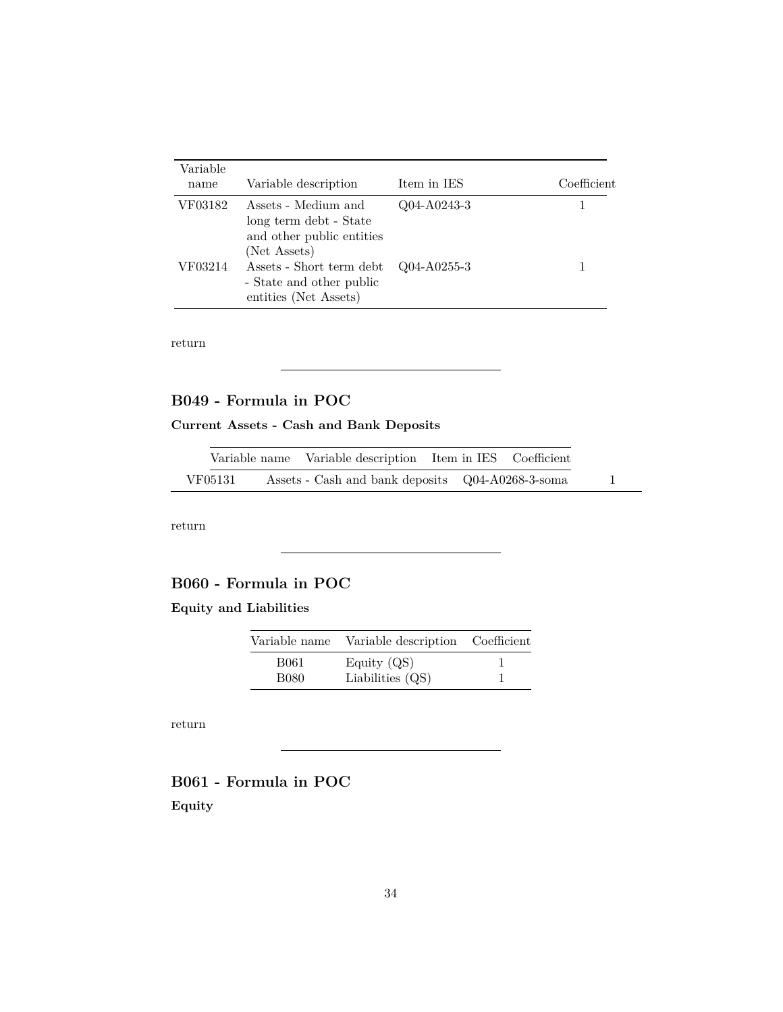| Variable<br>name | Variable description                                                                       | Item in IES       | Coefficient |
|------------------|--------------------------------------------------------------------------------------------|-------------------|-------------|
| VF03182          | Assets - Medium and<br>long term debt - State<br>and other public entities<br>(Net Assets) | $Q04-A0243-3$     |             |
| VF03214          | Assets - Short term debt<br>- State and other public<br>entities (Net Assets)              | $Q04 - A0255 - 3$ |             |

### <span id="page-33-0"></span>**B049 - Formula in POC**

### **Current Assets - Cash and Bank Deposits**

|         | Variable name Variable description Item in IES Coefficient |  |  |
|---------|------------------------------------------------------------|--|--|
| VF05131 | Assets - Cash and bank deposits Q04-A0268-3-soma           |  |  |

[return](#page-7-1)

## <span id="page-33-1"></span>**B060 - Formula in POC**

### **Equity and Liabilities**

| Variable name | Variable description Coefficient |  |
|---------------|----------------------------------|--|
| B061          | Equity $(QS)$                    |  |
| B080          | Liabilities $(QS)$               |  |

[return](#page-11-1)

## <span id="page-33-2"></span>**B061 - Formula in POC Equity**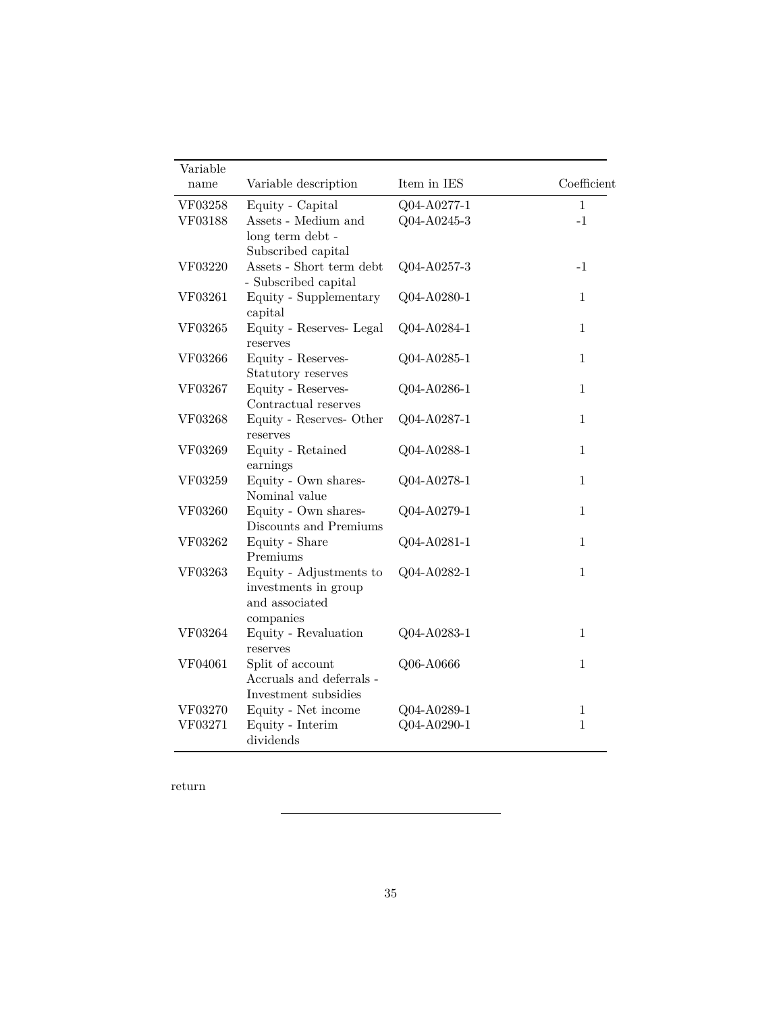<span id="page-34-0"></span>

| Variable |                                                |             |              |
|----------|------------------------------------------------|-------------|--------------|
| name     | Variable description                           | Item in IES | Coefficient  |
| VF03258  | Equity - Capital                               | Q04-A0277-1 | $\mathbf{1}$ |
| VF03188  | Assets - Medium and                            | Q04-A0245-3 | $-1$         |
|          | long term debt -                               |             |              |
|          | Subscribed capital<br>Assets - Short term debt |             |              |
| VF03220  | - Subscribed capital                           | Q04-A0257-3 | $-1$         |
| VF03261  | Equity - Supplementary<br>capital              | Q04-A0280-1 | 1            |
| VF03265  | Equity - Reserves- Legal<br>reserves           | Q04-A0284-1 | 1            |
| VF03266  | Equity - Reserves-                             | Q04-A0285-1 | 1            |
|          | Statutory reserves                             |             |              |
| VF03267  | Equity - Reserves-                             | Q04-A0286-1 | $\mathbf{1}$ |
|          | Contractual reserves                           |             |              |
| VF03268  | Equity - Reserves- Other<br>reserves           | Q04-A0287-1 | $\mathbf{1}$ |
| VF03269  | Equity - Retained<br>earnings                  | Q04-A0288-1 | $\mathbf{1}$ |
| VF03259  | Equity - Own shares-<br>Nominal value          | Q04-A0278-1 | $\mathbf{1}$ |
| VF03260  | Equity - Own shares-                           | Q04-A0279-1 | $\mathbf{1}$ |
|          | Discounts and Premiums                         |             |              |
| VF03262  | Equity - Share<br>Premiums                     | Q04-A0281-1 | $\mathbf{1}$ |
| VF03263  | Equity - Adjustments to                        | Q04-A0282-1 | $\mathbf{1}$ |
|          | investments in group                           |             |              |
|          | and associated                                 |             |              |
|          | companies                                      |             |              |
| VF03264  | Equity - Revaluation<br>reserves               | Q04-A0283-1 | $\mathbf{1}$ |
| VF04061  | Split of account                               | Q06-A0666   | $\mathbf{1}$ |
|          | Accruals and deferrals -                       |             |              |
|          | Investment subsidies                           |             |              |
| VF03270  | Equity - Net income                            | Q04-A0289-1 | $\mathbf{1}$ |
| VF03271  | Equity - Interim<br>dividends                  | Q04-A0290-1 | $\mathbf{1}$ |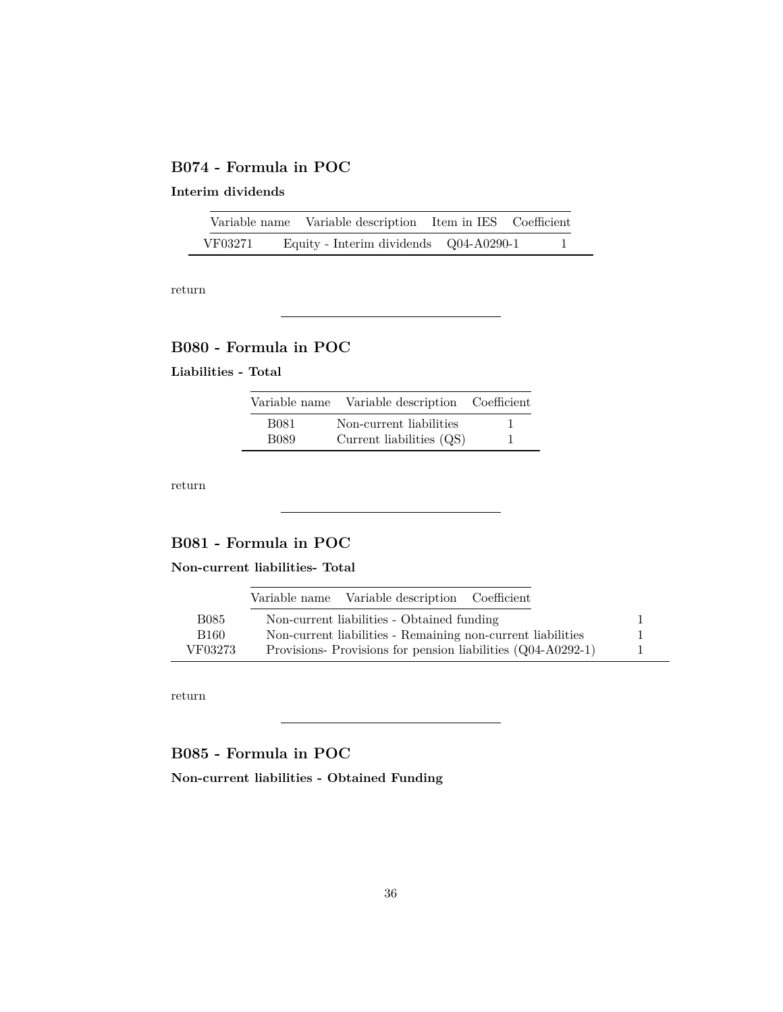### **B074 - Formula in POC**

### **Interim dividends**

|         | Variable name Variable description Item in IES Coefficient |  |  |
|---------|------------------------------------------------------------|--|--|
| VF03271 | Equity - Interim dividends Q04-A0290-1                     |  |  |

[return](#page-11-1)

## <span id="page-35-0"></span>**B080 - Formula in POC**

#### **Liabilities - Total**

| Variable name | Variable description Coefficient |  |
|---------------|----------------------------------|--|
| B081          | Non-current liabilities          |  |
| B089          | Current liabilities $(QS)$       |  |

[return](#page-11-2)

## <span id="page-35-1"></span>**B081 - Formula in POC**

**Non-current liabilities- Total**

|         | Variable name Variable description Coefficient              |  |
|---------|-------------------------------------------------------------|--|
| B085    | Non-current liabilities - Obtained funding                  |  |
| B160    | Non-current liabilities - Remaining non-current liabilities |  |
| VF03273 | Provisions-Provisions for pension liabilities (Q04-A0292-1) |  |

[return](#page-11-2)

<span id="page-35-2"></span>**B085 - Formula in POC**

**Non-current liabilities - Obtained Funding**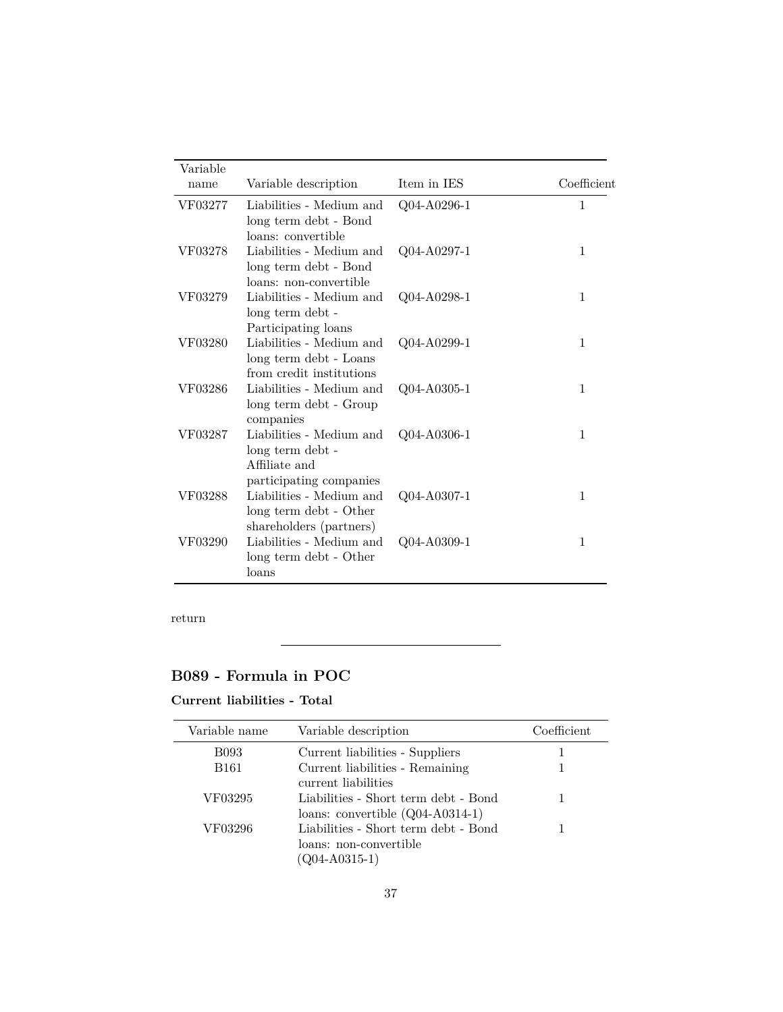| Variable |                                                                                          |             |              |
|----------|------------------------------------------------------------------------------------------|-------------|--------------|
| name     | Variable description                                                                     | Item in IES | Coefficient  |
| VF03277  | Liabilities - Medium and<br>long term debt - Bond<br>loans: convertible                  | Q04-A0296-1 | 1            |
| VF03278  | Liabilities - Medium and<br>long term debt - Bond<br>loans: non-convertible              | Q04-A0297-1 | $\mathbf{1}$ |
| VF03279  | Liabilities - Medium and<br>long term debt -<br>Participating loans                      | Q04-A0298-1 | $\mathbf 1$  |
| VF03280  | Liabilities - Medium and<br>long term debt - Loans<br>from credit institutions           | Q04-A0299-1 | 1            |
| VF03286  | Liabilities - Medium and<br>long term debt - Group<br>companies                          | Q04-A0305-1 | 1            |
| VF03287  | Liabilities - Medium and<br>long term debt -<br>Affiliate and<br>participating companies | Q04-A0306-1 | 1            |
| VF03288  | Liabilities - Medium and<br>long term debt - Other<br>shareholders (partners)            | Q04-A0307-1 | 1            |
| VF03290  | Liabilities - Medium and<br>long term debt - Other<br>loans                              | Q04-A0309-1 | $\mathbf{1}$ |

## <span id="page-36-0"></span>**B089 - Formula in POC**

### **Current liabilities - Total**

| Variable name | Variable description                                                                  | Coefficient |
|---------------|---------------------------------------------------------------------------------------|-------------|
| <b>B093</b>   | Current liabilities - Suppliers                                                       |             |
| <b>B161</b>   | Current liabilities - Remaining<br>current liabilities                                |             |
| VF03295       | Liabilities - Short term debt - Bond<br>loans: convertible $(Q04-A0314-1)$            |             |
| VF03296       | Liabilities - Short term debt - Bond<br>loans: non-convertible<br>$(Q04 - A0315 - 1)$ |             |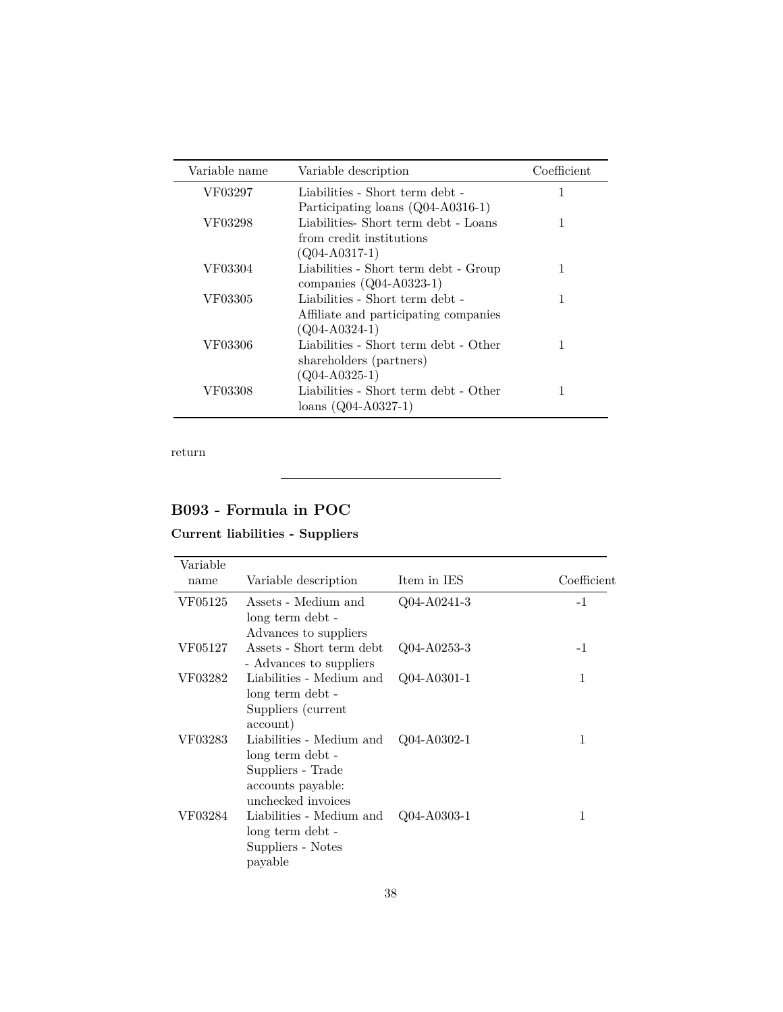| Variable name | Variable description                                                                                 | Coefficient |
|---------------|------------------------------------------------------------------------------------------------------|-------------|
| VF03297       | Liabilities - Short term debt -                                                                      | 1           |
| VF03298       | Participating loans (Q04-A0316-1)<br>Liabilities-Short term debt - Loans<br>from credit institutions | 1           |
| VF03304       | $(Q04-A0317-1)$<br>Liabilities - Short term debt - Group<br>companies $(Q04-A0323-1)$                | 1           |
| VF03305       | Liabilities - Short term debt -<br>Affiliate and participating companies                             | 1           |
| VF03306       | $(Q04-A0324-1)$<br>Liabilities - Short term debt - Other<br>shareholders (partners)                  |             |
| VF03308       | $(Q04-A0325-1)$<br>Liabilities - Short term debt - Other<br>$loans (Q04-A0327-1)$                    |             |

## <span id="page-37-0"></span>**B093 - Formula in POC**

### **Current liabilities - Suppliers**

| Variable |                                                                                                              |                   |             |
|----------|--------------------------------------------------------------------------------------------------------------|-------------------|-------------|
| name     | Variable description                                                                                         | Item in IES       | Coefficient |
| VF05125  | Assets - Medium and<br>long term debt -                                                                      | Q04-A0241-3       | $-1$        |
|          | Advances to suppliers                                                                                        |                   |             |
| VF05127  | Assets - Short term debt<br>- Advances to suppliers                                                          | $Q04 - A0253 - 3$ | $-1$        |
| VF03282  | Liabilities - Medium and<br>long term debt -<br>Suppliers (current<br>account)                               | $Q04-A0301-1$     | 1           |
| VF03283  | Liabilities - Medium and<br>long term debt -<br>Suppliers - Trade<br>accounts payable:<br>unchecked invoices | $Q04 - A0302 - 1$ | 1           |
| VF03284  | Liabilities - Medium and<br>long term debt -<br>Suppliers - Notes<br>payable                                 | $Q04 - A0303 - 1$ | 1           |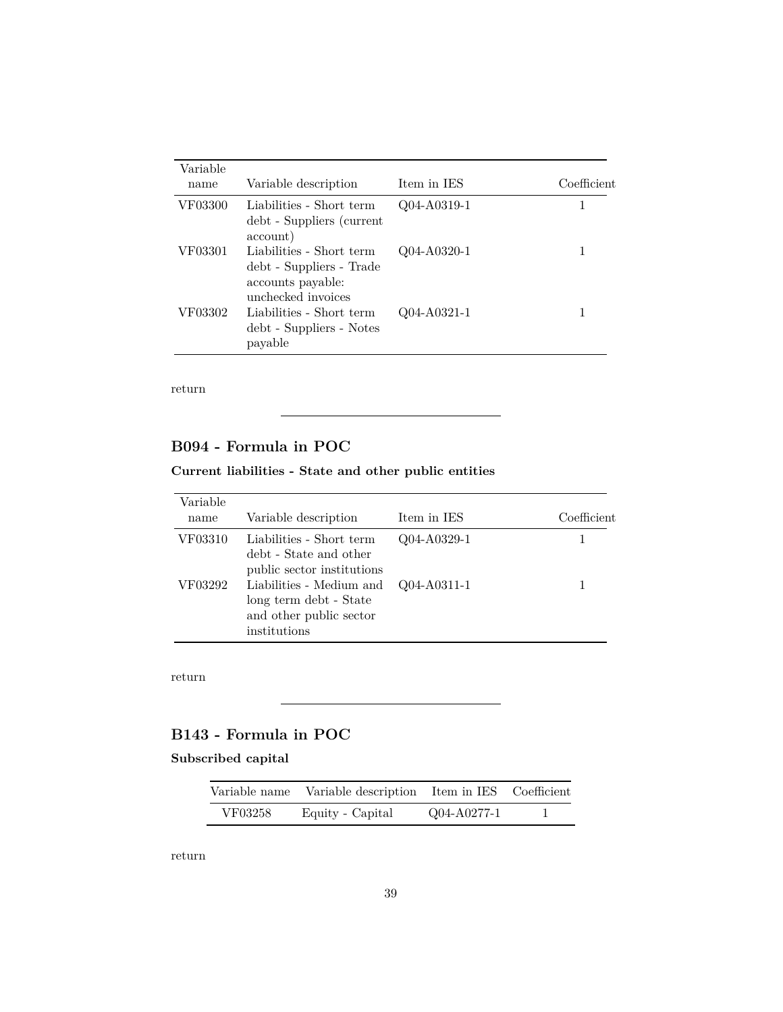| Variable<br>name | Variable description                                                                            | Item in IES | Coefficient |
|------------------|-------------------------------------------------------------------------------------------------|-------------|-------------|
| VF03300          | Liabilities - Short term<br>debt - Suppliers (current<br>account)                               | Q04-A0319-1 |             |
| VF03301          | Liabilities - Short term<br>debt - Suppliers - Trade<br>accounts payable:<br>unchecked invoices | Q04-A0320-1 | 1           |
| VF03302          | Liabilities - Short term<br>debt - Suppliers - Notes<br>payable                                 | Q04-A0321-1 |             |

## <span id="page-38-1"></span>**B094 - Formula in POC**

### **Current liabilities - State and other public entities**

| Variable<br>name | Variable description                                                                          | Item in IES | Coefficient |
|------------------|-----------------------------------------------------------------------------------------------|-------------|-------------|
| VF03310          | Liabilities - Short term<br>debt - State and other<br>public sector institutions              | Q04-A0329-1 |             |
| VF03292          | Liabilities - Medium and<br>long term debt - State<br>and other public sector<br>institutions | Q04-A0311-1 |             |

[return](#page-11-2)

## <span id="page-38-0"></span>**B143 - Formula in POC**

### **Subscribed capital**

| Variable name | Variable description Item in IES Coefficient |             |  |
|---------------|----------------------------------------------|-------------|--|
| VF03258       | Equity - Capital                             | Q04-A0277-1 |  |

[return](#page-11-1)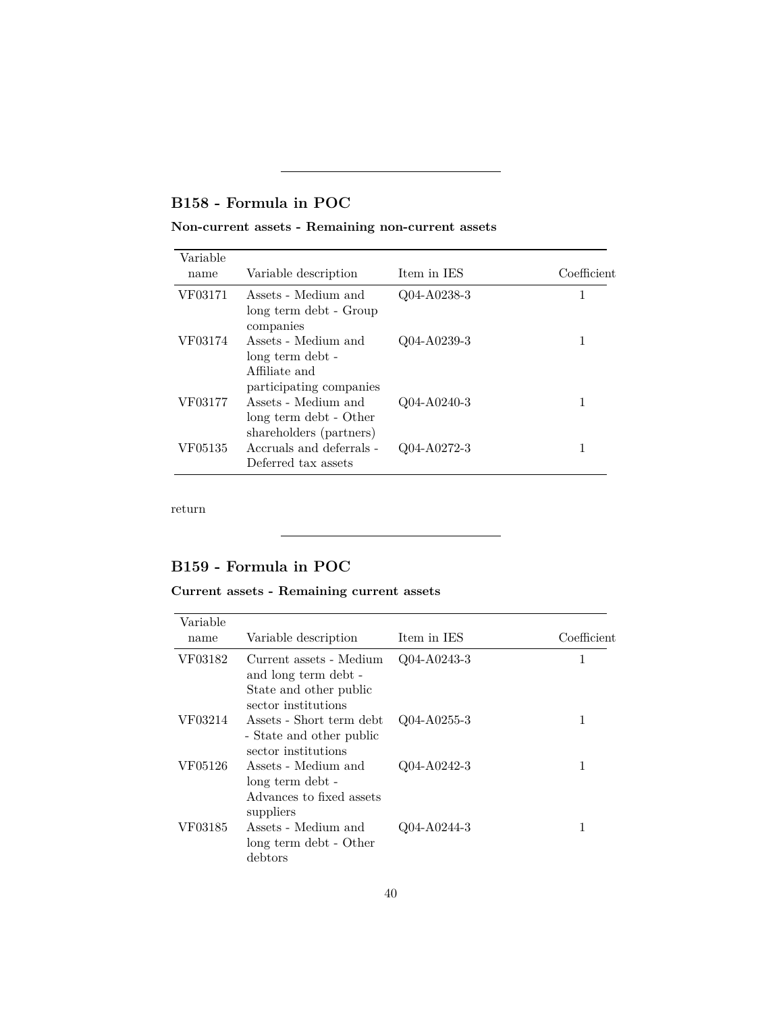## <span id="page-39-0"></span>**B158 - Formula in POC**

### **Non-current assets - Remaining non-current assets**

| Variable<br>name | Variable description                                                                | Item in IES | Coefficient |
|------------------|-------------------------------------------------------------------------------------|-------------|-------------|
| VF03171          | Assets - Medium and<br>long term debt - Group<br>companies                          | Q04-A0238-3 |             |
| VF03174          | Assets - Medium and<br>long term debt -<br>Affiliate and<br>participating companies | Q04-A0239-3 | 1           |
| VF03177          | Assets - Medium and<br>long term debt - Other<br>shareholders (partners)            | Q04-A0240-3 |             |
| VF05135          | Accruals and deferrals -<br>Deferred tax assets                                     | Q04-A0272-3 |             |

[return](#page-7-1)

## <span id="page-39-1"></span>**B159 - Formula in POC**

**Current assets - Remaining current assets**

| Variable |                                                                             |               |             |
|----------|-----------------------------------------------------------------------------|---------------|-------------|
| name     | Variable description                                                        | Item in IES   | Coefficient |
| VF03182  | Current assets - Medium<br>and long term debt -<br>State and other public   | $Q04-A0243-3$ | 1           |
|          | sector institutions                                                         |               |             |
| VF03214  | Assets - Short term debt<br>- State and other public<br>sector institutions | $Q04-A0255-3$ | 1           |
| VF05126  | Assets - Medium and<br>long term debt -                                     | $Q04-A0242-3$ | 1           |
|          | Advances to fixed assets<br>suppliers                                       |               |             |
| VF03185  | Assets - Medium and<br>long term debt - Other<br>debtors                    | $Q04-A0244-3$ | 1           |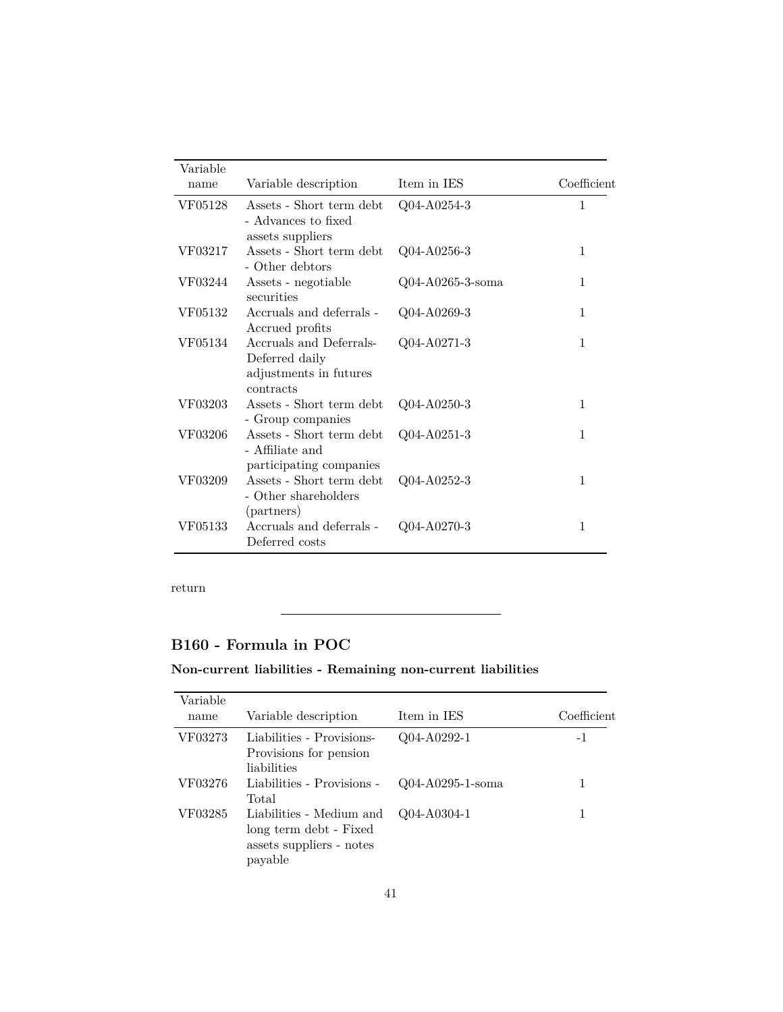| Variable<br>name | Variable description                                                             | Item in IES         | Coefficient  |
|------------------|----------------------------------------------------------------------------------|---------------------|--------------|
| VF05128          | Assets - Short term debt<br>- Advances to fixed<br>assets suppliers              | Q04-A0254-3         | 1            |
| VF03217          | Assets - Short term debt<br>- Other debtors                                      | Q04-A0256-3         | $\mathbf{1}$ |
| VF03244          | Assets - negotiable<br>securities                                                | $Q04-A0265-3$ -soma | 1            |
| VF05132          | Accruals and deferrals -<br>Accrued profits                                      | Q04-A0269-3         | 1            |
| VF05134          | Accruals and Deferrals-<br>Deferred daily<br>adjustments in futures<br>contracts | Q04-A0271-3         | 1            |
| VF03203          | Assets - Short term debt<br>- Group companies                                    | Q04-A0250-3         | 1            |
| VF03206          | Assets - Short term debt<br>- Affiliate and<br>participating companies           | Q04-A0251-3         | 1            |
| VF03209          | Assets - Short term debt<br>- Other shareholders<br>(partners)                   | Q04-A0252-3         | $\mathbf{1}$ |
| VF05133          | Accruals and deferrals -<br>Deferred costs                                       | Q04-A0270-3         | $\mathbf{1}$ |

L

## <span id="page-40-0"></span>**B160 - Formula in POC**

### **Non-current liabilities - Remaining non-current liabilities**

| Variable<br>name | Variable description                                                                      | Item in IES         | Coefficient |
|------------------|-------------------------------------------------------------------------------------------|---------------------|-------------|
| VF03273          | Liabilities - Provisions-<br>Provisions for pension<br>liabilities                        | Q04-A0292-1         | -1          |
| VF03276          | Liabilities - Provisions -<br>Total                                                       | $Q04-A0295-1$ -soma |             |
| VF03285          | Liabilities - Medium and<br>long term debt - Fixed<br>assets suppliers - notes<br>payable | Q04-A0304-1         |             |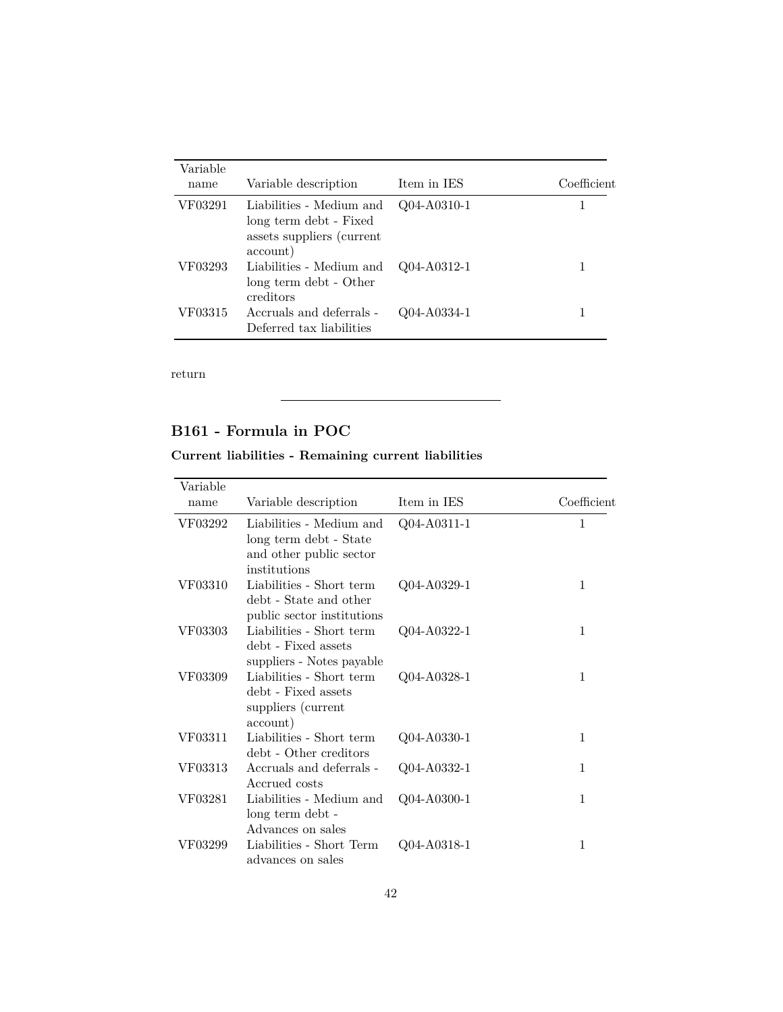| Variable |                                                                                             |               |             |
|----------|---------------------------------------------------------------------------------------------|---------------|-------------|
| name     | Variable description                                                                        | Item in IES   | Coefficient |
| VF03291  | Liabilities - Medium and<br>long term debt - Fixed<br>assets suppliers (current<br>account) | Q04-A0310-1   |             |
| VF03293  | Liabilities - Medium and<br>long term debt - Other<br>creditors                             | $Q04-A0312-1$ |             |
| VF03315  | Accruals and deferrals -<br>Deferred tax liabilities                                        | Q04-A0334-1   |             |

## <span id="page-41-0"></span>**B161 - Formula in POC**

### **Current liabilities - Remaining current liabilities**

| Variable |                                                                                               |                   |              |
|----------|-----------------------------------------------------------------------------------------------|-------------------|--------------|
| name     | Variable description                                                                          | Item in IES       | Coefficient  |
| VF03292  | Liabilities - Medium and<br>long term debt - State<br>and other public sector<br>institutions | $Q04 - A0311 - 1$ | 1            |
| VF03310  | Liabilities - Short term<br>debt - State and other<br>public sector institutions              | $Q04 - A0329 - 1$ | $\mathbf 1$  |
| VF03303  | Liabilities - Short term<br>debt - Fixed assets<br>suppliers - Notes payable                  | Q04-A0322-1       | 1            |
| VF03309  | Liabilities - Short term<br>debt - Fixed assets<br>suppliers (current<br>account)             | Q04-A0328-1       | $\mathbf{1}$ |
| VF03311  | Liabilities - Short term<br>debt - Other creditors                                            | $Q04 - A0330 - 1$ | 1            |
| VF03313  | Accruals and deferrals -<br>Accrued costs                                                     | Q04-A0332-1       | 1            |
| VF03281  | Liabilities - Medium and<br>long term debt -<br>Advances on sales                             | $Q04 - A0300 - 1$ | 1            |
| VF03299  | Liabilities - Short Term<br>advances on sales                                                 | Q04-A0318-1       | 1            |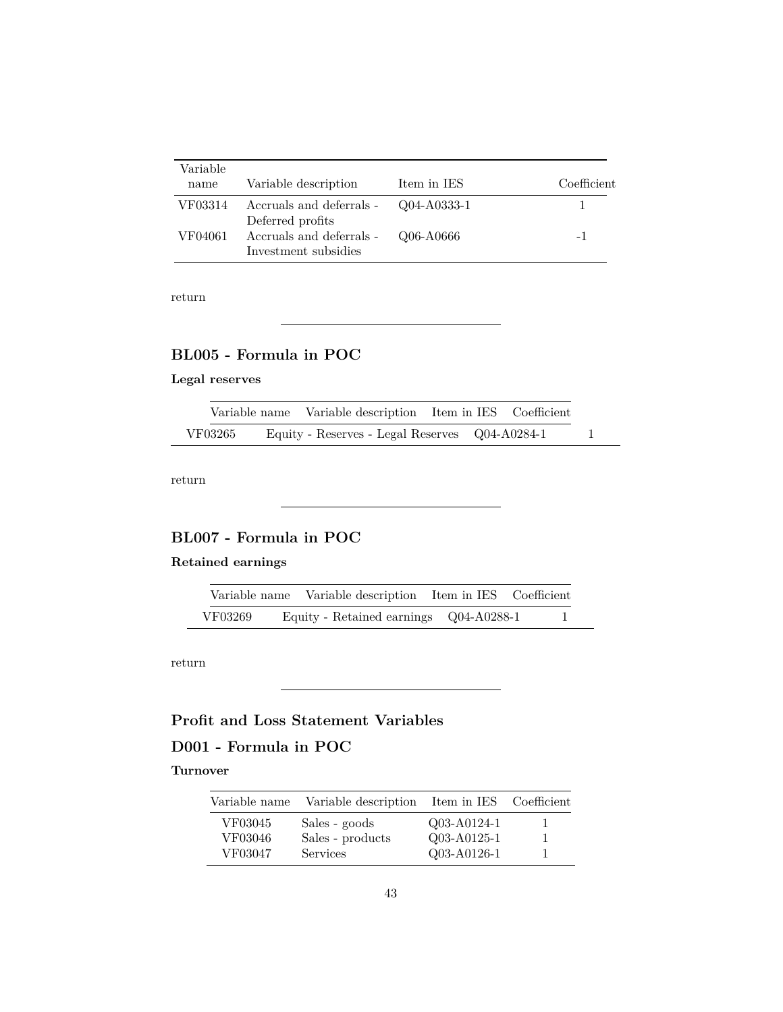| Variable<br>name | Variable description                                     | Item in IES | Coefficient |
|------------------|----------------------------------------------------------|-------------|-------------|
| VF03314          | Accruals and deferrals - Q04-A0333-1<br>Deferred profits |             |             |
| VF04061          | Accruals and deferrals -<br>Investment subsidies         | Q06-A0666   | -1          |

## <span id="page-42-0"></span>**BL005 - Formula in POC**

### **Legal reserves**

|         | Variable name Variable description Item in IES Coefficient |  |  |  |
|---------|------------------------------------------------------------|--|--|--|
| VF03265 | Equity - Reserves - Legal Reserves Q04-A0284-1             |  |  |  |

[return](#page-11-1)

## <span id="page-42-1"></span>**BL007 - Formula in POC**

### **Retained earnings**

|         | Variable name Variable description Item in IES Coefficient |  |  |
|---------|------------------------------------------------------------|--|--|
| VF03269 | Equity - Retained earnings Q04-A0288-1                     |  |  |

[return](#page-11-1)

## **Profit and Loss Statement Variables**

## <span id="page-42-2"></span>**D001 - Formula in POC**

#### **Turnover**

| Variable name | Variable description | Item in IES Coefficient |              |
|---------------|----------------------|-------------------------|--------------|
| VF03045       | Sales - goods        | Q03-A0124-1             | $\mathbf{L}$ |
| VF03046       | Sales - products     | Q03-A0125-1             | $\mathbf{L}$ |
| VF03047       | <b>Services</b>      | Q03-A0126-1             |              |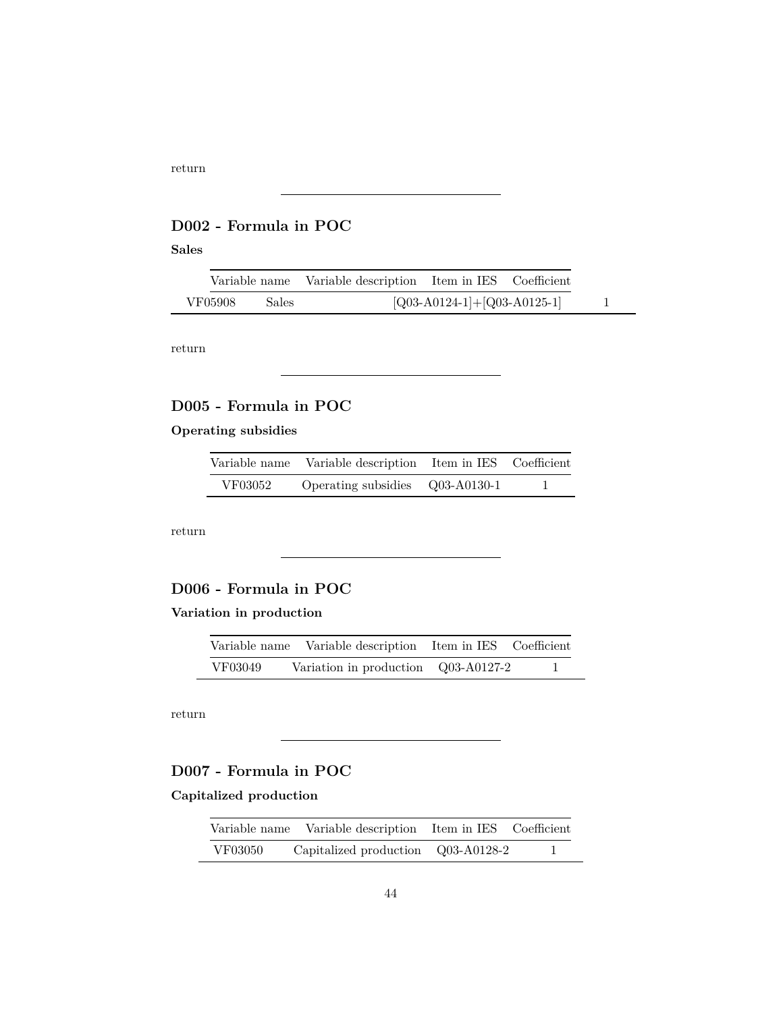## <span id="page-43-0"></span>**D002 - Formula in POC**

#### **Sales**

|         |       | Variable name Variable description Item in IES Coefficient |                               |  |
|---------|-------|------------------------------------------------------------|-------------------------------|--|
| VF05908 | Sales |                                                            | $[Q03-A0124-1]+[Q03-A0125-1]$ |  |

[return](#page-13-0)

### <span id="page-43-1"></span>**D005 - Formula in POC**

### **Operating subsidies**

|         | Variable name Variable description Item in IES Coefficient |  |
|---------|------------------------------------------------------------|--|
| VF03052 | Operating subsidies $Q03-A0130-1$                          |  |

[return](#page-13-0)

### <span id="page-43-2"></span>**D006 - Formula in POC**

### **Variation in production**

|         | Variable name Variable description Item in IES Coefficient |  |
|---------|------------------------------------------------------------|--|
| VF03049 | Variation in production Q03-A0127-2                        |  |

[return](#page-13-0)

### <span id="page-43-3"></span>**D007 - Formula in POC**

### **Capitalized production**

| Variable name | Variable description                    | Item in IES Coefficient |  |
|---------------|-----------------------------------------|-------------------------|--|
| VF03050       | $Capitalized\ production$ $Q03-A0128-2$ |                         |  |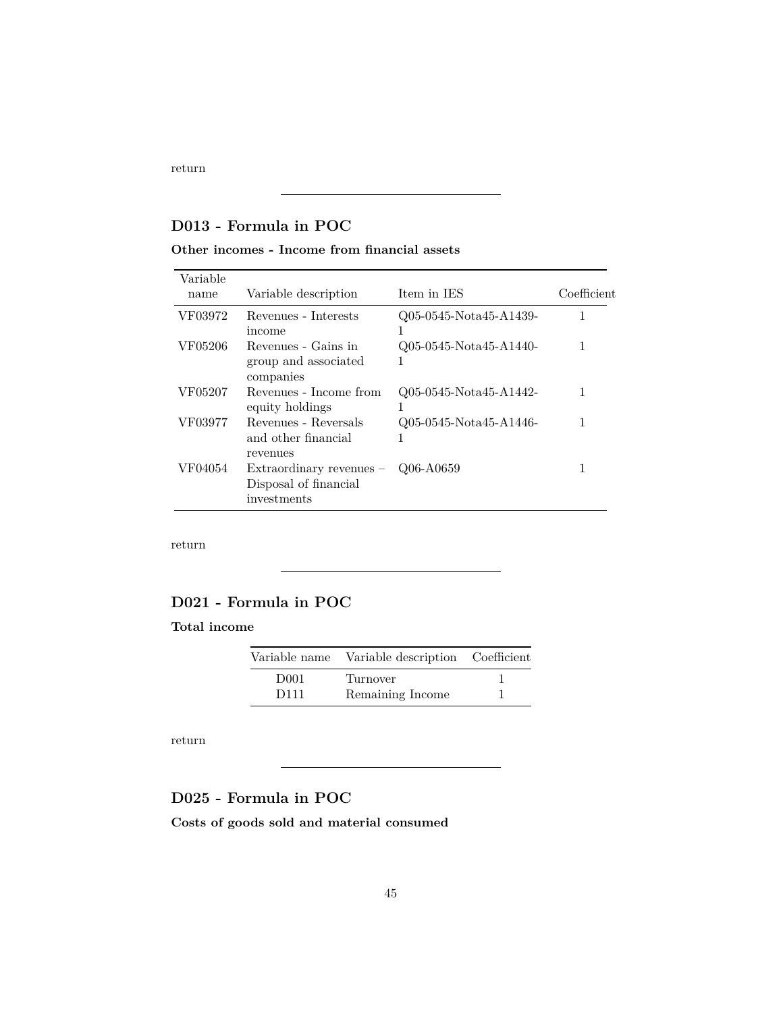### <span id="page-44-1"></span>**D013 - Formula in POC**

#### **Other incomes - Income from financial assets**

| Variable<br>name | Variable description                                               | Item in IES                 | Coefficient |
|------------------|--------------------------------------------------------------------|-----------------------------|-------------|
| VF03972          | Revenues - Interests<br>income                                     | Q05-0545-Nota45-A1439-      |             |
| VF05206          | Revenues - Gains in<br>group and associated<br>companies           | Q05-0545-Nota45-A1440-<br>1 |             |
| VF05207          | Revenues - Income from<br>equity holdings                          | Q05-0545-Nota45-A1442-<br>1 |             |
| VF03977          | Revenues - Reversals<br>and other financial<br>revenues            | Q05-0545-Nota45-A1446-      |             |
| VF04054          | Extraordinary revenues $-$<br>Disposal of financial<br>investments | Q06-A0659                   | 1           |

[return](#page-13-0)

### <span id="page-44-0"></span>**D021 - Formula in POC**

#### **Total income**

| Variable name    | Variable description Coefficient |  |
|------------------|----------------------------------|--|
| D <sub>001</sub> | Turnover                         |  |
| D <sub>111</sub> | Remaining Income                 |  |

[return](#page-13-0)

## <span id="page-44-2"></span>**D025 - Formula in POC**

**Costs of goods sold and material consumed**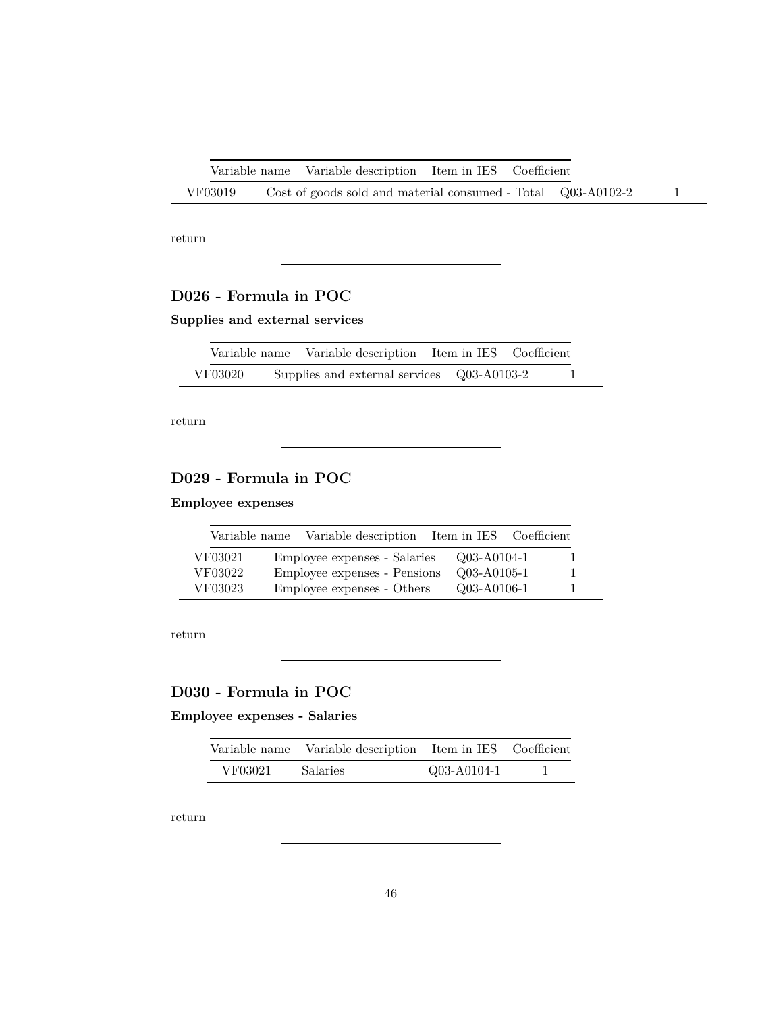|         | Variable name Variable description Item in IES Coefficient   |  |  |
|---------|--------------------------------------------------------------|--|--|
| VF03019 | Cost of goods sold and material consumed - Total Q03-A0102-2 |  |  |

### <span id="page-45-0"></span>**D026 - Formula in POC**

**Supplies and external services**

|         | Variable name Variable description Item in IES Coefficient |  |  |
|---------|------------------------------------------------------------|--|--|
| VF03020 | Supplies and external services Q03-A0103-2                 |  |  |

[return](#page-13-0)

## <span id="page-45-1"></span>**D029 - Formula in POC**

### **Employee expenses**

| Variable name | Variable description         | Item in IES Coefficient |    |
|---------------|------------------------------|-------------------------|----|
| VF03021       | Employee expenses - Salaries | Q03-A0104-1             | Ι. |
| VF03022       | Employee expenses - Pensions | Q03-A0105-1             | L  |
| VF03023       | Employee expenses - Others   | Q03-A0106-1             | ı  |

[return](#page-13-0)

## <span id="page-45-2"></span>**D030 - Formula in POC**

### **Employee expenses - Salaries**

|         | Variable name Variable description Item in IES Coefficient |             |  |
|---------|------------------------------------------------------------|-------------|--|
| VF03021 | Salaries                                                   | Q03-A0104-1 |  |

<span id="page-45-3"></span>[return](#page-13-0)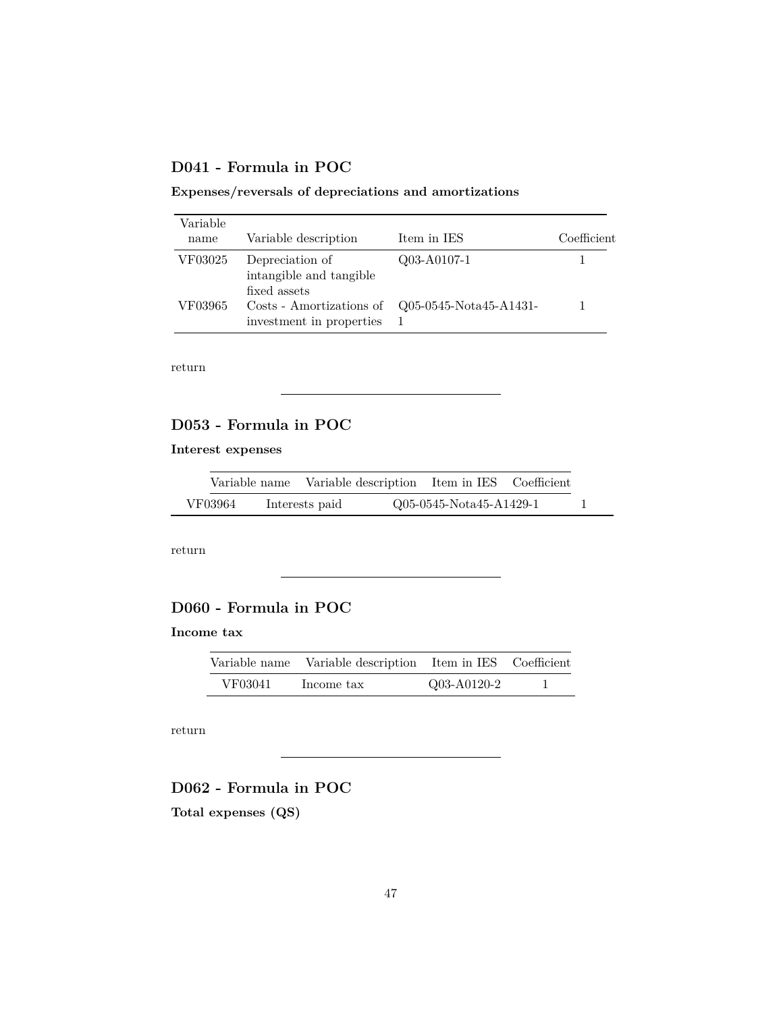### **D041 - Formula in POC**

### **Expenses/reversals of depreciations and amortizations**

| Variable |                                                            |                          |             |
|----------|------------------------------------------------------------|--------------------------|-------------|
| name     | Variable description                                       | Item in IES              | Coefficient |
| VF03025  | Depreciation of<br>intangible and tangible<br>fixed assets | $Q03 - A0107-1$          |             |
| VF03965  | Costs - Amortizations of<br>investment in properties       | $Q05-0545-Nota45-A1431-$ |             |

[return](#page-13-0)

## <span id="page-46-1"></span>**D053 - Formula in POC**

#### **Interest expenses**

|         |                | Variable name Variable description Item in IES Coefficient |  |
|---------|----------------|------------------------------------------------------------|--|
| VF03964 | Interests paid | Q05-0545-Nota45-A1429-1                                    |  |

[return](#page-13-0)

## <span id="page-46-2"></span>**D060 - Formula in POC**

### **Income tax**

| Variable name | Variable description Item in IES Coefficient |             |  |
|---------------|----------------------------------------------|-------------|--|
| VF03041       | Income tax                                   | Q03-A0120-2 |  |

[return](#page-13-0)

### <span id="page-46-0"></span>**D062 - Formula in POC**

**Total expenses (QS)**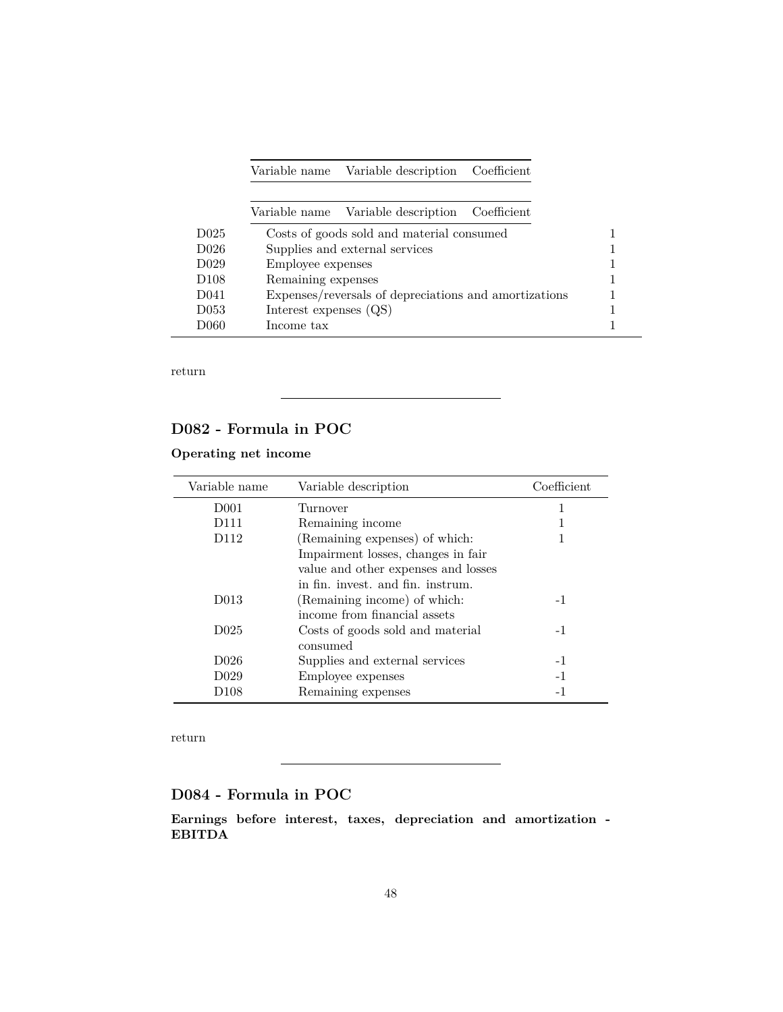|                   |                        | Variable name Variable description                    | Coefficient |  |
|-------------------|------------------------|-------------------------------------------------------|-------------|--|
|                   |                        | Variable name Variable description Coefficient        |             |  |
|                   |                        |                                                       |             |  |
| D <sub>025</sub>  |                        | Costs of goods sold and material consumed             |             |  |
| D <sub>026</sub>  |                        | Supplies and external services                        |             |  |
| D <sub>0</sub> 29 | Employee expenses      |                                                       |             |  |
| D <sub>108</sub>  | Remaining expenses     |                                                       |             |  |
| D <sub>041</sub>  |                        | Expenses/reversals of depreciations and amortizations |             |  |
| D <sub>053</sub>  | Interest expenses (QS) |                                                       |             |  |
| 1)060             | Income tax             |                                                       |             |  |

### <span id="page-47-0"></span>**D082 - Formula in POC**

### **Operating net income**

| Variable name     | Variable description                | Coefficient |
|-------------------|-------------------------------------|-------------|
| D <sub>001</sub>  | Turnover                            |             |
| D <sub>111</sub>  | Remaining income                    |             |
| D <sub>112</sub>  | (Remaining expenses) of which:      |             |
|                   | Impairment losses, changes in fair  |             |
|                   | value and other expenses and losses |             |
|                   | in fin. invest, and fin. instrum.   |             |
| D <sub>0</sub> 13 | (Remaining income) of which:        | $-1$        |
|                   | income from financial assets        |             |
| D <sub>025</sub>  | Costs of goods sold and material    | $-1$        |
|                   | consumed                            |             |
| D <sub>026</sub>  | Supplies and external services      | $-1$        |
| D <sub>029</sub>  | Employee expenses                   | $-1$        |
| D <sub>108</sub>  | Remaining expenses                  | $-1$        |

[return](#page-13-0)

### <span id="page-47-1"></span>**D084 - Formula in POC**

**Earnings before interest, taxes, depreciation and amortization - EBITDA**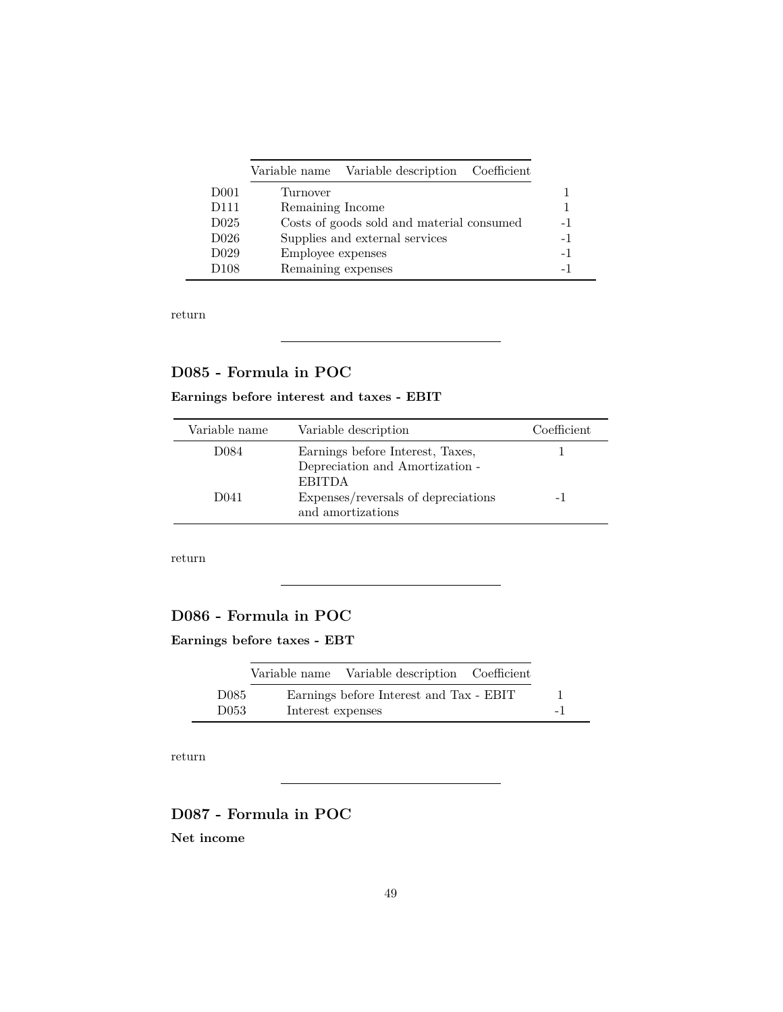|                  | Variable name Variable description Coefficient |      |
|------------------|------------------------------------------------|------|
| D <sub>001</sub> | Turnover                                       |      |
| D <sub>111</sub> | Remaining Income                               |      |
| D <sub>025</sub> | Costs of goods sold and material consumed      | $-1$ |
| D <sub>026</sub> | Supplies and external services                 | $-1$ |
| D <sub>029</sub> | Employee expenses                              | $-1$ |
| D <sub>108</sub> | Remaining expenses                             | $-1$ |

### <span id="page-48-0"></span>**D085 - Formula in POC**

### **Earnings before interest and taxes - EBIT**

| Variable name    | Variable description                                     | Coefficient |
|------------------|----------------------------------------------------------|-------------|
| D084             | Earnings before Interest, Taxes,                         |             |
|                  | Depreciation and Amortization -<br><b>EBITDA</b>         |             |
| D <sub>041</sub> | Expenses/reversals of depreciations<br>and amortizations | -1          |

[return](#page-13-0)

### <span id="page-48-1"></span>**D086 - Formula in POC**

**Earnings before taxes - EBT**

|                  |                   | Variable name Variable description Coefficient |      |
|------------------|-------------------|------------------------------------------------|------|
| D <sub>085</sub> |                   | Earnings before Interest and Tax - EBIT        |      |
| D053             | Interest expenses |                                                | $-1$ |

[return](#page-13-0)

### <span id="page-48-2"></span>**D087 - Formula in POC**

**Net income**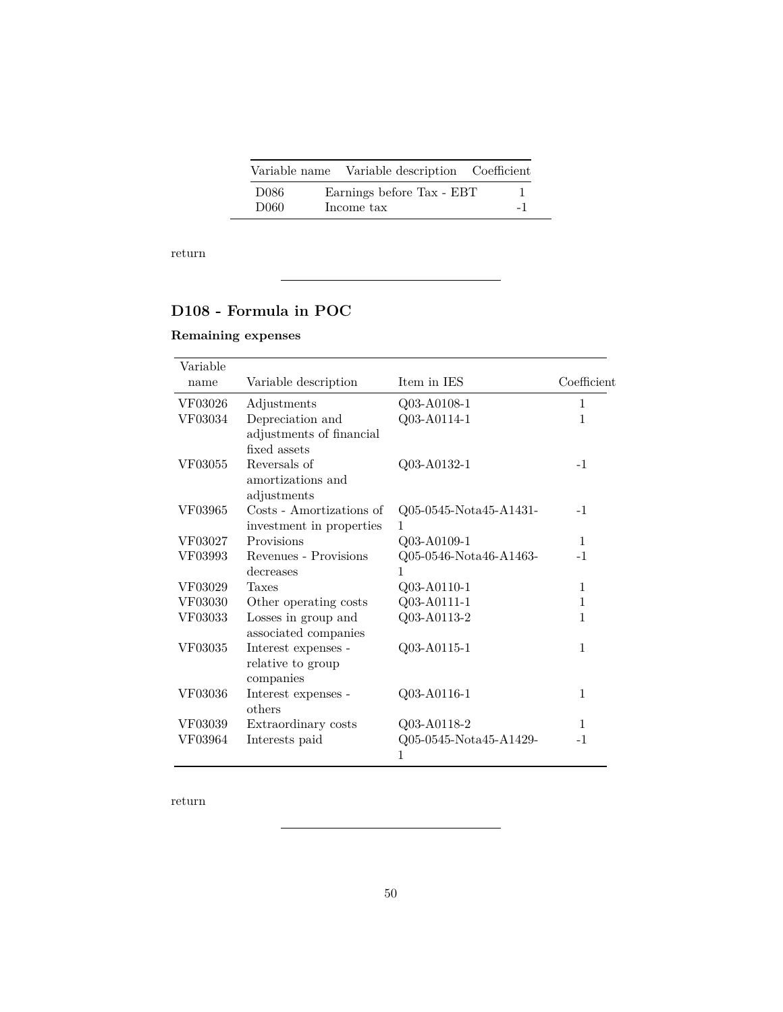|                  | Variable name Variable description Coefficient |    |
|------------------|------------------------------------------------|----|
| D086             | Earnings before Tax - EBT                      |    |
| D <sub>060</sub> | Income tax                                     | -1 |

## <span id="page-49-1"></span>**D108 - Formula in POC**

### **Remaining expenses**

| Variable |                                                              |                             |              |
|----------|--------------------------------------------------------------|-----------------------------|--------------|
| name     | Variable description                                         | Item in IES                 | Coefficient  |
| VF03026  | Adjustments                                                  | Q03-A0108-1                 | $\mathbf{1}$ |
| VF03034  | Depreciation and<br>adjustments of financial<br>fixed assets | Q03-A0114-1                 | 1            |
| VF03055  | Reversals of<br>amortizations and<br>adjustments             | Q03-A0132-1                 | $-1$         |
| VF03965  | Costs - Amortizations of<br>investment in properties         | Q05-0545-Nota45-A1431-<br>1 | $-1$         |
| VF03027  | Provisions                                                   | Q03-A0109-1                 | $\mathbf{1}$ |
| VF03993  | Revenues - Provisions<br>decreases                           | Q05-0546-Nota46-A1463-<br>1 | $-1$         |
| VF03029  | Taxes                                                        | Q03-A0110-1                 | 1            |
| VF03030  | Other operating costs                                        | Q03-A0111-1                 | $\mathbf{1}$ |
| VF03033  | Losses in group and<br>associated companies                  | Q03-A0113-2                 | 1            |
| VF03035  | Interest expenses -<br>relative to group<br>companies        | Q03-A0115-1                 | 1            |
| VF03036  | Interest expenses -<br>others                                | Q03-A0116-1                 | 1            |
| VF03039  | Extraordinary costs                                          | Q03-A0118-2                 | $\mathbf{1}$ |
| VF03964  | Interests paid                                               | Q05-0545-Nota45-A1429-<br>1 | $-1$         |

<span id="page-49-0"></span>[return](#page-13-0)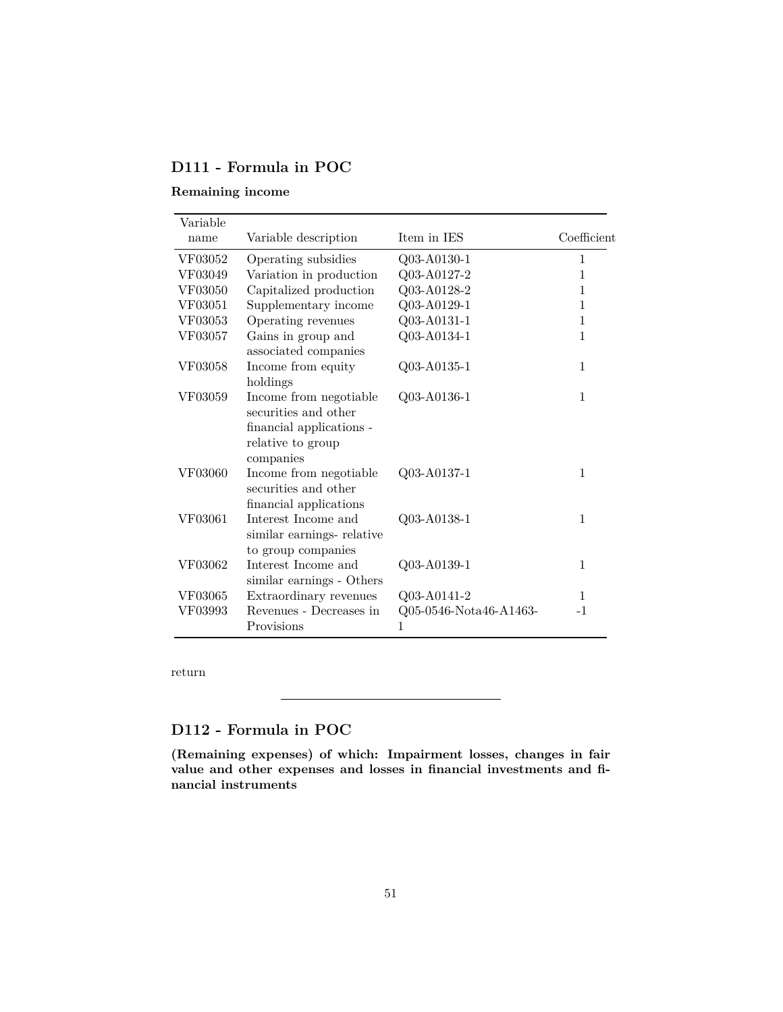## **D111 - Formula in POC**

### **Remaining income**

| Variable |                                                                                                              |                             |              |
|----------|--------------------------------------------------------------------------------------------------------------|-----------------------------|--------------|
| name     | Variable description                                                                                         | Item in IES                 | Coefficient  |
| VF03052  | Operating subsidies                                                                                          | Q03-A0130-1                 | 1            |
| VF03049  | Variation in production                                                                                      | Q03-A0127-2                 | 1            |
| VF03050  | Capitalized production                                                                                       | Q03-A0128-2                 | 1            |
| VF03051  | Supplementary income                                                                                         | Q03-A0129-1                 | $\mathbf{1}$ |
| VF03053  | Operating revenues                                                                                           | Q03-A0131-1                 | 1            |
| VF03057  | Gains in group and<br>associated companies                                                                   | Q03-A0134-1                 | $\mathbf{1}$ |
| VF03058  | Income from equity<br>holdings                                                                               | Q03-A0135-1                 | 1            |
| VF03059  | Income from negotiable<br>securities and other<br>financial applications -<br>relative to group<br>companies | Q03-A0136-1                 | 1            |
| VF03060  | Income from negotiable<br>securities and other<br>financial applications                                     | Q03-A0137-1                 | $\mathbf{1}$ |
| VF03061  | Interest Income and<br>similar earnings-relative<br>to group companies                                       | Q03-A0138-1                 | $\mathbf{1}$ |
| VF03062  | Interest Income and<br>similar earnings - Others                                                             | Q03-A0139-1                 | 1            |
| VF03065  | Extraordinary revenues                                                                                       | Q03-A0141-2                 | 1            |
| VF03993  | Revenues - Decreases in<br>Provisions                                                                        | Q05-0546-Nota46-A1463-<br>1 | $-1$         |

[return](#page-13-0)

## <span id="page-50-0"></span>**D112 - Formula in POC**

**(Remaining expenses) of which: Impairment losses, changes in fair value and other expenses and losses in financial investments and financial instruments**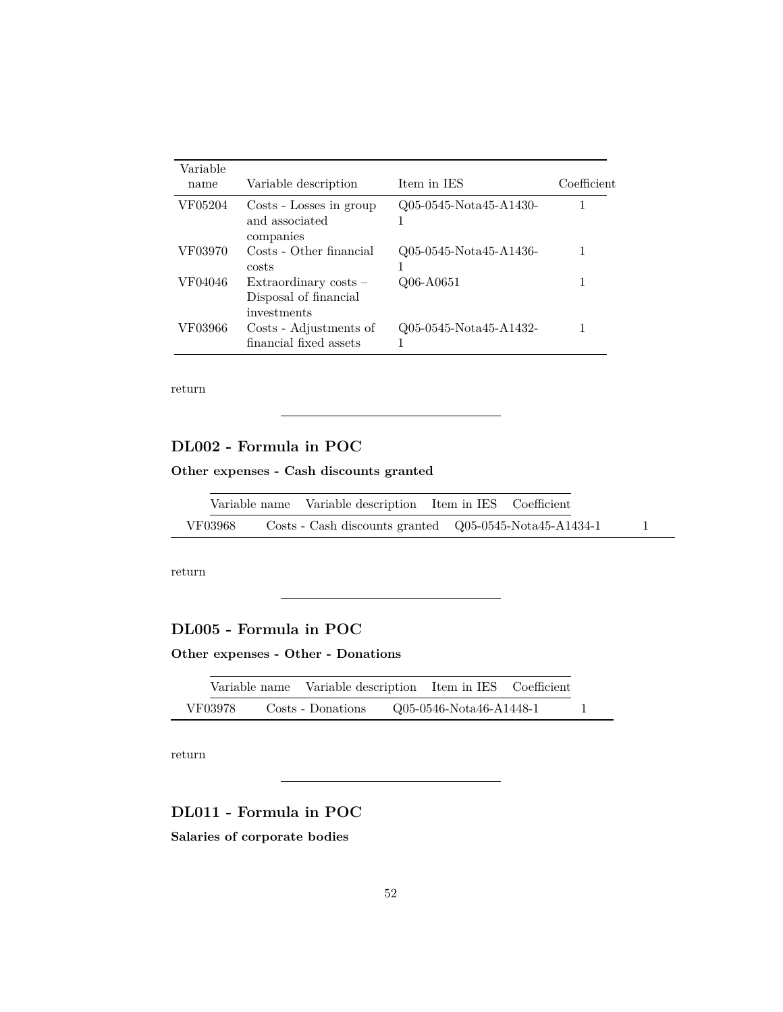| Variable<br>name | Variable description                                            | Item in IES            | Coefficient |
|------------------|-----------------------------------------------------------------|------------------------|-------------|
| VF05204          | Costs - Losses in group<br>and associated<br>companies          | Q05-0545-Nota45-A1430- |             |
| VF03970          | Costs - Other financial<br>costs                                | Q05-0545-Nota45-A1436- |             |
| VF04046          | Extraordinary costs $-$<br>Disposal of financial<br>investments | Q06-A0651              |             |
| VF03966          | Costs - Adjustments of<br>financial fixed assets                | Q05-0545-Nota45-A1432- |             |

## <span id="page-51-1"></span>**DL002 - Formula in POC**

**Other expenses - Cash discounts granted**

|         | Variable name Variable description Item in IES Coefficient                            |  |  |  |
|---------|---------------------------------------------------------------------------------------|--|--|--|
| VF03968 | $\text{Costs}$ - Cash discounts granted $\quad Q05-0545-\text{Nota}45-\text{A}1434-1$ |  |  |  |

[return](#page-13-0)

### <span id="page-51-2"></span>**DL005 - Formula in POC**

**Other expenses - Other - Donations**

|         |                   | Variable name Variable description Item in IES Coefficient |  |
|---------|-------------------|------------------------------------------------------------|--|
| VF03978 | Costs - Donations | Q05-0546-Nota46-A1448-1                                    |  |

[return](#page-13-0)

# <span id="page-51-0"></span>**DL011 - Formula in POC**

**Salaries of corporate bodies**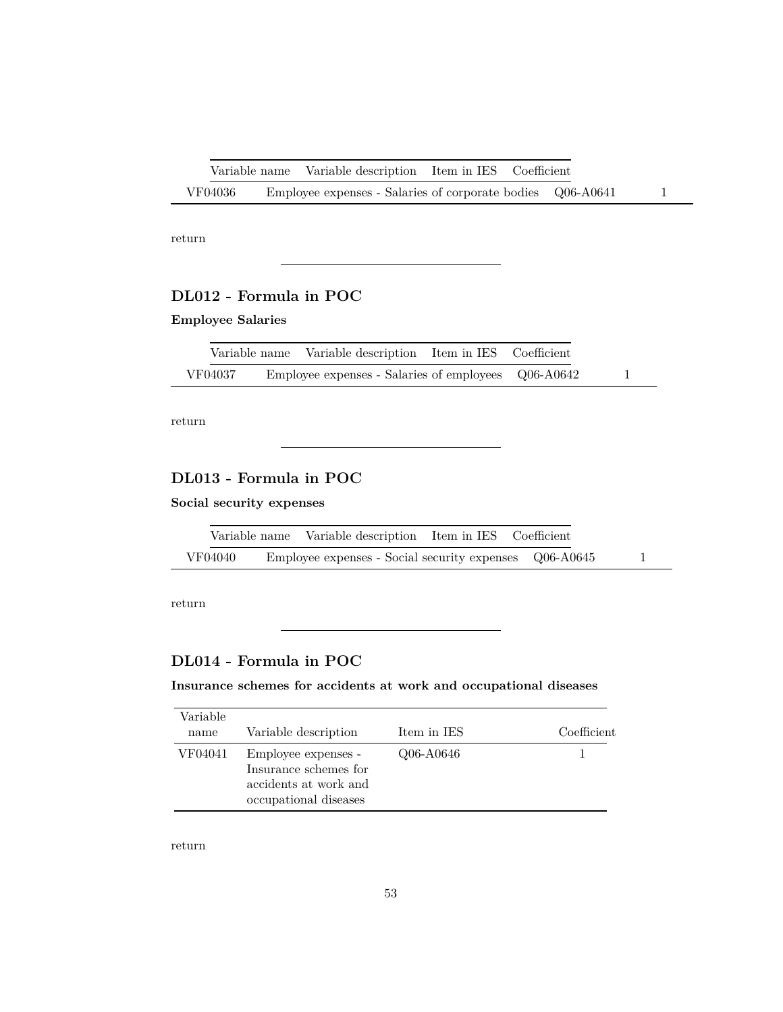|         |  | Variable name Variable description Item in IES Coefficient |  |  |
|---------|--|------------------------------------------------------------|--|--|
| VF04036 |  | Employee expenses - Salaries of corporate bodies Q06-A0641 |  |  |

### <span id="page-52-0"></span>**DL012 - Formula in POC**

### **Employee Salaries**

|         | Variable name Variable description Item in IES Coefficient |  |  |
|---------|------------------------------------------------------------|--|--|
| VF04037 | Employee expenses - Salaries of employees Q06-A0642        |  |  |

[return](#page-13-0)

### <span id="page-52-1"></span>**DL013 - Formula in POC**

**Social security expenses**

|         | Variable name Variable description Item in IES Coefficient |  |  |
|---------|------------------------------------------------------------|--|--|
| VF04040 | Employee expenses - Social security expenses Q06-A0645     |  |  |

L.

[return](#page-13-0)

## <span id="page-52-2"></span>**DL014 - Formula in POC**

**Insurance schemes for accidents at work and occupational diseases**

| Variable<br>name | Variable description                                                                           | Item in IES | Coefficient |
|------------------|------------------------------------------------------------------------------------------------|-------------|-------------|
| VF04041          | Employee expenses -<br>Insurance schemes for<br>accidents at work and<br>occupational diseases | Q06-A0646   |             |

[return](#page-13-0)